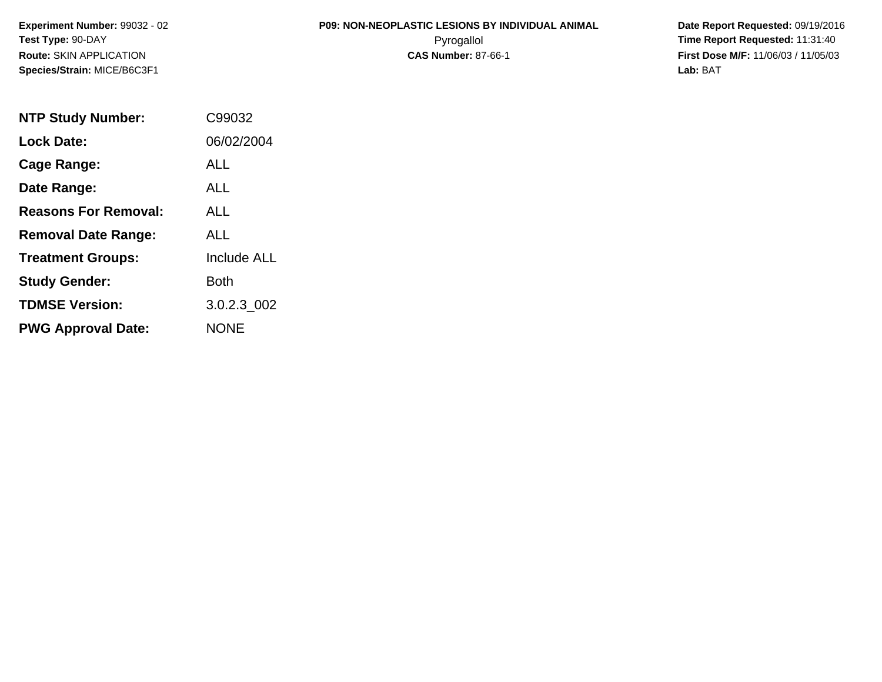# **P09: NON-NEOPLASTIC LESIONS BY INDIVIDUAL ANIMAL**

 **Date Report Requested:** 09/19/2016 Pyrogallol **Time Report Requested:** 11:31:40 **First Dose M/F:** 11/06/03 / 11/05/03<br>Lab: BAT **Lab:** BAT

| <b>NTP Study Number:</b>    | C99032             |
|-----------------------------|--------------------|
| <b>Lock Date:</b>           | 06/02/2004         |
| Cage Range:                 | ALL                |
| Date Range:                 | ALL                |
| <b>Reasons For Removal:</b> | ALL.               |
| <b>Removal Date Range:</b>  | ALL                |
| <b>Treatment Groups:</b>    | <b>Include ALL</b> |
| <b>Study Gender:</b>        | Both               |
| <b>TDMSE Version:</b>       | 3.0.2.3 002        |
| <b>PWG Approval Date:</b>   | <b>NONE</b>        |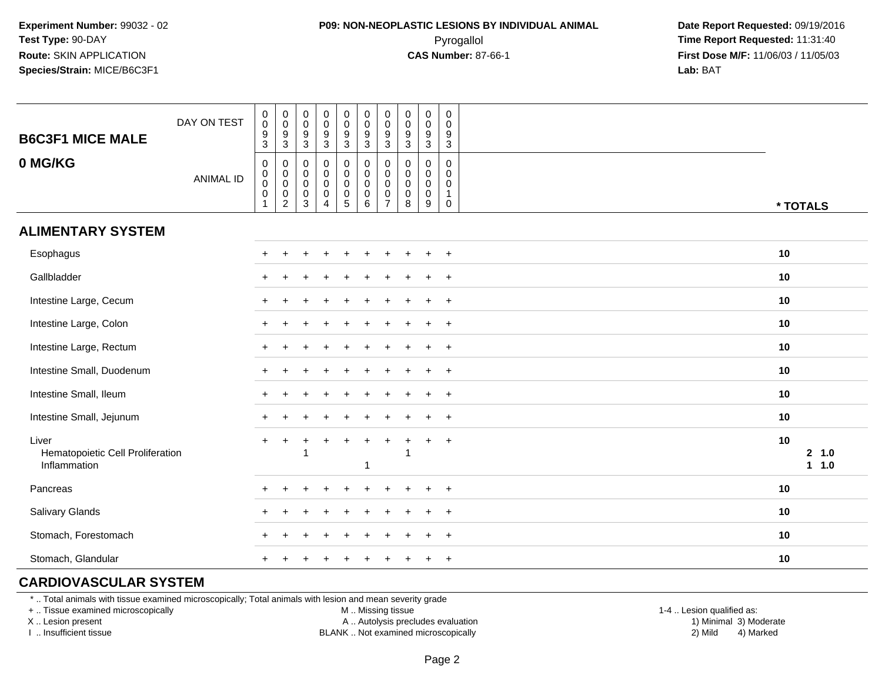#### **P09: NON-NEOPLASTIC LESIONS BY INDIVIDUAL ANIMAL**Pyrogallol **Time Report Requested:** 11:31:40

 **Date Report Requested:** 09/19/2016 **First Dose M/F:** 11/06/03 / 11/05/03<br>**Lab:** BAT **Lab:** BAT

| <b>B6C3F1 MICE MALE</b>                                   | DAY ON TEST      | $_{\rm 0}^{\rm 0}$<br>$\frac{9}{3}$                              | $\pmb{0}$<br>$\pmb{0}$<br>$\frac{9}{3}$                        | $\pmb{0}$<br>$\mathsf{O}\xspace$<br>9<br>$\sqrt{3}$                      | $\pmb{0}$<br>$\mathbf 0$<br>$\boldsymbol{9}$<br>$\mathbf 3$            | $\pmb{0}$<br>$\mathbf 0$<br>$\boldsymbol{9}$<br>$\mathbf{3}$                   | $\begin{smallmatrix} 0\\0 \end{smallmatrix}$<br>$\boldsymbol{9}$<br>$\mathbf{3}$ | $\mathbf 0$<br>$\mathbf 0$<br>$9\,$<br>3                                   | $\mathbf 0$<br>$\mathbf 0$<br>9<br>3      | $\pmb{0}$<br>$\mathsf 0$<br>$\boldsymbol{9}$<br>$\mathbf 3$ | 0<br>0<br>9<br>$\mathsf 3$                          |          |                  |
|-----------------------------------------------------------|------------------|------------------------------------------------------------------|----------------------------------------------------------------|--------------------------------------------------------------------------|------------------------------------------------------------------------|--------------------------------------------------------------------------------|----------------------------------------------------------------------------------|----------------------------------------------------------------------------|-------------------------------------------|-------------------------------------------------------------|-----------------------------------------------------|----------|------------------|
| 0 MG/KG                                                   | <b>ANIMAL ID</b> | $\pmb{0}$<br>$_{\rm 0}^{\rm 0}$<br>$\mathbf 0$<br>$\overline{1}$ | $\pmb{0}$<br>$_{\rm 0}^{\rm 0}$<br>$\pmb{0}$<br>$\overline{2}$ | $\mathbf 0$<br>$\mathbf 0$<br>$\mathbf 0$<br>$\mathbf 0$<br>$\mathbf{3}$ | $\pmb{0}$<br>$\mathbf 0$<br>$\pmb{0}$<br>$\mathbf 0$<br>$\overline{4}$ | 0<br>$\mathsf{O}\xspace$<br>$\pmb{0}$<br>$\mathsf{O}\xspace$<br>$\overline{5}$ | $\pmb{0}$<br>$\mathbf 0$<br>$\pmb{0}$<br>$\mathbf 0$<br>$\overline{6}$           | $\mathbf 0$<br>$\mathbf 0$<br>$\mathbf 0$<br>$\mathbf 0$<br>$\overline{7}$ | $\mathbf 0$<br>0<br>0<br>$\mathbf 0$<br>8 | $\mathbf 0$<br>0<br>$\mathbf 0$<br>$\mathbf 0$<br>9         | $\mathbf 0$<br>0<br>$\mathbf 0$<br>$\mathbf 1$<br>0 | * TOTALS |                  |
| <b>ALIMENTARY SYSTEM</b>                                  |                  |                                                                  |                                                                |                                                                          |                                                                        |                                                                                |                                                                                  |                                                                            |                                           |                                                             |                                                     |          |                  |
| Esophagus                                                 |                  | $\pm$                                                            | $\ddot{}$                                                      |                                                                          |                                                                        |                                                                                |                                                                                  |                                                                            |                                           |                                                             | $+$                                                 | 10       |                  |
| Gallbladder                                               |                  |                                                                  |                                                                |                                                                          |                                                                        |                                                                                |                                                                                  |                                                                            |                                           |                                                             | $+$                                                 | 10       |                  |
| Intestine Large, Cecum                                    |                  |                                                                  |                                                                |                                                                          |                                                                        |                                                                                |                                                                                  |                                                                            |                                           |                                                             | $\ddot{}$                                           | 10       |                  |
| Intestine Large, Colon                                    |                  |                                                                  |                                                                |                                                                          |                                                                        |                                                                                |                                                                                  |                                                                            |                                           |                                                             | $+$                                                 | 10       |                  |
| Intestine Large, Rectum                                   |                  |                                                                  |                                                                |                                                                          |                                                                        |                                                                                |                                                                                  |                                                                            |                                           |                                                             | $+$                                                 | 10       |                  |
| Intestine Small, Duodenum                                 |                  |                                                                  |                                                                |                                                                          |                                                                        |                                                                                |                                                                                  |                                                                            |                                           |                                                             | $^{+}$                                              | 10       |                  |
| Intestine Small, Ileum                                    |                  |                                                                  |                                                                |                                                                          |                                                                        |                                                                                |                                                                                  |                                                                            |                                           |                                                             | $+$                                                 | 10       |                  |
| Intestine Small, Jejunum                                  |                  | $+$                                                              | $\ddot{}$                                                      |                                                                          |                                                                        |                                                                                |                                                                                  |                                                                            |                                           |                                                             | $^{+}$                                              | 10       |                  |
| Liver<br>Hematopoietic Cell Proliferation<br>Inflammation |                  | $+$                                                              | $+$                                                            | $\ddot{}$                                                                | $\ddot{}$                                                              | $\ddot{+}$                                                                     | $\ddot{}$<br>-1                                                                  | $+$                                                                        | $\ddot{}$                                 | $+$                                                         | $+$                                                 | 10       | 2 1.0<br>$1 1.0$ |
| Pancreas                                                  |                  |                                                                  |                                                                |                                                                          |                                                                        |                                                                                |                                                                                  |                                                                            |                                           |                                                             | $\ddot{}$                                           | 10       |                  |
| Salivary Glands                                           |                  |                                                                  |                                                                |                                                                          |                                                                        |                                                                                |                                                                                  |                                                                            |                                           |                                                             | $\ddot{}$                                           | 10       |                  |
| Stomach, Forestomach                                      |                  |                                                                  |                                                                |                                                                          |                                                                        |                                                                                |                                                                                  |                                                                            |                                           |                                                             | $+$                                                 | 10       |                  |
| Stomach, Glandular                                        |                  |                                                                  |                                                                |                                                                          |                                                                        |                                                                                |                                                                                  |                                                                            |                                           |                                                             | $+$                                                 | 10       |                  |

#### **CARDIOVASCULAR SYSTEM**

\* .. Total animals with tissue examined microscopically; Total animals with lesion and mean severity grade

+ .. Tissue examined microscopically

X .. Lesion present

I .. Insufficient tissue

M .. Missing tissue

A .. Autolysis precludes evaluation

BLANK .. Not examined microscopically 2) Mild 4) Marked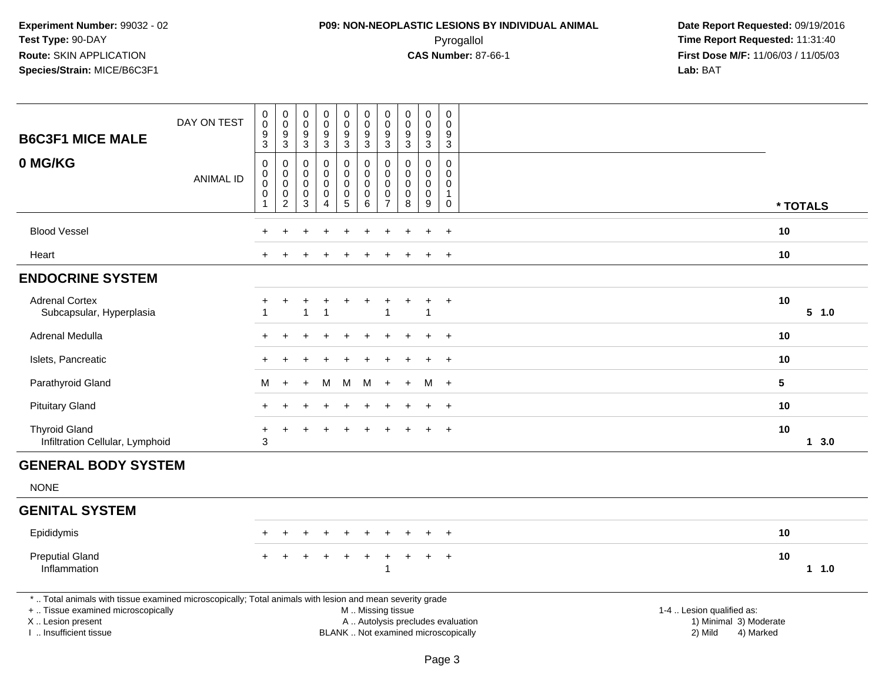# **P09: NON-NEOPLASTIC LESIONS BY INDIVIDUAL ANIMAL**Pyrogallol **Time Report Requested:** 11:31:40

| <b>B6C3F1 MICE MALE</b>                                                                                                                                                                       | DAY ON TEST      | $\pmb{0}$<br>$\pmb{0}$<br>$\boldsymbol{9}$<br>$\overline{3}$ | $_{\rm 0}^{\rm 0}$<br>$\boldsymbol{9}$<br>$\overline{3}$                  | 0<br>$\mathsf 0$<br>9<br>$\sqrt{3}$        | $\pmb{0}$<br>$\pmb{0}$<br>9<br>$\sqrt{3}$           | $\pmb{0}$<br>$\pmb{0}$<br>9<br>$\overline{3}$      | $\pmb{0}$<br>$\ddot{\mathbf{0}}$<br>9<br>$\sqrt{3}$       | $\pmb{0}$<br>$\mathbf 0$<br>9<br>$\sqrt{3}$                            | $\mathbf 0$<br>$\pmb{0}$<br>$9\,$<br>$\overline{3}$        | $\pmb{0}$<br>$\mathbf 0$<br>9<br>$\sqrt{3}$          | $\,0\,$<br>$\pmb{0}$<br>9<br>$\mathbf{3}$                    |                                                                                                                  |          |       |
|-----------------------------------------------------------------------------------------------------------------------------------------------------------------------------------------------|------------------|--------------------------------------------------------------|---------------------------------------------------------------------------|--------------------------------------------|-----------------------------------------------------|----------------------------------------------------|-----------------------------------------------------------|------------------------------------------------------------------------|------------------------------------------------------------|------------------------------------------------------|--------------------------------------------------------------|------------------------------------------------------------------------------------------------------------------|----------|-------|
| 0 MG/KG                                                                                                                                                                                       | <b>ANIMAL ID</b> | $\pmb{0}$<br>0<br>$\mathbf 0$<br>$\pmb{0}$<br>$\mathbf 1$    | $\pmb{0}$<br>$\pmb{0}$<br>$\mathbf 0$<br>$\mathop{2}\limits^{\mathbb{O}}$ | 0<br>0<br>$\mathbf 0$<br>0<br>$\mathbf{3}$ | 0<br>$\Omega$<br>$\mathbf 0$<br>0<br>$\overline{4}$ | 0<br>0<br>$\pmb{0}$<br>$\pmb{0}$<br>$\overline{5}$ | $\pmb{0}$<br>$\mathbf 0$<br>$\mathbf 0$<br>$\pmb{0}$<br>6 | $\mathbf 0$<br>$\mathbf 0$<br>$\pmb{0}$<br>$\pmb{0}$<br>$\overline{7}$ | $\mathbf{0}$<br>$\mathbf 0$<br>$\mathbf 0$<br>0<br>$\,8\,$ | $\Omega$<br>$\mathbf 0$<br>$\mathbf 0$<br>0<br>$9\,$ | 0<br>$\mathbf 0$<br>$\pmb{0}$<br>$\mathbf{1}$<br>$\mathbf 0$ |                                                                                                                  | * TOTALS |       |
| <b>Blood Vessel</b>                                                                                                                                                                           |                  |                                                              |                                                                           |                                            |                                                     |                                                    |                                                           |                                                                        |                                                            |                                                      | $\ddot{}$                                                    |                                                                                                                  | 10       |       |
| Heart                                                                                                                                                                                         |                  |                                                              |                                                                           |                                            |                                                     |                                                    |                                                           |                                                                        |                                                            | $\ddot{}$                                            | $+$                                                          |                                                                                                                  | 10       |       |
| <b>ENDOCRINE SYSTEM</b>                                                                                                                                                                       |                  |                                                              |                                                                           |                                            |                                                     |                                                    |                                                           |                                                                        |                                                            |                                                      |                                                              |                                                                                                                  |          |       |
| <b>Adrenal Cortex</b><br>Subcapsular, Hyperplasia                                                                                                                                             |                  | +                                                            | $\ddot{}$                                                                 | +<br>$\overline{1}$                        | $\ddot{}$<br>-1                                     | $\ddot{}$                                          | $\ddot{}$                                                 | $\ddot{}$<br>$\overline{1}$                                            | $\ddot{}$                                                  | $\ddot{}$<br>-1                                      | $+$                                                          |                                                                                                                  | 10       | 5 1.0 |
| Adrenal Medulla                                                                                                                                                                               |                  | $\ddot{}$                                                    |                                                                           |                                            |                                                     |                                                    | $\ddot{}$                                                 |                                                                        |                                                            | $\pm$                                                | $+$                                                          |                                                                                                                  | 10       |       |
| Islets, Pancreatic                                                                                                                                                                            |                  |                                                              |                                                                           |                                            |                                                     |                                                    |                                                           |                                                                        |                                                            |                                                      | $\overline{+}$                                               |                                                                                                                  | 10       |       |
| Parathyroid Gland                                                                                                                                                                             |                  | м                                                            | $\overline{+}$                                                            | $\ddot{}$                                  | M                                                   | M                                                  | M                                                         | $\ddot{}$                                                              | $\ddot{}$                                                  | M                                                    | $+$                                                          | $5\phantom{.0}$                                                                                                  |          |       |
| <b>Pituitary Gland</b>                                                                                                                                                                        |                  | $+$                                                          |                                                                           |                                            |                                                     | $\div$                                             | $\ddot{}$                                                 |                                                                        |                                                            | $\pm$                                                | $+$                                                          |                                                                                                                  | 10       |       |
| <b>Thyroid Gland</b><br>Infiltration Cellular, Lymphoid                                                                                                                                       |                  | $\ddot{}$<br>3                                               | $\ddot{}$                                                                 | $\ddot{}$                                  |                                                     | $\ddot{}$                                          | $\ddot{}$                                                 | $\ddot{}$                                                              |                                                            |                                                      | $+$                                                          |                                                                                                                  | 10       | 13.0  |
| <b>GENERAL BODY SYSTEM</b>                                                                                                                                                                    |                  |                                                              |                                                                           |                                            |                                                     |                                                    |                                                           |                                                                        |                                                            |                                                      |                                                              |                                                                                                                  |          |       |
| <b>NONE</b>                                                                                                                                                                                   |                  |                                                              |                                                                           |                                            |                                                     |                                                    |                                                           |                                                                        |                                                            |                                                      |                                                              |                                                                                                                  |          |       |
| <b>GENITAL SYSTEM</b>                                                                                                                                                                         |                  |                                                              |                                                                           |                                            |                                                     |                                                    |                                                           |                                                                        |                                                            |                                                      |                                                              |                                                                                                                  |          |       |
| Epididymis                                                                                                                                                                                    |                  |                                                              |                                                                           |                                            |                                                     |                                                    |                                                           |                                                                        |                                                            |                                                      | $\ddot{}$                                                    |                                                                                                                  | 10       |       |
| <b>Preputial Gland</b><br>Inflammation                                                                                                                                                        |                  |                                                              |                                                                           |                                            |                                                     | $\ddot{}$                                          | $+$                                                       | $\ddot{}$<br>$\overline{\mathbf{1}}$                                   | $\ddot{}$                                                  | $\ddot{}$                                            | $+$                                                          |                                                                                                                  | 10       | 11.0  |
| *  Total animals with tissue examined microscopically; Total animals with lesion and mean severity grade<br>+  Tissue examined microscopically<br>X  Lesion present<br>I  Insufficient tissue |                  |                                                              |                                                                           |                                            |                                                     |                                                    | M  Missing tissue<br>BLANK  Not examined microscopically  |                                                                        |                                                            |                                                      |                                                              | 1-4  Lesion qualified as:<br>A  Autolysis precludes evaluation<br>1) Minimal 3) Moderate<br>2) Mild<br>4) Marked |          |       |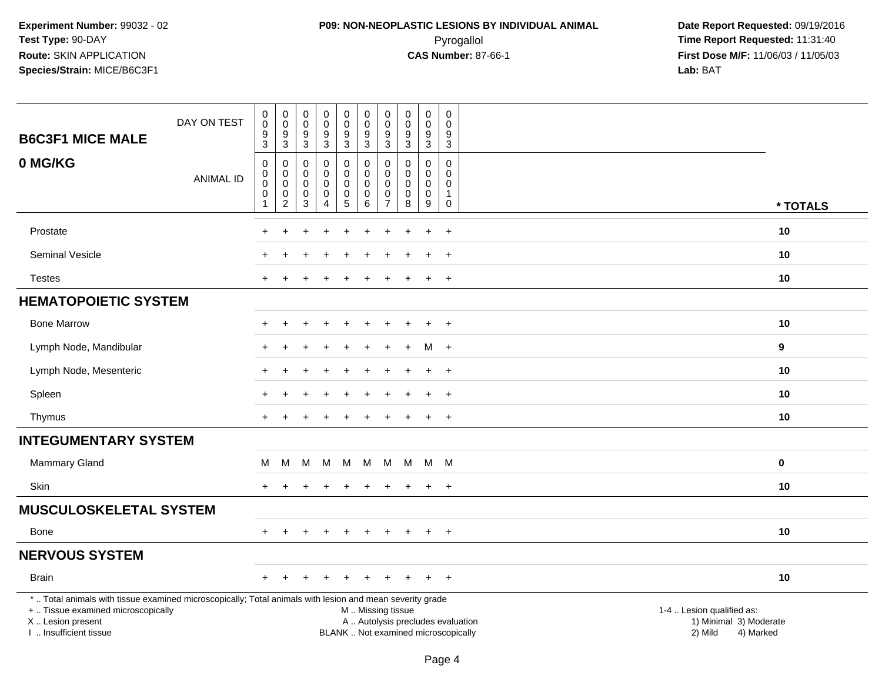# **P09: NON-NEOPLASTIC LESIONS BY INDIVIDUAL ANIMAL**Pyrogallol **Time Report Requested:** 11:31:40

| <b>B6C3F1 MICE MALE</b>                                                                                                                                                                       | DAY ON TEST      | $\pmb{0}$<br>$\mathbf 0$<br>$\boldsymbol{9}$       | $\boldsymbol{0}$<br>$\mathbf 0$<br>$\boldsymbol{9}$ | 0<br>$\mathbf 0$<br>$\boldsymbol{9}$ | $_{\rm 0}^{\rm 0}$<br>$\overline{9}$     | $\pmb{0}$<br>$\mathbf 0$<br>$\overline{9}$               | $\pmb{0}$<br>$\mathbf 0$<br>$\boldsymbol{9}$             | $\pmb{0}$<br>$\mathbf 0$<br>9                                    | $\pmb{0}$<br>$\pmb{0}$<br>$\frac{9}{3}$      | $\begin{smallmatrix}0\\0\end{smallmatrix}$<br>$\overline{9}$ | $\pmb{0}$<br>$\mathbf 0$<br>9                          |                                                                                                                  |          |
|-----------------------------------------------------------------------------------------------------------------------------------------------------------------------------------------------|------------------|----------------------------------------------------|-----------------------------------------------------|--------------------------------------|------------------------------------------|----------------------------------------------------------|----------------------------------------------------------|------------------------------------------------------------------|----------------------------------------------|--------------------------------------------------------------|--------------------------------------------------------|------------------------------------------------------------------------------------------------------------------|----------|
|                                                                                                                                                                                               |                  | $\sqrt{3}$                                         | $\mathbf{3}$                                        | $\mathbf{3}$                         | $\mathbf{3}$                             | $\mathbf{3}$                                             | $\mathbf{3}$                                             | 3                                                                |                                              | 3                                                            | $\mathbf{3}$                                           |                                                                                                                  |          |
| 0 MG/KG                                                                                                                                                                                       | <b>ANIMAL ID</b> | $\pmb{0}$<br>$\pmb{0}$<br>$\pmb{0}$<br>$\mathbf 0$ | 0<br>0<br>$\pmb{0}$<br>0                            | 0<br>$\mathbf 0$<br>$\mathbf 0$<br>0 | 0<br>$\pmb{0}$<br>$\pmb{0}$<br>$\pmb{0}$ | $\mathbf 0$<br>$\mathsf 0$<br>$\mathbf 0$<br>$\mathbf 0$ | $\pmb{0}$<br>$\pmb{0}$<br>$\mathbf 0$<br>0               | $\mathbf 0$<br>$\mathbf 0$<br>$\mathbf 0$<br>0<br>$\overline{7}$ | 0<br>$\mathbf 0$<br>$\pmb{0}$<br>$\mathbf 0$ | $\mathbf 0$<br>$\mathbf 0$<br>$\mathbf 0$<br>$\pmb{0}$       | $\mathbf 0$<br>$\mathbf 0$<br>$\Omega$<br>$\mathbf{1}$ |                                                                                                                  |          |
|                                                                                                                                                                                               |                  | $\mathbf{1}$                                       | $\sqrt{2}$                                          | 3                                    | $\overline{4}$                           | 5                                                        | $6\phantom{a}$                                           |                                                                  | 8                                            | 9                                                            | $\mathsf 0$                                            |                                                                                                                  | * TOTALS |
| Prostate                                                                                                                                                                                      |                  |                                                    |                                                     |                                      |                                          |                                                          |                                                          |                                                                  |                                              | $\ddot{}$                                                    | $+$                                                    | 10                                                                                                               |          |
| Seminal Vesicle                                                                                                                                                                               |                  |                                                    |                                                     |                                      |                                          |                                                          |                                                          |                                                                  |                                              |                                                              | $\ddot{}$                                              | 10                                                                                                               |          |
| <b>Testes</b>                                                                                                                                                                                 |                  |                                                    |                                                     |                                      |                                          |                                                          |                                                          |                                                                  |                                              | $\ddot{}$                                                    | $+$                                                    | 10                                                                                                               |          |
| <b>HEMATOPOIETIC SYSTEM</b>                                                                                                                                                                   |                  |                                                    |                                                     |                                      |                                          |                                                          |                                                          |                                                                  |                                              |                                                              |                                                        |                                                                                                                  |          |
| <b>Bone Marrow</b>                                                                                                                                                                            |                  | $+$                                                | $\ddot{}$                                           | $\ddot{}$                            | $\div$                                   | $\ddot{}$                                                | $\ddot{}$                                                | $\ddot{}$                                                        |                                              | $\ddot{}$                                                    | $+$                                                    | 10                                                                                                               |          |
| Lymph Node, Mandibular                                                                                                                                                                        |                  |                                                    |                                                     |                                      |                                          |                                                          |                                                          |                                                                  |                                              | м                                                            | $+$                                                    | $\boldsymbol{9}$                                                                                                 |          |
| Lymph Node, Mesenteric                                                                                                                                                                        |                  |                                                    |                                                     |                                      |                                          |                                                          |                                                          |                                                                  |                                              | $\ddot{}$                                                    | $\overline{+}$                                         | 10                                                                                                               |          |
| Spleen                                                                                                                                                                                        |                  |                                                    |                                                     |                                      |                                          |                                                          |                                                          |                                                                  |                                              | $\ddot{}$                                                    | $+$                                                    | 10                                                                                                               |          |
| Thymus                                                                                                                                                                                        |                  | $+$                                                |                                                     |                                      |                                          | ÷                                                        | $\div$                                                   | $\ddot{}$                                                        |                                              | $\ddot{}$                                                    | $+$                                                    | 10                                                                                                               |          |
| <b>INTEGUMENTARY SYSTEM</b>                                                                                                                                                                   |                  |                                                    |                                                     |                                      |                                          |                                                          |                                                          |                                                                  |                                              |                                                              |                                                        |                                                                                                                  |          |
| Mammary Gland                                                                                                                                                                                 |                  | M                                                  | M                                                   | м                                    | M                                        | M                                                        | M                                                        | M                                                                | M                                            | M M                                                          |                                                        | 0                                                                                                                |          |
| Skin                                                                                                                                                                                          |                  | $+$                                                |                                                     |                                      |                                          | $\div$                                                   | $\pm$                                                    |                                                                  |                                              | $+$                                                          | $+$                                                    | 10                                                                                                               |          |
| <b>MUSCULOSKELETAL SYSTEM</b>                                                                                                                                                                 |                  |                                                    |                                                     |                                      |                                          |                                                          |                                                          |                                                                  |                                              |                                                              |                                                        |                                                                                                                  |          |
| <b>Bone</b>                                                                                                                                                                                   |                  |                                                    |                                                     |                                      |                                          |                                                          |                                                          |                                                                  |                                              | $\ddot{}$                                                    | $\overline{+}$                                         | 10                                                                                                               |          |
| <b>NERVOUS SYSTEM</b>                                                                                                                                                                         |                  |                                                    |                                                     |                                      |                                          |                                                          |                                                          |                                                                  |                                              |                                                              |                                                        |                                                                                                                  |          |
| <b>Brain</b>                                                                                                                                                                                  |                  | $\pm$                                              |                                                     |                                      |                                          |                                                          |                                                          |                                                                  |                                              | $\div$                                                       | $+$                                                    | 10                                                                                                               |          |
| *  Total animals with tissue examined microscopically; Total animals with lesion and mean severity grade<br>+  Tissue examined microscopically<br>X  Lesion present<br>I. Insufficient tissue |                  |                                                    |                                                     |                                      |                                          |                                                          | M  Missing tissue<br>BLANK  Not examined microscopically |                                                                  |                                              |                                                              |                                                        | 1-4  Lesion qualified as:<br>A  Autolysis precludes evaluation<br>1) Minimal 3) Moderate<br>2) Mild<br>4) Marked |          |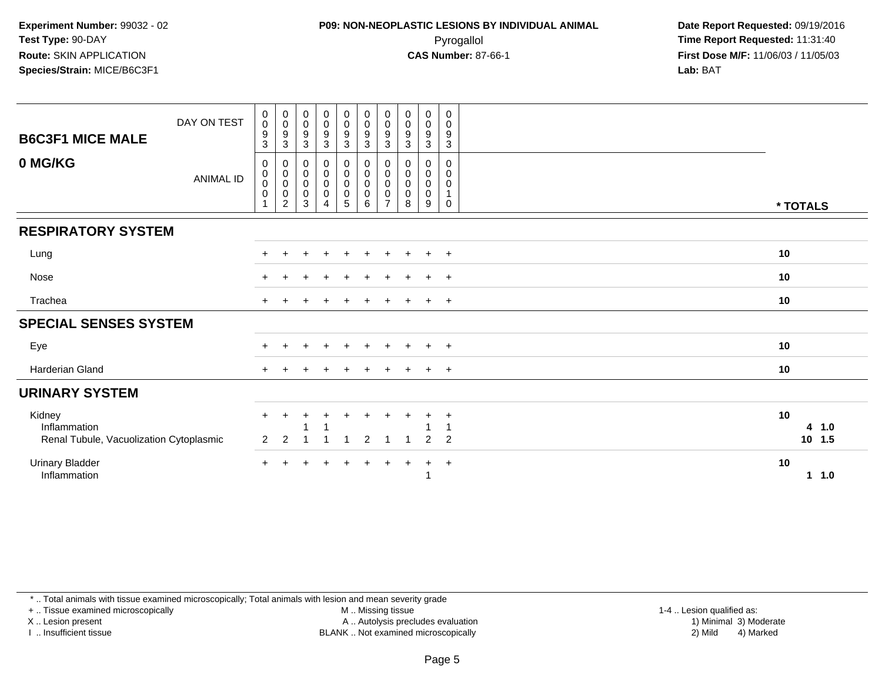### **P09: NON-NEOPLASTIC LESIONS BY INDIVIDUAL ANIMAL**Pyrogallol **Time Report Requested:** 11:31:40

 **Date Report Requested:** 09/19/2016 **First Dose M/F:** 11/06/03 / 11/05/03<br>**Lab:** BAT **Lab:** BAT

| <b>B6C3F1 MICE MALE</b>                                           | DAY ON TEST      | $\pmb{0}$<br>$\pmb{0}$<br>$\boldsymbol{9}$<br>$\ensuremath{\mathsf{3}}$ | 0<br>$\mathbf 0$<br>$\boldsymbol{9}$<br>$\mathbf{3}$                           | $_{\rm 0}^{\rm 0}$<br>$\boldsymbol{9}$<br>$\sqrt{3}$                          | $_{\rm 0}^{\rm 0}$<br>$\boldsymbol{9}$<br>$\sqrt{3}$            | $\begin{smallmatrix} 0\\0 \end{smallmatrix}$<br>$\frac{9}{3}$   | $\begin{smallmatrix} 0\\0 \end{smallmatrix}$<br>$\boldsymbol{9}$<br>$\sqrt{3}$ | 0<br>$\mathbf 0$<br>9<br>3                        | $_{\rm 0}^{\rm 0}$<br>9<br>$\mathbf 3$ | $_{\rm 0}^{\rm 0}$<br>$\boldsymbol{9}$<br>$\sqrt{3}$ | $\mathbf 0$<br>$\mathbf 0$<br>$\boldsymbol{9}$<br>$\mathsf 3$  |          |                 |
|-------------------------------------------------------------------|------------------|-------------------------------------------------------------------------|--------------------------------------------------------------------------------|-------------------------------------------------------------------------------|-----------------------------------------------------------------|-----------------------------------------------------------------|--------------------------------------------------------------------------------|---------------------------------------------------|----------------------------------------|------------------------------------------------------|----------------------------------------------------------------|----------|-----------------|
| 0 MG/KG                                                           | <b>ANIMAL ID</b> | 0<br>$\pmb{0}$<br>$\pmb{0}$<br>$\boldsymbol{0}$<br>1                    | 0<br>$\begin{smallmatrix}0\\0\end{smallmatrix}$<br>$\pmb{0}$<br>$\overline{c}$ | $\pmb{0}$<br>$\begin{smallmatrix} 0\\0 \end{smallmatrix}$<br>$\mathbf 0$<br>3 | $\begin{smallmatrix}0\0\0\0\end{smallmatrix}$<br>$\overline{4}$ | $\begin{smallmatrix}0\0\0\0\end{smallmatrix}$<br>$\overline{5}$ | $\begin{matrix} 0 \\ 0 \\ 0 \\ 0 \end{matrix}$<br>6                            | 0<br>$\pmb{0}$<br>$\mathbf 0$<br>$\mathbf 0$<br>7 | 0<br>0<br>$\pmb{0}$<br>0<br>8          | 0<br>$\pmb{0}$<br>$\pmb{0}$<br>$\pmb{0}$<br>9        | $\mathbf 0$<br>0<br>$\mathbf 0$<br>$\mathbf{1}$<br>$\mathbf 0$ | * TOTALS |                 |
| <b>RESPIRATORY SYSTEM</b>                                         |                  |                                                                         |                                                                                |                                                                               |                                                                 |                                                                 |                                                                                |                                                   |                                        |                                                      |                                                                |          |                 |
| Lung                                                              |                  |                                                                         |                                                                                |                                                                               |                                                                 |                                                                 |                                                                                |                                                   |                                        | $+$                                                  | $+$                                                            | 10       |                 |
| Nose                                                              |                  | $+$                                                                     |                                                                                |                                                                               |                                                                 | $\pm$                                                           | $\pm$                                                                          |                                                   | $\pm$                                  | $+$                                                  | $+$                                                            | 10       |                 |
| Trachea                                                           |                  |                                                                         |                                                                                |                                                                               |                                                                 |                                                                 |                                                                                |                                                   |                                        | $\ddot{}$                                            | $+$                                                            | 10       |                 |
| <b>SPECIAL SENSES SYSTEM</b>                                      |                  |                                                                         |                                                                                |                                                                               |                                                                 |                                                                 |                                                                                |                                                   |                                        |                                                      |                                                                |          |                 |
| Eye                                                               |                  | $+$                                                                     |                                                                                |                                                                               | $\div$                                                          | $\ddot{}$                                                       |                                                                                | $\ddot{}$                                         | $\pm$                                  | $+$                                                  | $+$                                                            | 10       |                 |
| <b>Harderian Gland</b>                                            |                  |                                                                         |                                                                                |                                                                               |                                                                 |                                                                 |                                                                                |                                                   |                                        |                                                      | $+$                                                            | 10       |                 |
| <b>URINARY SYSTEM</b>                                             |                  |                                                                         |                                                                                |                                                                               |                                                                 |                                                                 |                                                                                |                                                   |                                        |                                                      |                                                                |          |                 |
| Kidney<br>Inflammation<br>Renal Tubule, Vacuolization Cytoplasmic |                  | $+$<br>$\overline{2}$                                                   | +<br>$\overline{2}$                                                            |                                                                               | $\pm$                                                           | ÷<br>-4                                                         | $\overline{2}$                                                                 |                                                   |                                        | $\div$<br>2                                          | $\overline{+}$<br>-1<br>2                                      | 10       | 4 1.0<br>10 1.5 |
| <b>Urinary Bladder</b><br>Inflammation                            |                  |                                                                         |                                                                                |                                                                               |                                                                 |                                                                 | $\pm$                                                                          | $\pm$                                             | $\pm$                                  | $\ddot{}$                                            | $+$                                                            | 10       | 11.0            |

\* .. Total animals with tissue examined microscopically; Total animals with lesion and mean severity grade

+ .. Tissue examined microscopically

X .. Lesion present

I .. Insufficient tissue

M .. Missing tissue

Lesion present A .. Autolysis precludes evaluation 1) Minimal 3) Moderate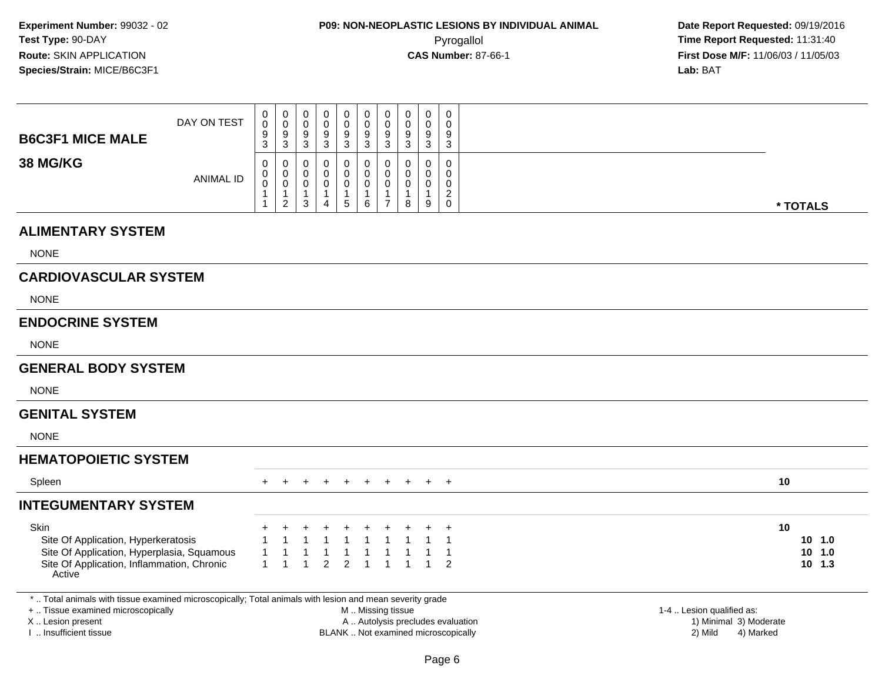| <b>B6C3F1 MICE MALE</b>                                                                                                                                                                       | DAY ON TEST      | 0<br>$\mathbf 0$<br>9<br>3                 | $\boldsymbol{0}$<br>0<br>9<br>$\mathbf{3}$                        | 0<br>0<br>9<br>3                           | 0<br>0<br>9<br>$\mathbf{3}$                   | $\pmb{0}$<br>0<br>$\boldsymbol{9}$<br>$\mathbf{3}$          | $\pmb{0}$<br>$\mathsf{O}\xspace$<br>9<br>$\ensuremath{\mathsf{3}}$ | $\mathbf 0$<br>$\mathbf 0$<br>9<br>$\mathbf{3}$                            | $\mathbf 0$<br>$\mathbf 0$<br>9<br>3   | 0<br>$\mathbf 0$<br>9<br>3                          | 0<br>$\Omega$<br>9<br>$\mathbf{3}$                                         |                                   |                                      |                                       |
|-----------------------------------------------------------------------------------------------------------------------------------------------------------------------------------------------|------------------|--------------------------------------------|-------------------------------------------------------------------|--------------------------------------------|-----------------------------------------------|-------------------------------------------------------------|--------------------------------------------------------------------|----------------------------------------------------------------------------|----------------------------------------|-----------------------------------------------------|----------------------------------------------------------------------------|-----------------------------------|--------------------------------------|---------------------------------------|
| <b>38 MG/KG</b>                                                                                                                                                                               | <b>ANIMAL ID</b> | 0<br>0<br>$\mathbf 0$<br>$\mathbf{1}$<br>1 | 0<br>$\mathbf 0$<br>$\mathbf 0$<br>$\mathbf{1}$<br>$\overline{2}$ | 0<br>0<br>$\mathbf 0$<br>$\mathbf{1}$<br>3 | 0<br>0<br>0<br>$\mathbf{1}$<br>$\overline{4}$ | $\mathbf 0$<br>$\pmb{0}$<br>0<br>$\mathbf{1}$<br>$\sqrt{5}$ | $\mathbf 0$<br>$\pmb{0}$<br>$\mathbf 0$<br>$\overline{1}$<br>6     | $\Omega$<br>$\mathbf 0$<br>$\mathbf 0$<br>$\overline{1}$<br>$\overline{7}$ | $\Omega$<br>0<br>$\mathbf 0$<br>1<br>8 | $\mathbf 0$<br>$\mathbf 0$<br>$\mathbf 0$<br>1<br>9 | $\mathbf 0$<br>$\mathbf 0$<br>$\mathbf 0$<br>$\overline{c}$<br>$\mathbf 0$ |                                   |                                      | * TOTALS                              |
| <b>ALIMENTARY SYSTEM</b>                                                                                                                                                                      |                  |                                            |                                                                   |                                            |                                               |                                                             |                                                                    |                                                                            |                                        |                                                     |                                                                            |                                   |                                      |                                       |
| <b>NONE</b>                                                                                                                                                                                   |                  |                                            |                                                                   |                                            |                                               |                                                             |                                                                    |                                                                            |                                        |                                                     |                                                                            |                                   |                                      |                                       |
| <b>CARDIOVASCULAR SYSTEM</b>                                                                                                                                                                  |                  |                                            |                                                                   |                                            |                                               |                                                             |                                                                    |                                                                            |                                        |                                                     |                                                                            |                                   |                                      |                                       |
| <b>NONE</b>                                                                                                                                                                                   |                  |                                            |                                                                   |                                            |                                               |                                                             |                                                                    |                                                                            |                                        |                                                     |                                                                            |                                   |                                      |                                       |
| <b>ENDOCRINE SYSTEM</b>                                                                                                                                                                       |                  |                                            |                                                                   |                                            |                                               |                                                             |                                                                    |                                                                            |                                        |                                                     |                                                                            |                                   |                                      |                                       |
| <b>NONE</b>                                                                                                                                                                                   |                  |                                            |                                                                   |                                            |                                               |                                                             |                                                                    |                                                                            |                                        |                                                     |                                                                            |                                   |                                      |                                       |
| <b>GENERAL BODY SYSTEM</b>                                                                                                                                                                    |                  |                                            |                                                                   |                                            |                                               |                                                             |                                                                    |                                                                            |                                        |                                                     |                                                                            |                                   |                                      |                                       |
| <b>NONE</b>                                                                                                                                                                                   |                  |                                            |                                                                   |                                            |                                               |                                                             |                                                                    |                                                                            |                                        |                                                     |                                                                            |                                   |                                      |                                       |
| <b>GENITAL SYSTEM</b>                                                                                                                                                                         |                  |                                            |                                                                   |                                            |                                               |                                                             |                                                                    |                                                                            |                                        |                                                     |                                                                            |                                   |                                      |                                       |
| <b>NONE</b>                                                                                                                                                                                   |                  |                                            |                                                                   |                                            |                                               |                                                             |                                                                    |                                                                            |                                        |                                                     |                                                                            |                                   |                                      |                                       |
| <b>HEMATOPOIETIC SYSTEM</b>                                                                                                                                                                   |                  |                                            |                                                                   |                                            |                                               |                                                             |                                                                    |                                                                            |                                        |                                                     |                                                                            |                                   |                                      |                                       |
| Spleen                                                                                                                                                                                        |                  |                                            |                                                                   |                                            |                                               |                                                             |                                                                    |                                                                            |                                        |                                                     | $+$                                                                        |                                   |                                      | 10                                    |
| <b>INTEGUMENTARY SYSTEM</b>                                                                                                                                                                   |                  |                                            |                                                                   |                                            |                                               |                                                             |                                                                    |                                                                            |                                        |                                                     |                                                                            |                                   |                                      |                                       |
| <b>Skin</b><br>Site Of Application, Hyperkeratosis<br>Site Of Application, Hyperplasia, Squamous<br>Site Of Application, Inflammation, Chronic<br>Active                                      |                  | 1<br>$\mathbf{1}$                          | $\mathbf 1$                                                       | $\overline{1}$                             | 2                                             | $\overline{2}$                                              | -1<br>$\overline{1}$                                               | -1<br>$\overline{1}$                                                       | $\mathbf{1}$                           |                                                     | $\mathbf 1$<br>$\overline{2}$                                              |                                   |                                      | 10<br>10, 1.0<br>$10$ 1.0<br>$10$ 1.3 |
| *  Total animals with tissue examined microscopically; Total animals with lesion and mean severity grade<br>+  Tissue examined microscopically<br>X  Lesion present<br>I  Insufficient tissue |                  |                                            |                                                                   |                                            |                                               |                                                             | M  Missing tissue                                                  |                                                                            |                                        |                                                     | BLANK  Not examined microscopically                                        | A  Autolysis precludes evaluation | 1-4  Lesion qualified as:<br>2) Mild | 1) Minimal 3) Moderate<br>4) Marked   |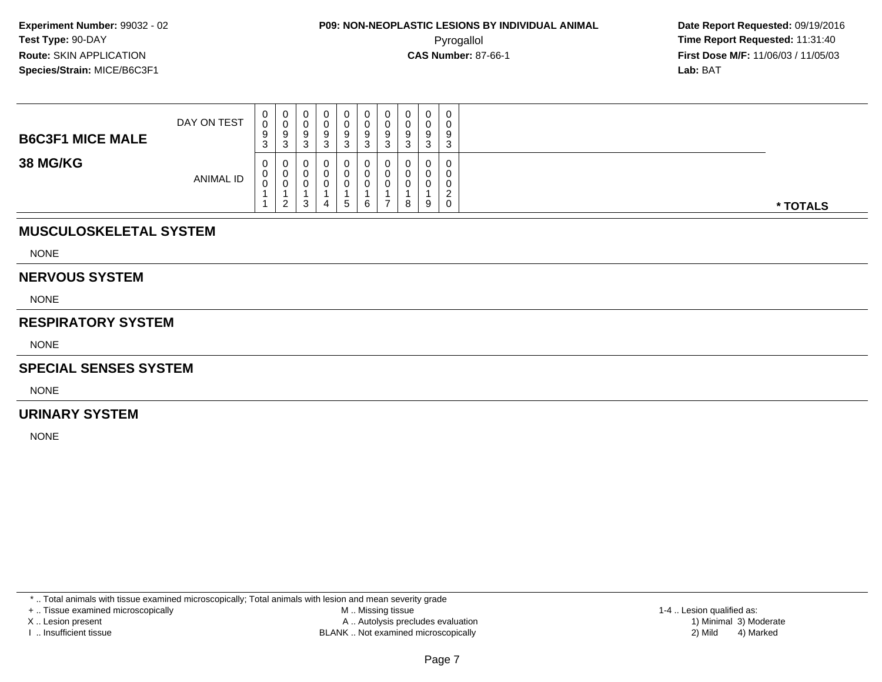| <b>B6C3F1 MICE MALE</b> | DAY ON TEST      | U<br>$\sim$<br>$\Omega$<br>ອ<br><sup>o</sup><br>ັ | U<br>◡<br>ು | 0<br>ν<br>9<br>◠<br>د | o<br>◡<br>ົ | U<br>0<br>9<br>3 | 0<br>0<br>9<br>ົ<br>◡ | a<br>◡<br>ີ<br>J |   | $\mathbf 0$<br>U<br>9<br>3      | 0<br>0<br>9<br>3                       |          |
|-------------------------|------------------|---------------------------------------------------|-------------|-----------------------|-------------|------------------|-----------------------|------------------|---|---------------------------------|----------------------------------------|----------|
| <b>38 MG/KG</b>         | <b>ANIMAL ID</b> | $\mathbf{0}$<br>U<br>⌒<br>υ                       | ◡<br>ົ<br>∠ | υ<br>υ<br>υ<br>3      | U<br>U<br>4 | 0<br>0<br>0<br>5 | 0<br>0<br>0<br>6      | -                | 8 | $\sim$<br>υ<br>$\sim$<br>u<br>9 | 0<br>0<br>0<br>$\sim$<br><u>_</u><br>0 | * TOTALS |

#### **MUSCULOSKELETAL SYSTEM**

NONE

#### **NERVOUS SYSTEM**

NONE

#### **RESPIRATORY SYSTEM**

NONE

#### **SPECIAL SENSES SYSTEM**

NONE

#### **URINARY SYSTEM**

NONE

\* .. Total animals with tissue examined microscopically; Total animals with lesion and mean severity grade

+ .. Tissue examined microscopically

X .. Lesion present

I .. Insufficient tissue

 M .. Missing tissueA .. Autolysis precludes evaluation

 1-4 .. Lesion qualified as: BLANK .. Not examined microscopically 2) Mild 4) Marked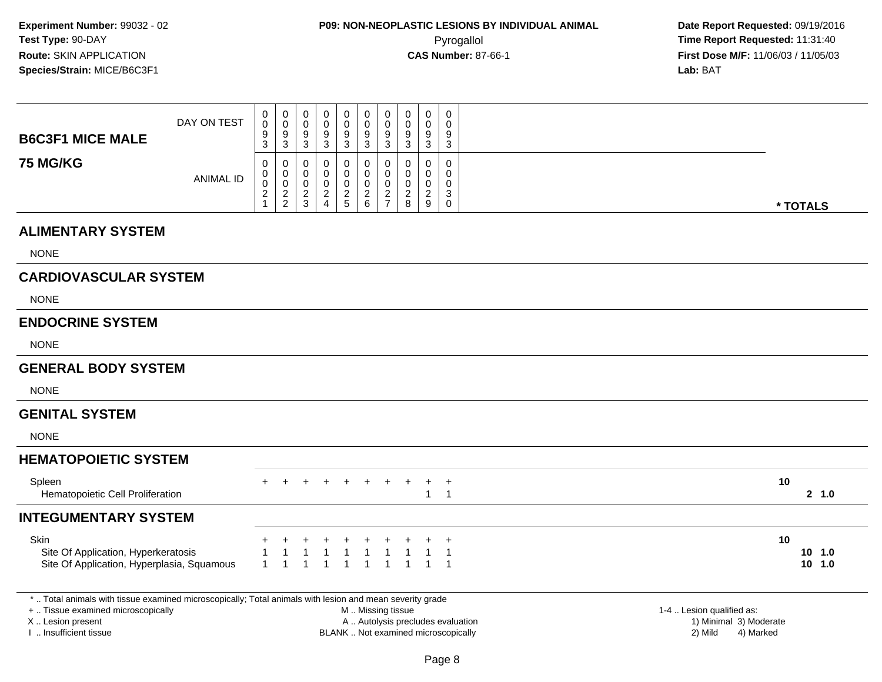| <b>B6C3F1 MICE MALE</b>                                                                                                                                                                       | DAY ON TEST      | 0<br>$\mathbf 0$<br>9<br>3                                        | $\pmb{0}$<br>$\pmb{0}$<br>$\overline{9}$<br>$\mathbf{3}$ | 0<br>$\mathsf 0$<br>9<br>$\mathbf{3}$            | 0<br>0<br>$\boldsymbol{9}$<br>$\ensuremath{\mathsf{3}}$ | 0<br>$\mathbf 0$<br>9<br>$\ensuremath{\mathsf{3}}$         | $\pmb{0}$<br>$\pmb{0}$<br>$\boldsymbol{9}$<br>$\ensuremath{\mathsf{3}}$ | $\mathbf 0$<br>$\mathbf 0$<br>9<br>3          | $\pmb{0}$<br>$\mathbf 0$<br>9<br>$\sqrt{3}$                 | $\mathbf 0$<br>0<br>9<br>$\sqrt{3}$                    | $\pmb{0}$<br>$\mathbf 0$<br>9<br>$\mathbf{3}$                        |                                                                          |                                                                             |          |                       |
|-----------------------------------------------------------------------------------------------------------------------------------------------------------------------------------------------|------------------|-------------------------------------------------------------------|----------------------------------------------------------|--------------------------------------------------|---------------------------------------------------------|------------------------------------------------------------|-------------------------------------------------------------------------|-----------------------------------------------|-------------------------------------------------------------|--------------------------------------------------------|----------------------------------------------------------------------|--------------------------------------------------------------------------|-----------------------------------------------------------------------------|----------|-----------------------|
| <b>75 MG/KG</b>                                                                                                                                                                               | <b>ANIMAL ID</b> | $\mathbf 0$<br>0<br>$\mathbf 0$<br>$\overline{a}$<br>$\mathbf{1}$ | 0<br>$\mathbf 0$<br>$\mathsf{O}\xspace$<br>$\frac{2}{2}$ | $\mathbf 0$<br>0<br>$\mathsf 0$<br>$\frac{2}{3}$ | 0<br>0<br>$\mathbf 0$<br>$\frac{2}{4}$                  | $\mathbf 0$<br>$\mathbf 0$<br>$\mathbf 0$<br>$\frac{2}{5}$ | $\mathbf 0$<br>$\mathbf 0$<br>$\pmb{0}$<br>$\frac{2}{6}$                | $\Omega$<br>0<br>$\mathbf 0$<br>$\frac{2}{7}$ | 0<br>0<br>$\mathbf 0$<br>$\overline{\mathbf{c}}$<br>$\bf 8$ | $\mathbf 0$<br>0<br>$\mathbf 0$<br>$\overline{2}$<br>9 | $\mathbf 0$<br>$\mathbf 0$<br>$\mathbf 0$<br>$\mathbf{3}$<br>$\,0\,$ |                                                                          |                                                                             | * TOTALS |                       |
| <b>ALIMENTARY SYSTEM</b>                                                                                                                                                                      |                  |                                                                   |                                                          |                                                  |                                                         |                                                            |                                                                         |                                               |                                                             |                                                        |                                                                      |                                                                          |                                                                             |          |                       |
| <b>NONE</b>                                                                                                                                                                                   |                  |                                                                   |                                                          |                                                  |                                                         |                                                            |                                                                         |                                               |                                                             |                                                        |                                                                      |                                                                          |                                                                             |          |                       |
| <b>CARDIOVASCULAR SYSTEM</b>                                                                                                                                                                  |                  |                                                                   |                                                          |                                                  |                                                         |                                                            |                                                                         |                                               |                                                             |                                                        |                                                                      |                                                                          |                                                                             |          |                       |
| <b>NONE</b>                                                                                                                                                                                   |                  |                                                                   |                                                          |                                                  |                                                         |                                                            |                                                                         |                                               |                                                             |                                                        |                                                                      |                                                                          |                                                                             |          |                       |
| <b>ENDOCRINE SYSTEM</b>                                                                                                                                                                       |                  |                                                                   |                                                          |                                                  |                                                         |                                                            |                                                                         |                                               |                                                             |                                                        |                                                                      |                                                                          |                                                                             |          |                       |
| <b>NONE</b>                                                                                                                                                                                   |                  |                                                                   |                                                          |                                                  |                                                         |                                                            |                                                                         |                                               |                                                             |                                                        |                                                                      |                                                                          |                                                                             |          |                       |
| <b>GENERAL BODY SYSTEM</b>                                                                                                                                                                    |                  |                                                                   |                                                          |                                                  |                                                         |                                                            |                                                                         |                                               |                                                             |                                                        |                                                                      |                                                                          |                                                                             |          |                       |
| <b>NONE</b>                                                                                                                                                                                   |                  |                                                                   |                                                          |                                                  |                                                         |                                                            |                                                                         |                                               |                                                             |                                                        |                                                                      |                                                                          |                                                                             |          |                       |
| <b>GENITAL SYSTEM</b>                                                                                                                                                                         |                  |                                                                   |                                                          |                                                  |                                                         |                                                            |                                                                         |                                               |                                                             |                                                        |                                                                      |                                                                          |                                                                             |          |                       |
| <b>NONE</b>                                                                                                                                                                                   |                  |                                                                   |                                                          |                                                  |                                                         |                                                            |                                                                         |                                               |                                                             |                                                        |                                                                      |                                                                          |                                                                             |          |                       |
| <b>HEMATOPOIETIC SYSTEM</b>                                                                                                                                                                   |                  |                                                                   |                                                          |                                                  |                                                         |                                                            |                                                                         |                                               |                                                             |                                                        |                                                                      |                                                                          |                                                                             |          |                       |
| Spleen<br>Hematopoietic Cell Proliferation                                                                                                                                                    |                  |                                                                   |                                                          |                                                  |                                                         |                                                            |                                                                         |                                               |                                                             | $\ddot{}$<br>$\mathbf{1}$                              | $\overline{+}$<br>$\overline{1}$                                     |                                                                          |                                                                             | 10       | 2, 1.0                |
| <b>INTEGUMENTARY SYSTEM</b>                                                                                                                                                                   |                  |                                                                   |                                                          |                                                  |                                                         |                                                            |                                                                         |                                               |                                                             |                                                        |                                                                      |                                                                          |                                                                             |          |                       |
| Skin<br>Site Of Application, Hyperkeratosis<br>Site Of Application, Hyperplasia, Squamous                                                                                                     |                  | $\mathbf{1}$                                                      | 1                                                        | $\overline{1}$                                   | -1                                                      | -1                                                         | $\mathbf{1}$                                                            | $\mathbf{1}$                                  | $\mathbf{1}$<br>$\mathbf{1}$                                |                                                        | $\ddot{}$<br>$\overline{1}$<br>-1                                    |                                                                          |                                                                             | 10       | 10, 1.0<br>$10$ $1.0$ |
| *  Total animals with tissue examined microscopically; Total animals with lesion and mean severity grade<br>+  Tissue examined microscopically<br>X  Lesion present<br>I  Insufficient tissue |                  |                                                                   |                                                          |                                                  |                                                         |                                                            | M  Missing tissue                                                       |                                               |                                                             |                                                        |                                                                      | A  Autolysis precludes evaluation<br>BLANK  Not examined microscopically | 1-4  Lesion qualified as:<br>1) Minimal 3) Moderate<br>2) Mild<br>4) Marked |          |                       |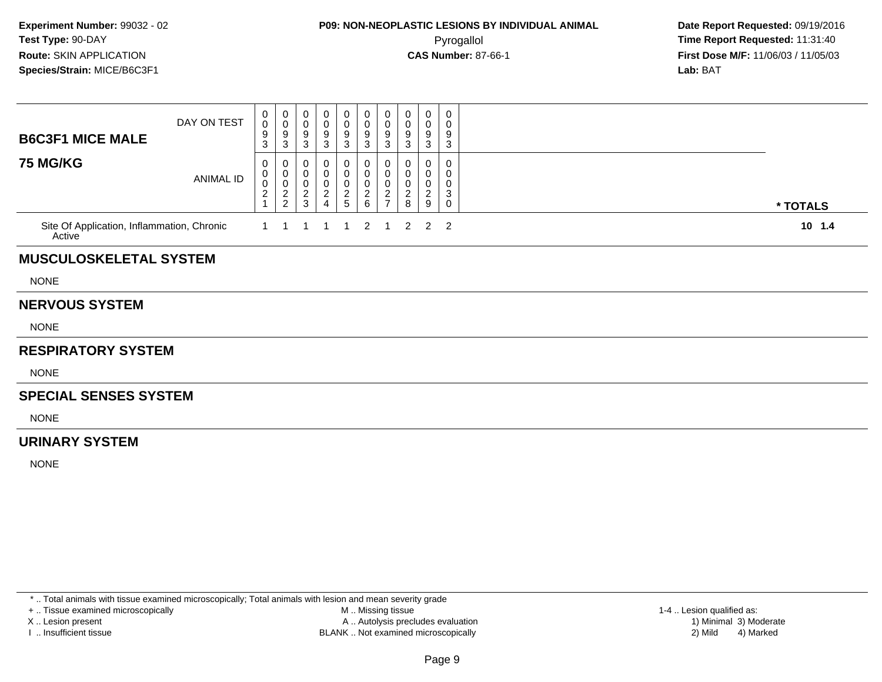### **P09: NON-NEOPLASTIC LESIONS BY INDIVIDUAL ANIMAL**Pyrogallol **Time Report Requested:** 11:31:40

 **Date Report Requested:** 09/19/2016 **First Dose M/F:** 11/06/03 / 11/05/03<br>**Lab:** BAT **Lab:** BAT

| <b>B6C3F1 MICE MALE</b>                              | DAY ON TEST | 0<br>$\boldsymbol{0}$<br>9<br>3         | 0<br>$\pmb{0}$<br>$\boldsymbol{9}$<br>$\mathbf{3}$ | 0<br>$\pmb{0}$<br>$\boldsymbol{9}$<br>$\sqrt{3}$ | 0<br>0<br>9<br>$\mathbf{3}$                 | 0<br>$\pmb{0}$<br>$\boldsymbol{9}$<br>$\mathbf{3}$           | 0<br>0<br>$\boldsymbol{9}$<br>$\mathbf{3}$ | $\begin{smallmatrix} 0\\0 \end{smallmatrix}$<br>$\boldsymbol{9}$<br>$\mathbf{3}$ | 0<br>0<br>9<br>3                            | 0<br>0<br>9<br>3                   | 0<br>0<br>9<br>$\ensuremath{\mathsf{3}}$ |          |
|------------------------------------------------------|-------------|-----------------------------------------|----------------------------------------------------|--------------------------------------------------|---------------------------------------------|--------------------------------------------------------------|--------------------------------------------|----------------------------------------------------------------------------------|---------------------------------------------|------------------------------------|------------------------------------------|----------|
| <b>75 MG/KG</b>                                      | ANIMAL ID   | 0<br>0<br>$\mathbf 0$<br>$\overline{c}$ | 0<br>$\pmb{0}$<br>$\pmb{0}$<br>$\frac{2}{2}$       | 0<br>$\,0\,$<br>$\pmb{0}$<br>$\frac{2}{3}$       | O<br>0<br>0<br>$\sqrt{2}$<br>$\overline{4}$ | 0<br>$\pmb{0}$<br>$\begin{array}{c} 0 \\ 2 \\ 5 \end{array}$ | 0<br>0<br>0<br>$\frac{2}{6}$               | 0<br>$\mathsf 0$<br>$\pmb{0}$<br>$\frac{2}{7}$                                   | 0<br>0<br>0<br>$\overline{\mathbf{c}}$<br>8 | 0<br>0<br>0<br>$\overline{c}$<br>9 | 0<br>0<br>0<br>3<br>$\mathbf 0$          | * TOTALS |
| Site Of Application, Inflammation, Chronic<br>Active |             |                                         |                                                    |                                                  |                                             |                                                              | 2                                          | -1                                                                               | $\overline{2}$                              | $\overline{2}$                     | $\overline{2}$                           | $10$ 1.4 |
| <b>MUSCULOSKELETAL SYSTEM</b>                        |             |                                         |                                                    |                                                  |                                             |                                                              |                                            |                                                                                  |                                             |                                    |                                          |          |
| <b>NONE</b>                                          |             |                                         |                                                    |                                                  |                                             |                                                              |                                            |                                                                                  |                                             |                                    |                                          |          |
| <b>NERVOUS SYSTEM</b>                                |             |                                         |                                                    |                                                  |                                             |                                                              |                                            |                                                                                  |                                             |                                    |                                          |          |
| <b>NONE</b>                                          |             |                                         |                                                    |                                                  |                                             |                                                              |                                            |                                                                                  |                                             |                                    |                                          |          |
| <b>RESPIRATORY SYSTEM</b>                            |             |                                         |                                                    |                                                  |                                             |                                                              |                                            |                                                                                  |                                             |                                    |                                          |          |
| <b>NONE</b>                                          |             |                                         |                                                    |                                                  |                                             |                                                              |                                            |                                                                                  |                                             |                                    |                                          |          |
| <b>SPECIAL SENSES SYSTEM</b>                         |             |                                         |                                                    |                                                  |                                             |                                                              |                                            |                                                                                  |                                             |                                    |                                          |          |
| <b>NONE</b>                                          |             |                                         |                                                    |                                                  |                                             |                                                              |                                            |                                                                                  |                                             |                                    |                                          |          |
| <b>URINARY SYSTEM</b>                                |             |                                         |                                                    |                                                  |                                             |                                                              |                                            |                                                                                  |                                             |                                    |                                          |          |
| <b>NONE</b>                                          |             |                                         |                                                    |                                                  |                                             |                                                              |                                            |                                                                                  |                                             |                                    |                                          |          |

\* .. Total animals with tissue examined microscopically; Total animals with lesion and mean severity grade

+ .. Tissue examined microscopically

X .. Lesion present

I .. Insufficient tissue

 M .. Missing tissueA .. Autolysis precludes evaluation

BLANK .. Not examined microscopically 2) Mild 4) Marked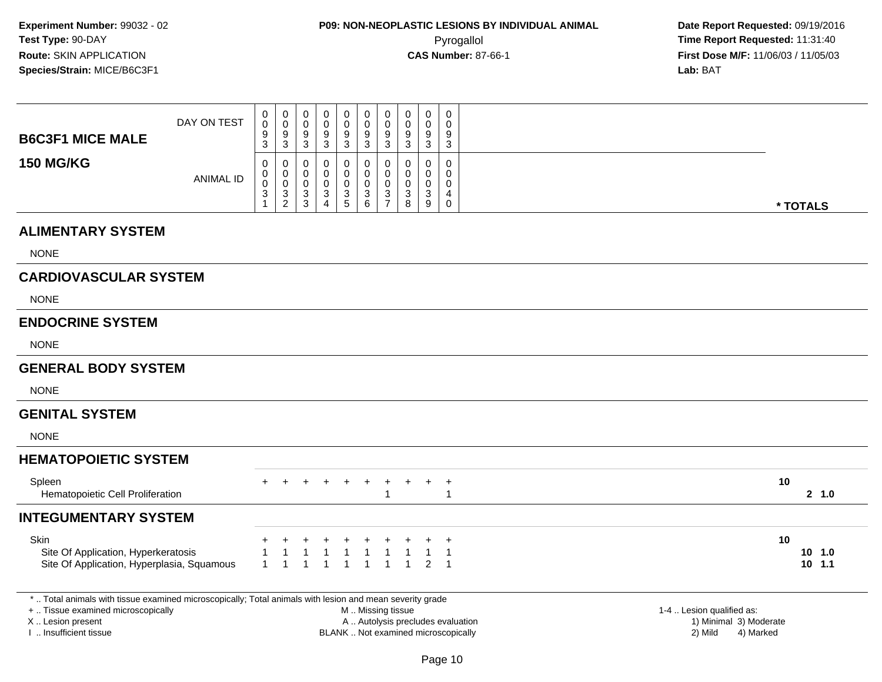**Date Report Requested:** 09/19/2016 **First Dose M/F:** 11/06/03 / 11/05/03<br>**Lab:** BAT **Lab:** BAT

| <b>B6C3F1 MICE MALE</b>                     | DAY ON TEST                                | 0<br>0<br>9<br>3 | $\pmb{0}$<br>$\pmb{0}$<br>9<br>$\mathsf 3$     | $\mathbf 0$<br>$\,0\,$<br>9<br>$\ensuremath{\mathsf{3}}$ | 0<br>0<br>9<br>$\mathbf{3}$ | $\pmb{0}$<br>$\pmb{0}$<br>$\boldsymbol{9}$<br>$\sqrt{3}$ | 0<br>$\pmb{0}$<br>9<br>$\ensuremath{\mathsf{3}}$ | $\pmb{0}$<br>$\mathbf 0$<br>9<br>$\mathbf{3}$         | 0<br>0<br>9<br>3                | 0<br>$\mathbf 0$<br>9<br>$\ensuremath{\mathsf{3}}$           | 0<br>$\Omega$<br>9<br>$\mathbf{3}$                 |    |                      |
|---------------------------------------------|--------------------------------------------|------------------|------------------------------------------------|----------------------------------------------------------|-----------------------------|----------------------------------------------------------|--------------------------------------------------|-------------------------------------------------------|---------------------------------|--------------------------------------------------------------|----------------------------------------------------|----|----------------------|
| <b>150 MG/KG</b>                            | <b>ANIMAL ID</b>                           | 0<br>0<br>0<br>3 | 0<br>$\mathbf 0$<br>$\pmb{0}$<br>$\frac{3}{2}$ | 0<br>0<br>$\boldsymbol{0}$<br>$\frac{3}{3}$              | 0<br>0<br>0<br>3<br>4       | 0<br>0<br>$\pmb{0}$<br>$\frac{3}{5}$                     | 0<br>0<br>0<br>$\sqrt{3}$<br>$6\phantom{a}$      | 0<br>$\mathbf 0$<br>0<br>$\sqrt{3}$<br>$\overline{7}$ | 0<br>$\mathbf 0$<br>0<br>3<br>8 | 0<br>0<br>0<br>$\ensuremath{\mathsf{3}}$<br>$\boldsymbol{9}$ | 0<br>$\Omega$<br>0<br>4<br>0                       |    | * TOTALS             |
| <b>ALIMENTARY SYSTEM</b>                    |                                            |                  |                                                |                                                          |                             |                                                          |                                                  |                                                       |                                 |                                                              |                                                    |    |                      |
| <b>NONE</b>                                 |                                            |                  |                                                |                                                          |                             |                                                          |                                                  |                                                       |                                 |                                                              |                                                    |    |                      |
| <b>CARDIOVASCULAR SYSTEM</b>                |                                            |                  |                                                |                                                          |                             |                                                          |                                                  |                                                       |                                 |                                                              |                                                    |    |                      |
| <b>NONE</b>                                 |                                            |                  |                                                |                                                          |                             |                                                          |                                                  |                                                       |                                 |                                                              |                                                    |    |                      |
| <b>ENDOCRINE SYSTEM</b>                     |                                            |                  |                                                |                                                          |                             |                                                          |                                                  |                                                       |                                 |                                                              |                                                    |    |                      |
| <b>NONE</b>                                 |                                            |                  |                                                |                                                          |                             |                                                          |                                                  |                                                       |                                 |                                                              |                                                    |    |                      |
| <b>GENERAL BODY SYSTEM</b>                  |                                            |                  |                                                |                                                          |                             |                                                          |                                                  |                                                       |                                 |                                                              |                                                    |    |                      |
| <b>NONE</b>                                 |                                            |                  |                                                |                                                          |                             |                                                          |                                                  |                                                       |                                 |                                                              |                                                    |    |                      |
| <b>GENITAL SYSTEM</b>                       |                                            |                  |                                                |                                                          |                             |                                                          |                                                  |                                                       |                                 |                                                              |                                                    |    |                      |
| <b>NONE</b>                                 |                                            |                  |                                                |                                                          |                             |                                                          |                                                  |                                                       |                                 |                                                              |                                                    |    |                      |
| <b>HEMATOPOIETIC SYSTEM</b>                 |                                            |                  |                                                |                                                          |                             |                                                          |                                                  |                                                       |                                 |                                                              |                                                    |    |                      |
| Spleen<br>Hematopoietic Cell Proliferation  |                                            | $\pm$            |                                                |                                                          |                             |                                                          | $+$                                              |                                                       |                                 |                                                              | $^{+}$<br>-1                                       | 10 | 2, 1.0               |
| <b>INTEGUMENTARY SYSTEM</b>                 |                                            |                  |                                                |                                                          |                             |                                                          |                                                  |                                                       |                                 |                                                              |                                                    |    |                      |
| Skin<br>Site Of Application, Hyperkeratosis | Site Of Application, Hyperplasia, Squamous | $\mathbf{1}$     |                                                | $\overline{1}$                                           |                             | $\overline{\mathbf{1}}$<br>$\overline{1}$                | $\overline{1}$<br>$\overline{1}$                 | $\mathbf{1}$                                          | $\overline{1}$                  | $\overline{2}$                                               | $\overline{1}$<br>$\overline{1}$<br>$\overline{1}$ | 10 | $10$ 1.0<br>$10$ 1.1 |

+ .. Tissue examined microscopically

X .. Lesion present

I .. Insufficient tissue

 M .. Missing tissueA .. Autolysis precludes evaluation 1) Minimal 30 (1) Minimal 30 (1) Minimal 3) Minimal 3) Minimal 3) Minimal 3<br>1) Minimal 30 (1) Minimal 3) Mild

BLANK .. Not examined microscopically 2) Mild 4) Marked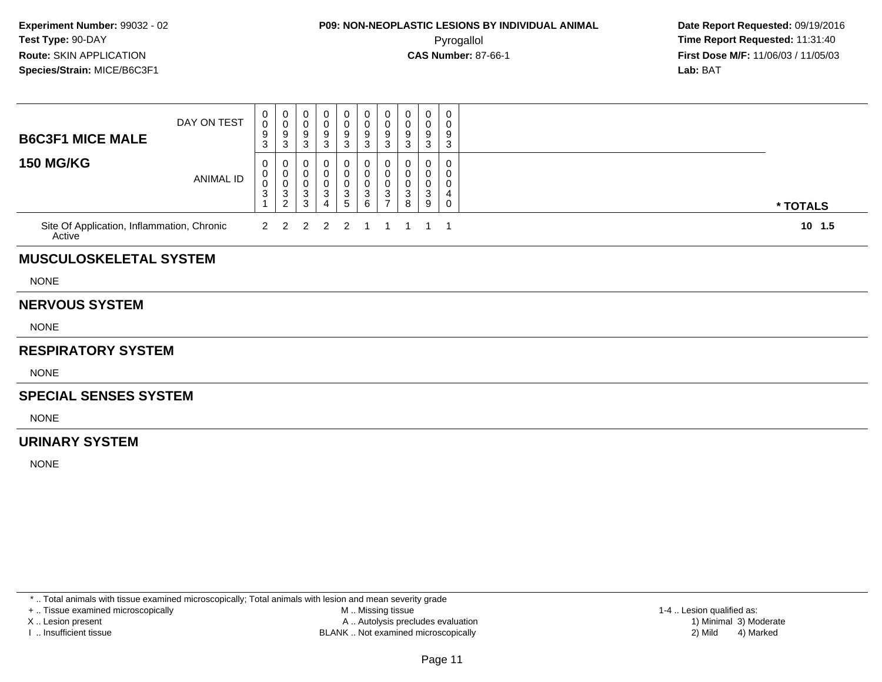### **P09: NON-NEOPLASTIC LESIONS BY INDIVIDUAL ANIMAL**Pyrogallol **Time Report Requested:** 11:31:40

 **Date Report Requested:** 09/19/2016 **First Dose M/F:** 11/06/03 / 11/05/03<br>**Lab:** BAT **Lab:** BAT

| <b>B6C3F1 MICE MALE</b>                              | DAY ON TEST      | $\mathbf 0$<br>0<br>9<br>3      | $\begin{array}{c} 0 \\ 0 \\ 9 \\ 3 \end{array}$               | 0<br>$\,0\,$<br>9<br>$\mathbf{3}$                 | 0<br>0<br>9<br>3                   | 0<br>$\pmb{0}$<br>$9\,$<br>$\mathbf{3}$                    | 0<br>0<br>9<br>$\mathbf{3}$                           | 0<br>$\mathbf 0$<br>9<br>$\mathbf{3}$                             | 0<br>0<br>9<br>3      | 0<br>0<br>9<br>3                              | $\mathbf 0$<br>0<br>9<br>3                 |          |
|------------------------------------------------------|------------------|---------------------------------|---------------------------------------------------------------|---------------------------------------------------|------------------------------------|------------------------------------------------------------|-------------------------------------------------------|-------------------------------------------------------------------|-----------------------|-----------------------------------------------|--------------------------------------------|----------|
| <b>150 MG/KG</b>                                     | <b>ANIMAL ID</b> | 0<br>0<br>$\boldsymbol{0}$<br>3 | 0<br>$\mathbf 0$<br>$\pmb{0}$<br>$\sqrt{3}$<br>$\overline{2}$ | 0<br>0<br>$\pmb{0}$<br>$\sqrt{3}$<br>$\mathbf{3}$ | 0<br>0<br>0<br>3<br>$\overline{4}$ | 0<br>$\mathbf 0$<br>$\pmb{0}$<br>$\mathbf 3$<br>$\sqrt{5}$ | 0<br>0<br>$\pmb{0}$<br>$\ensuremath{\mathsf{3}}$<br>6 | 0<br>$\mathbf 0$<br>$\mathbf 0$<br>$\mathbf{3}$<br>$\overline{7}$ | 0<br>0<br>0<br>3<br>8 | 0<br>0<br>0<br>$\ensuremath{\mathsf{3}}$<br>9 | $\mathbf{0}$<br>0<br>0<br>4<br>$\mathbf 0$ | * TOTALS |
| Site Of Application, Inflammation, Chronic<br>Active |                  | $\overline{2}$                  | 2                                                             | $\overline{2}$                                    | $\overline{2}$                     | 2                                                          | -1                                                    | 1                                                                 |                       |                                               | -1                                         | $10$ 1.5 |
| <b>MUSCULOSKELETAL SYSTEM</b>                        |                  |                                 |                                                               |                                                   |                                    |                                                            |                                                       |                                                                   |                       |                                               |                                            |          |
| <b>NONE</b>                                          |                  |                                 |                                                               |                                                   |                                    |                                                            |                                                       |                                                                   |                       |                                               |                                            |          |
| <b>NERVOUS SYSTEM</b>                                |                  |                                 |                                                               |                                                   |                                    |                                                            |                                                       |                                                                   |                       |                                               |                                            |          |
| <b>NONE</b>                                          |                  |                                 |                                                               |                                                   |                                    |                                                            |                                                       |                                                                   |                       |                                               |                                            |          |
| <b>RESPIRATORY SYSTEM</b>                            |                  |                                 |                                                               |                                                   |                                    |                                                            |                                                       |                                                                   |                       |                                               |                                            |          |
| <b>NONE</b>                                          |                  |                                 |                                                               |                                                   |                                    |                                                            |                                                       |                                                                   |                       |                                               |                                            |          |
| <b>SPECIAL SENSES SYSTEM</b>                         |                  |                                 |                                                               |                                                   |                                    |                                                            |                                                       |                                                                   |                       |                                               |                                            |          |
| <b>NONE</b>                                          |                  |                                 |                                                               |                                                   |                                    |                                                            |                                                       |                                                                   |                       |                                               |                                            |          |
| <b>URINARY SYSTEM</b>                                |                  |                                 |                                                               |                                                   |                                    |                                                            |                                                       |                                                                   |                       |                                               |                                            |          |
| <b>NONE</b>                                          |                  |                                 |                                                               |                                                   |                                    |                                                            |                                                       |                                                                   |                       |                                               |                                            |          |
|                                                      |                  |                                 |                                                               |                                                   |                                    |                                                            |                                                       |                                                                   |                       |                                               |                                            |          |

\* .. Total animals with tissue examined microscopically; Total animals with lesion and mean severity grade

+ .. Tissue examined microscopically

X .. Lesion present

I .. Insufficient tissue

 M .. Missing tissueA .. Autolysis precludes evaluation

BLANK .. Not examined microscopically 2) Mild 4) Marked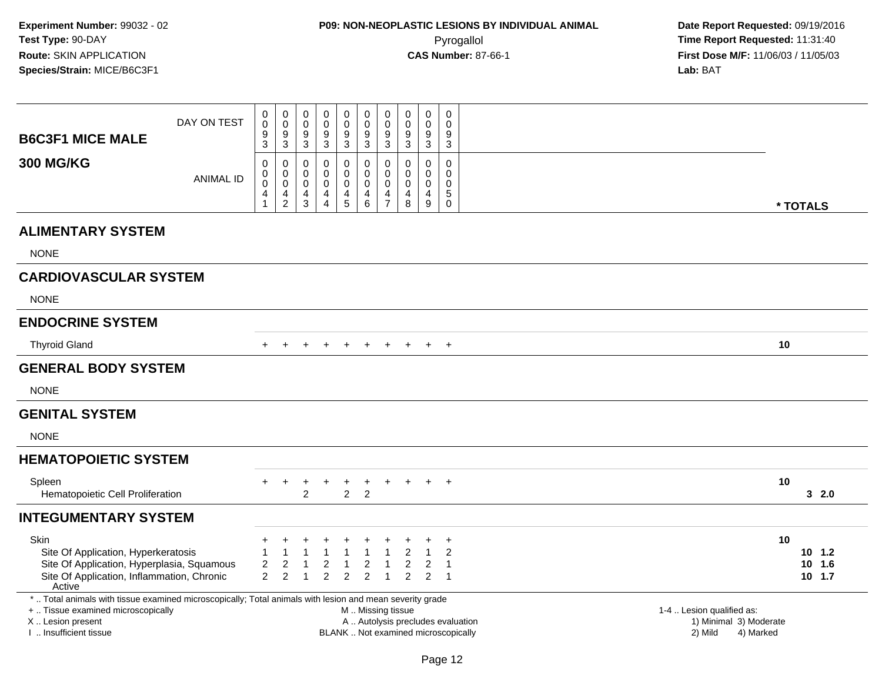| <b>B6C3F1 MICE MALE</b>                                                                                  | DAY ON TEST      | 0<br>$\pmb{0}$<br>9<br>3 | 0<br>0<br>9<br>$\mathbf{3}$                               | 0<br>0<br>9<br>$\mathbf{3}$                                       | 0<br>0<br>9<br>$\mathsf 3$                                       | $\mathbf 0$<br>$\mathbf 0$<br>9<br>$\mathbf{3}$     | $\pmb{0}$<br>$\mathbf 0$<br>$\boldsymbol{9}$<br>$\sqrt{3}$ | 0<br>$\mathbf 0$<br>9<br>$\mathbf{3}$                               | 0<br>0<br>9<br>3             | 0<br>0<br>9<br>$\mathbf{3}$                              | $\mathbf 0$<br>$\mathbf 0$<br>9<br>$\mathbf{3}$     |                                                                          |                                                |                  |
|----------------------------------------------------------------------------------------------------------|------------------|--------------------------|-----------------------------------------------------------|-------------------------------------------------------------------|------------------------------------------------------------------|-----------------------------------------------------|------------------------------------------------------------|---------------------------------------------------------------------|------------------------------|----------------------------------------------------------|-----------------------------------------------------|--------------------------------------------------------------------------|------------------------------------------------|------------------|
| <b>300 MG/KG</b>                                                                                         | <b>ANIMAL ID</b> | 0<br>0<br>0<br>4         | 0<br>$\mathbf 0$<br>0<br>$\overline{4}$<br>$\overline{c}$ | 0<br>$\mathbf 0$<br>$\mathbf 0$<br>$\overline{4}$<br>$\mathbf{3}$ | 0<br>$\Omega$<br>$\mathbf 0$<br>$\overline{4}$<br>$\overline{4}$ | $\mathbf 0$<br>$\Omega$<br>0<br>$\overline{4}$<br>5 | 0<br>$\mathbf 0$<br>$\mathbf 0$<br>$\overline{4}$<br>6     | 0<br>$\mathbf 0$<br>$\mathbf 0$<br>$\overline{4}$<br>$\overline{7}$ | 0<br>$\Omega$<br>0<br>4<br>8 | 0<br>$\Omega$<br>0<br>$\overline{4}$<br>$\boldsymbol{9}$ | $\mathbf 0$<br>$\mathbf{0}$<br>0<br>$\sqrt{5}$<br>0 |                                                                          |                                                | * TOTALS         |
| <b>ALIMENTARY SYSTEM</b>                                                                                 |                  |                          |                                                           |                                                                   |                                                                  |                                                     |                                                            |                                                                     |                              |                                                          |                                                     |                                                                          |                                                |                  |
| <b>NONE</b>                                                                                              |                  |                          |                                                           |                                                                   |                                                                  |                                                     |                                                            |                                                                     |                              |                                                          |                                                     |                                                                          |                                                |                  |
| <b>CARDIOVASCULAR SYSTEM</b>                                                                             |                  |                          |                                                           |                                                                   |                                                                  |                                                     |                                                            |                                                                     |                              |                                                          |                                                     |                                                                          |                                                |                  |
| <b>NONE</b>                                                                                              |                  |                          |                                                           |                                                                   |                                                                  |                                                     |                                                            |                                                                     |                              |                                                          |                                                     |                                                                          |                                                |                  |
| <b>ENDOCRINE SYSTEM</b>                                                                                  |                  |                          |                                                           |                                                                   |                                                                  |                                                     |                                                            |                                                                     |                              |                                                          |                                                     |                                                                          |                                                |                  |
| <b>Thyroid Gland</b>                                                                                     |                  |                          |                                                           |                                                                   |                                                                  |                                                     |                                                            |                                                                     | $\pm$                        | $+$                                                      | $\overline{+}$                                      |                                                                          |                                                | 10               |
| <b>GENERAL BODY SYSTEM</b>                                                                               |                  |                          |                                                           |                                                                   |                                                                  |                                                     |                                                            |                                                                     |                              |                                                          |                                                     |                                                                          |                                                |                  |
| <b>NONE</b>                                                                                              |                  |                          |                                                           |                                                                   |                                                                  |                                                     |                                                            |                                                                     |                              |                                                          |                                                     |                                                                          |                                                |                  |
| <b>GENITAL SYSTEM</b>                                                                                    |                  |                          |                                                           |                                                                   |                                                                  |                                                     |                                                            |                                                                     |                              |                                                          |                                                     |                                                                          |                                                |                  |
| <b>NONE</b>                                                                                              |                  |                          |                                                           |                                                                   |                                                                  |                                                     |                                                            |                                                                     |                              |                                                          |                                                     |                                                                          |                                                |                  |
| <b>HEMATOPOIETIC SYSTEM</b>                                                                              |                  |                          |                                                           |                                                                   |                                                                  |                                                     |                                                            |                                                                     |                              |                                                          |                                                     |                                                                          |                                                |                  |
| Spleen<br>Hematopoietic Cell Proliferation                                                               |                  | $\ddot{}$                | $+$                                                       | $\ddot{}$<br>$\mathfrak{p}$                                       | $\ddot{}$                                                        | $^{+}$<br>$\overline{2}$                            | $\ddot{}$<br>$\overline{2}$                                | $+$                                                                 | $\ddot{}$                    | $+$                                                      | $+$                                                 |                                                                          |                                                | 10<br>32.0       |
| <b>INTEGUMENTARY SYSTEM</b>                                                                              |                  |                          |                                                           |                                                                   |                                                                  |                                                     |                                                            |                                                                     |                              |                                                          |                                                     |                                                                          |                                                |                  |
| <b>Skin</b><br>Site Of Application, Hyperkeratosis                                                       |                  |                          |                                                           |                                                                   |                                                                  | -1                                                  | 1                                                          |                                                                     | $\overline{2}$               |                                                          | $\overline{ }$<br>$\overline{2}$                    |                                                                          |                                                | 10<br>$10 \t1.2$ |
| Site Of Application, Hyperplasia, Squamous                                                               |                  | $\overline{2}$           | $\overline{2}$                                            | $\overline{1}$                                                    | 2                                                                | $\overline{1}$                                      | $\overline{c}$                                             | $\mathbf{1}$                                                        | $\overline{2}$               | $\overline{2}$                                           | $\overline{1}$                                      |                                                                          |                                                | 10 1.6           |
| Site Of Application, Inflammation, Chronic<br>Active                                                     |                  | $\overline{2}$           | $\overline{2}$                                            | $\overline{1}$                                                    | $\overline{2}$                                                   | $\overline{2}$                                      | $\overline{2}$                                             | $\mathbf{1}$                                                        | $\overline{2}$               | $\overline{2}$                                           | $\overline{1}$                                      |                                                                          |                                                | $10$ 1.7         |
| *  Total animals with tissue examined microscopically; Total animals with lesion and mean severity grade |                  |                          |                                                           |                                                                   |                                                                  |                                                     |                                                            |                                                                     |                              |                                                          |                                                     |                                                                          |                                                |                  |
| +  Tissue examined microscopically                                                                       |                  |                          |                                                           |                                                                   |                                                                  |                                                     | M  Missing tissue                                          |                                                                     |                              |                                                          |                                                     |                                                                          | 1-4  Lesion qualified as:                      |                  |
| X  Lesion present<br>Insufficient tissue                                                                 |                  |                          |                                                           |                                                                   |                                                                  |                                                     |                                                            |                                                                     |                              |                                                          |                                                     | A  Autolysis precludes evaluation<br>BLANK  Not examined microscopically | 1) Minimal 3) Moderate<br>2) Mild<br>4) Marked |                  |

I .. Insufficient tissue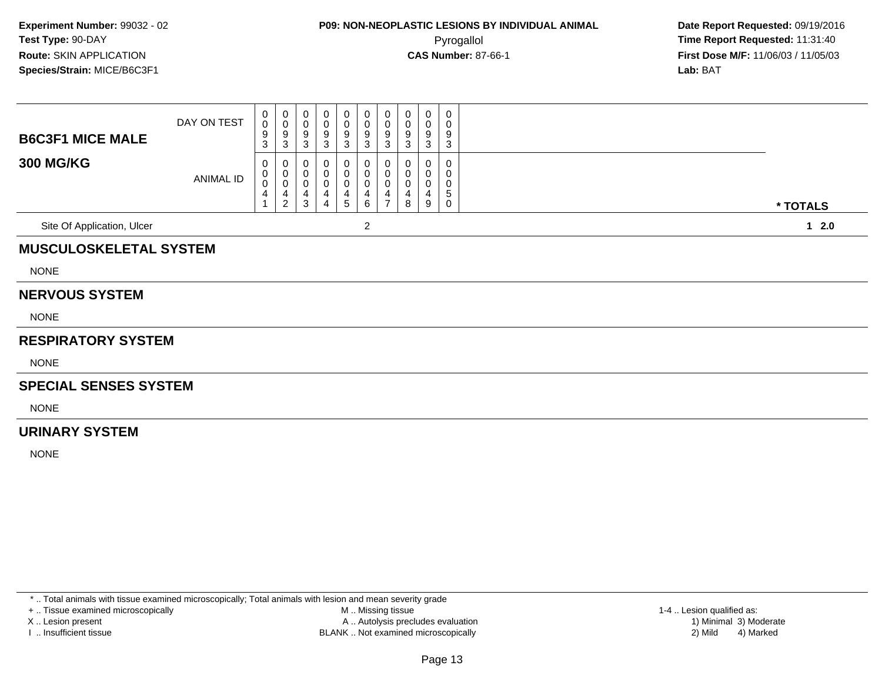| <b>B6C3F1 MICE MALE</b>       | DAY ON TEST | $\mathbf{0}$<br>$\mathsf{O}$<br>9<br>3 | 0<br>$\frac{0}{9}$                             | 0<br>0<br>9<br>$\mathbf{3}$                      | 0<br>0<br>9<br>3                   | 0<br>0<br>9<br>3                                  | 0<br>$\pmb{0}$<br>$\boldsymbol{9}$<br>3 | 0<br>$\mathbf 0$<br>9<br>3                                                   | 0<br>0<br>9<br>3      | 0<br>0<br>9<br>3 | $\pmb{0}$<br>0<br>9<br>$\sqrt{3}$ |          |
|-------------------------------|-------------|----------------------------------------|------------------------------------------------|--------------------------------------------------|------------------------------------|---------------------------------------------------|-----------------------------------------|------------------------------------------------------------------------------|-----------------------|------------------|-----------------------------------|----------|
| <b>300 MG/KG</b>              | ANIMAL ID   | 0<br>0<br>$\overline{0}$<br>4          | 0<br>$\pmb{0}$<br>$\mathbf 0$<br>$\frac{4}{2}$ | 0<br>$\pmb{0}$<br>$\pmb{0}$<br>4<br>$\mathbf{3}$ | 0<br>0<br>0<br>4<br>$\overline{4}$ | 0<br>0<br>$\,0\,$<br>$\overline{\mathbf{4}}$<br>5 | 0<br>$\pmb{0}$<br>0<br>4<br>6           | 0<br>$\mathbf 0$<br>$\mathbf 0$<br>$\overline{\mathbf{4}}$<br>$\overline{7}$ | 0<br>0<br>0<br>4<br>8 | 0<br>0<br>4<br>9 | 0<br>0<br>0<br>$\mathbf 5$<br>0   | * TOTALS |
| Site Of Application, Ulcer    |             |                                        |                                                |                                                  |                                    |                                                   | $\overline{c}$                          |                                                                              |                       |                  |                                   | $12.0$   |
| <b>MUSCULOSKELETAL SYSTEM</b> |             |                                        |                                                |                                                  |                                    |                                                   |                                         |                                                                              |                       |                  |                                   |          |
| <b>NONE</b>                   |             |                                        |                                                |                                                  |                                    |                                                   |                                         |                                                                              |                       |                  |                                   |          |
| <b>NERVOUS SYSTEM</b>         |             |                                        |                                                |                                                  |                                    |                                                   |                                         |                                                                              |                       |                  |                                   |          |
| <b>NONE</b>                   |             |                                        |                                                |                                                  |                                    |                                                   |                                         |                                                                              |                       |                  |                                   |          |
| <b>RESPIRATORY SYSTEM</b>     |             |                                        |                                                |                                                  |                                    |                                                   |                                         |                                                                              |                       |                  |                                   |          |
| <b>NONE</b>                   |             |                                        |                                                |                                                  |                                    |                                                   |                                         |                                                                              |                       |                  |                                   |          |
| <b>SPECIAL SENSES SYSTEM</b>  |             |                                        |                                                |                                                  |                                    |                                                   |                                         |                                                                              |                       |                  |                                   |          |
| <b>NONE</b>                   |             |                                        |                                                |                                                  |                                    |                                                   |                                         |                                                                              |                       |                  |                                   |          |
| <b>URINARY SYSTEM</b>         |             |                                        |                                                |                                                  |                                    |                                                   |                                         |                                                                              |                       |                  |                                   |          |
| <b>NONE</b>                   |             |                                        |                                                |                                                  |                                    |                                                   |                                         |                                                                              |                       |                  |                                   |          |

\* .. Total animals with tissue examined microscopically; Total animals with lesion and mean severity grade

+ .. Tissue examined microscopically

X .. Lesion present

I .. Insufficient tissue

 M .. Missing tissueA .. Autolysis precludes evaluation

BLANK .. Not examined microscopically 2) Mild 4) Marked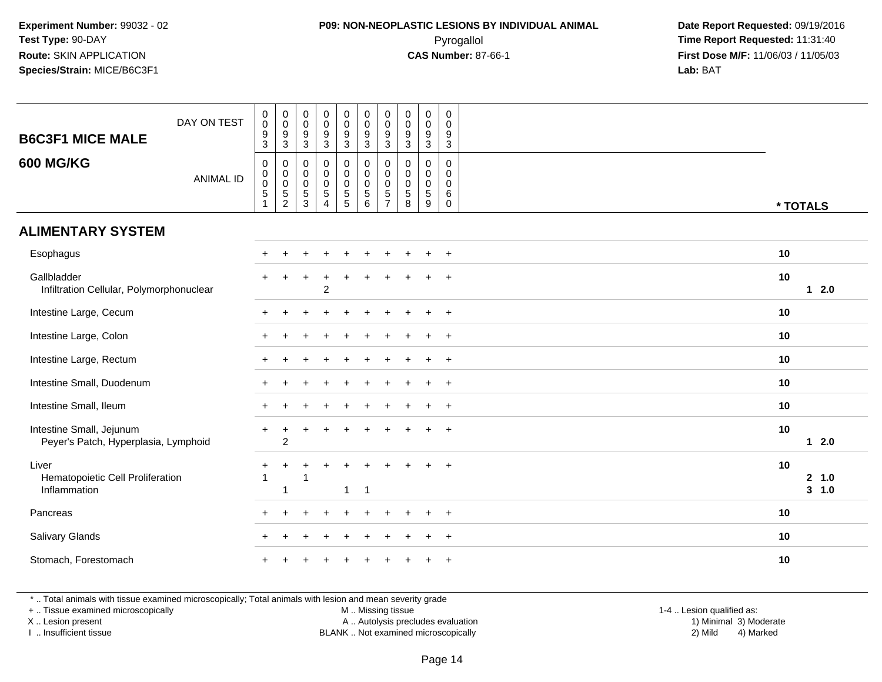#### **P09: NON-NEOPLASTIC LESIONS BY INDIVIDUAL ANIMAL**Pyrogallol **Time Report Requested:** 11:31:40

 **Date Report Requested:** 09/19/2016 **First Dose M/F:** 11/06/03 / 11/05/03<br>**Lab:** BAT **Lab:** BAT

| <b>B6C3F1 MICE MALE</b>                                          | DAY ON TEST      | $_{\rm 0}^{\rm 0}$<br>$\overline{9}$<br>$\mathbf{3}$            | $\begin{smallmatrix} 0\\0 \end{smallmatrix}$<br>$\frac{9}{3}$ | 0<br>$\mathbf 0$<br>9<br>3      | $\pmb{0}$<br>$\pmb{0}$<br>$\boldsymbol{9}$<br>$\mathbf{3}$                | $\pmb{0}$<br>$\boldsymbol{0}$<br>9<br>3    | $\pmb{0}$<br>$\ddot{\mathbf{0}}$<br>$\frac{9}{3}$                             | $\pmb{0}$<br>$\mathsf 0$<br>$\boldsymbol{9}$<br>3                               | $\pmb{0}$<br>$\mathbf 0$<br>$\frac{9}{3}$           | 0<br>$\mathbf 0$<br>$\boldsymbol{9}$<br>$\mathbf{3}$         | $\mathbf 0$<br>$\mathbf 0$<br>9<br>$\mathbf{3}$            |          |                    |
|------------------------------------------------------------------|------------------|-----------------------------------------------------------------|---------------------------------------------------------------|---------------------------------|---------------------------------------------------------------------------|--------------------------------------------|-------------------------------------------------------------------------------|---------------------------------------------------------------------------------|-----------------------------------------------------|--------------------------------------------------------------|------------------------------------------------------------|----------|--------------------|
| <b>600 MG/KG</b>                                                 | <b>ANIMAL ID</b> | $\pmb{0}$<br>$\begin{smallmatrix}0\0\0\5\end{smallmatrix}$<br>1 | $\pmb{0}$<br>$\begin{matrix} 0 \\ 0 \\ 5 \\ 2 \end{matrix}$   | 0<br>0<br>$\mathbf 0$<br>5<br>3 | $\mathbf 0$<br>$\mathbf 0$<br>$\mathbf 0$<br>$\sqrt{5}$<br>$\overline{4}$ | 0<br>0<br>$\pmb{0}$<br>5<br>$\overline{5}$ | $\mathsf 0$<br>$\mathbf 0$<br>$\mathsf{O}\xspace$<br>$5\,$<br>$6\overline{6}$ | $\mathsf{O}\xspace$<br>$\pmb{0}$<br>$\mathbf 0$<br>$\sqrt{5}$<br>$\overline{7}$ | $\mathbf 0$<br>0<br>$\mathbf 0$<br>$\,$ 5 $\,$<br>8 | $\mathbf 0$<br>$\mathbf 0$<br>$\mathbf 0$<br>$\sqrt{5}$<br>9 | $\mathbf 0$<br>$\Omega$<br>$\mathbf 0$<br>6<br>$\mathbf 0$ | * TOTALS |                    |
| <b>ALIMENTARY SYSTEM</b>                                         |                  |                                                                 |                                                               |                                 |                                                                           |                                            |                                                                               |                                                                                 |                                                     |                                                              |                                                            |          |                    |
| Esophagus                                                        |                  | $+$                                                             |                                                               |                                 |                                                                           |                                            |                                                                               |                                                                                 |                                                     | ÷                                                            | $+$                                                        | 10       |                    |
| Gallbladder<br>Infiltration Cellular, Polymorphonuclear          |                  |                                                                 | $\ddot{}$                                                     | $\ddot{}$                       | $\ddot{}$<br>2                                                            | ÷.                                         | $\ddot{}$                                                                     |                                                                                 |                                                     |                                                              | $\overline{+}$                                             | 10       | $12.0$             |
| Intestine Large, Cecum                                           |                  |                                                                 |                                                               |                                 |                                                                           |                                            |                                                                               |                                                                                 |                                                     |                                                              | $\ddot{}$                                                  | 10       |                    |
| Intestine Large, Colon                                           |                  |                                                                 |                                                               |                                 |                                                                           |                                            |                                                                               |                                                                                 |                                                     |                                                              | $\ddot{}$                                                  | 10       |                    |
| Intestine Large, Rectum                                          |                  |                                                                 |                                                               |                                 |                                                                           |                                            |                                                                               |                                                                                 |                                                     |                                                              | $+$                                                        | 10       |                    |
| Intestine Small, Duodenum                                        |                  |                                                                 |                                                               |                                 |                                                                           |                                            |                                                                               |                                                                                 |                                                     | $\ddot{}$                                                    | $+$                                                        | 10       |                    |
| Intestine Small, Ileum                                           |                  |                                                                 |                                                               |                                 |                                                                           |                                            |                                                                               |                                                                                 |                                                     | ÷                                                            | $+$                                                        | 10       |                    |
| Intestine Small, Jejunum<br>Peyer's Patch, Hyperplasia, Lymphoid |                  | $+$                                                             | $\ddot{}$<br>$\overline{2}$                                   | +                               |                                                                           |                                            |                                                                               |                                                                                 |                                                     |                                                              | $\ddot{}$                                                  | 10       | $12.0$             |
| Liver<br>Hematopoietic Cell Proliferation<br>Inflammation        |                  | $^{+}$                                                          | $\ddot{}$<br>$\mathbf{1}$                                     | +<br>1                          |                                                                           | ÷<br>$\mathbf{1}$                          | $\pm$<br>$\overline{1}$                                                       |                                                                                 |                                                     |                                                              | $+$                                                        | 10       | 2 1.0<br>$3 - 1.0$ |
| Pancreas                                                         |                  |                                                                 |                                                               |                                 |                                                                           |                                            |                                                                               |                                                                                 |                                                     |                                                              | $\ddot{}$                                                  | 10       |                    |
| Salivary Glands                                                  |                  |                                                                 |                                                               |                                 |                                                                           |                                            |                                                                               |                                                                                 |                                                     |                                                              | $\ddot{}$                                                  | 10       |                    |
| Stomach, Forestomach                                             |                  |                                                                 |                                                               |                                 |                                                                           |                                            |                                                                               |                                                                                 |                                                     |                                                              | $\ddot{}$                                                  | 10       |                    |

\* .. Total animals with tissue examined microscopically; Total animals with lesion and mean severity grade

+ .. Tissue examined microscopically

X .. Lesion present

I .. Insufficient tissue

M .. Missing tissue

Lesion present A .. Autolysis precludes evaluation 1) Minimal 3) Moderate

 1-4 .. Lesion qualified as: BLANK .. Not examined microscopically 2) Mild 4) Marked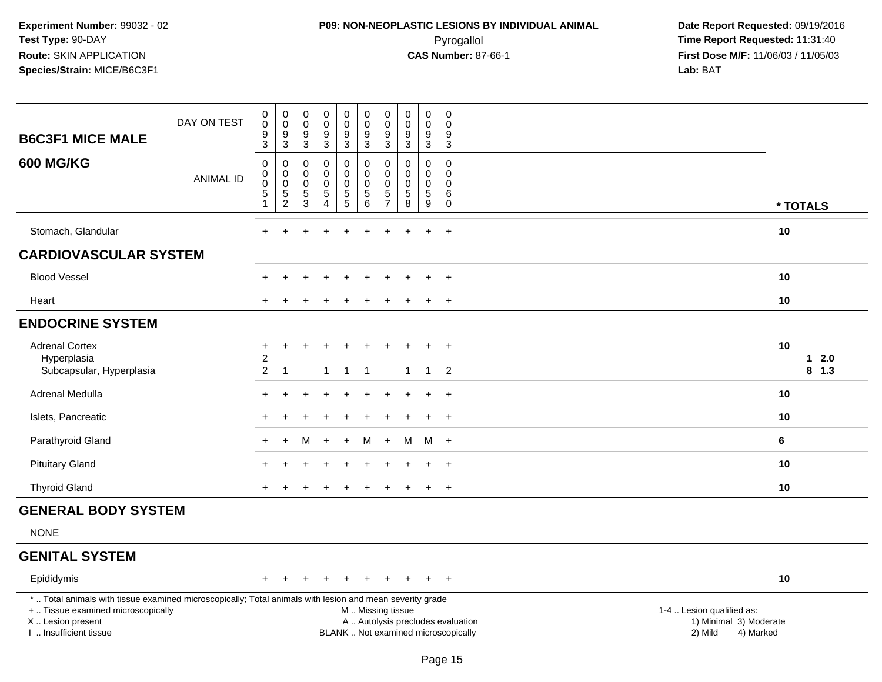# **P09: NON-NEOPLASTIC LESIONS BY INDIVIDUAL ANIMAL**Pyrogallol **Time Report Requested:** 11:31:40

| <b>B6C3F1 MICE MALE</b>                                                                                                                                                                       | DAY ON TEST      | $\pmb{0}$<br>$\mathsf{O}\xspace$<br>$^9_3$                               | $\pmb{0}$<br>$\mathbf 0$<br>$\boldsymbol{9}$<br>$\overline{3}$ | $\pmb{0}$<br>$\mathbf 0$<br>9<br>$\mathbf{3}$                 | 0<br>$\mathbf 0$<br>$\frac{9}{3}$                                       | $\pmb{0}$<br>$\ddot{\mathbf{0}}$<br>$\frac{9}{3}$ | $\pmb{0}$<br>$\mathsf 0$<br>$\frac{9}{3}$                        | $\pmb{0}$<br>$\pmb{0}$<br>$\frac{9}{3}$          | $\pmb{0}$<br>$\mathbf 0$<br>$\frac{9}{3}$                                          | $\pmb{0}$<br>$\mathbf 0$<br>$9\,$<br>$\mathbf{3}$             | $\mathbf 0$<br>$\mathbf 0$<br>$\boldsymbol{9}$<br>$\mathbf{3}$            |                                                                             |                         |
|-----------------------------------------------------------------------------------------------------------------------------------------------------------------------------------------------|------------------|--------------------------------------------------------------------------|----------------------------------------------------------------|---------------------------------------------------------------|-------------------------------------------------------------------------|---------------------------------------------------|------------------------------------------------------------------|--------------------------------------------------|------------------------------------------------------------------------------------|---------------------------------------------------------------|---------------------------------------------------------------------------|-----------------------------------------------------------------------------|-------------------------|
| <b>600 MG/KG</b>                                                                                                                                                                              | <b>ANIMAL ID</b> | $\boldsymbol{0}$<br>$\pmb{0}$<br>$\pmb{0}$<br>$\sqrt{5}$<br>$\mathbf{1}$ | 0<br>$\mathbf 0$<br>$\mathbf 0$<br>$\frac{5}{2}$               | $\mathbf 0$<br>$\mathbf 0$<br>$\mathbf 0$<br>5<br>$\mathsf 3$ | $\mathbf 0$<br>$\mathbf 0$<br>$\Omega$<br>$\,$ 5 $\,$<br>$\overline{4}$ | 0<br>$\mathbf 0$<br>0<br>$\overline{5}$<br>5      | $\pmb{0}$<br>$\ddot{\mathbf{0}}$<br>$\mathbf 0$<br>$\frac{5}{6}$ | 0<br>$\mathbf 0$<br>$\mathbf 0$<br>$\frac{5}{7}$ | $\mathbf 0$<br>$\mathbf 0$<br>$\mathbf 0$<br>$\begin{array}{c} 5 \\ 8 \end{array}$ | $\mathbf 0$<br>$\Omega$<br>$\mathbf 0$<br>$\sqrt{5}$<br>$9\,$ | $\mathbf 0$<br>$\mathbf 0$<br>$\mathbf 0$<br>$6\phantom{1}6$<br>$\pmb{0}$ |                                                                             | * TOTALS                |
| Stomach, Glandular                                                                                                                                                                            |                  | $+$                                                                      | ÷                                                              |                                                               |                                                                         |                                                   |                                                                  | $\ddot{}$                                        |                                                                                    | $+$                                                           | $+$                                                                       |                                                                             | 10                      |
| <b>CARDIOVASCULAR SYSTEM</b>                                                                                                                                                                  |                  |                                                                          |                                                                |                                                               |                                                                         |                                                   |                                                                  |                                                  |                                                                                    |                                                               |                                                                           |                                                                             |                         |
| <b>Blood Vessel</b>                                                                                                                                                                           |                  | $+$                                                                      | ÷                                                              |                                                               |                                                                         | $\div$                                            | $\ddot{}$                                                        | $\ddot{}$                                        | $\ddot{}$                                                                          | $\pm$                                                         | $+$                                                                       |                                                                             | 10                      |
| Heart                                                                                                                                                                                         |                  |                                                                          |                                                                |                                                               |                                                                         |                                                   |                                                                  |                                                  |                                                                                    | ÷.                                                            | $+$                                                                       |                                                                             | 10                      |
| <b>ENDOCRINE SYSTEM</b>                                                                                                                                                                       |                  |                                                                          |                                                                |                                                               |                                                                         |                                                   |                                                                  |                                                  |                                                                                    |                                                               |                                                                           |                                                                             |                         |
| <b>Adrenal Cortex</b><br>Hyperplasia<br>Subcapsular, Hyperplasia                                                                                                                              |                  | +<br>$\overline{c}$<br>$\overline{2}$                                    | +<br>-1                                                        |                                                               | 1                                                                       | $\overline{1}$                                    | $\overline{1}$                                                   |                                                  | $\mathbf{1}$                                                                       | $\overline{1}$                                                | $\overline{+}$<br>$\overline{\phantom{a}}$                                |                                                                             | 10<br>$12.0$<br>$8$ 1.3 |
| <b>Adrenal Medulla</b>                                                                                                                                                                        |                  | $+$                                                                      |                                                                |                                                               |                                                                         |                                                   |                                                                  |                                                  |                                                                                    |                                                               | $+$                                                                       |                                                                             | 10                      |
| Islets, Pancreatic                                                                                                                                                                            |                  |                                                                          |                                                                |                                                               |                                                                         |                                                   |                                                                  |                                                  |                                                                                    |                                                               | $\ddot{}$                                                                 |                                                                             | 10                      |
| Parathyroid Gland                                                                                                                                                                             |                  | $\ddot{}$                                                                | $+$                                                            | M                                                             | $\div$                                                                  | $\ddot{+}$                                        | M                                                                | $+$                                              | м                                                                                  |                                                               | M +                                                                       |                                                                             | 6                       |
| <b>Pituitary Gland</b>                                                                                                                                                                        |                  |                                                                          |                                                                |                                                               |                                                                         |                                                   |                                                                  |                                                  |                                                                                    | $\pm$                                                         | $+$                                                                       |                                                                             | 10                      |
| <b>Thyroid Gland</b>                                                                                                                                                                          |                  |                                                                          |                                                                |                                                               |                                                                         |                                                   | $\ddot{}$                                                        | $\ddot{}$                                        |                                                                                    | $+$                                                           | $+$                                                                       |                                                                             | 10                      |
| <b>GENERAL BODY SYSTEM</b>                                                                                                                                                                    |                  |                                                                          |                                                                |                                                               |                                                                         |                                                   |                                                                  |                                                  |                                                                                    |                                                               |                                                                           |                                                                             |                         |
| <b>NONE</b>                                                                                                                                                                                   |                  |                                                                          |                                                                |                                                               |                                                                         |                                                   |                                                                  |                                                  |                                                                                    |                                                               |                                                                           |                                                                             |                         |
| <b>GENITAL SYSTEM</b>                                                                                                                                                                         |                  |                                                                          |                                                                |                                                               |                                                                         |                                                   |                                                                  |                                                  |                                                                                    |                                                               |                                                                           |                                                                             |                         |
| Epididymis                                                                                                                                                                                    |                  | $+$                                                                      | $+$                                                            | $+$                                                           | $\pm$                                                                   | $+$                                               | $+$                                                              | $+$                                              | $+$                                                                                |                                                               | $+$ $+$                                                                   |                                                                             | 10                      |
| *  Total animals with tissue examined microscopically; Total animals with lesion and mean severity grade<br>+  Tissue examined microscopically<br>X  Lesion present<br>I  Insufficient tissue |                  |                                                                          |                                                                |                                                               |                                                                         |                                                   | M  Missing tissue                                                |                                                  | A  Autolysis precludes evaluation<br>BLANK  Not examined microscopically           |                                                               |                                                                           | 1-4  Lesion qualified as:<br>1) Minimal 3) Moderate<br>2) Mild<br>4) Marked |                         |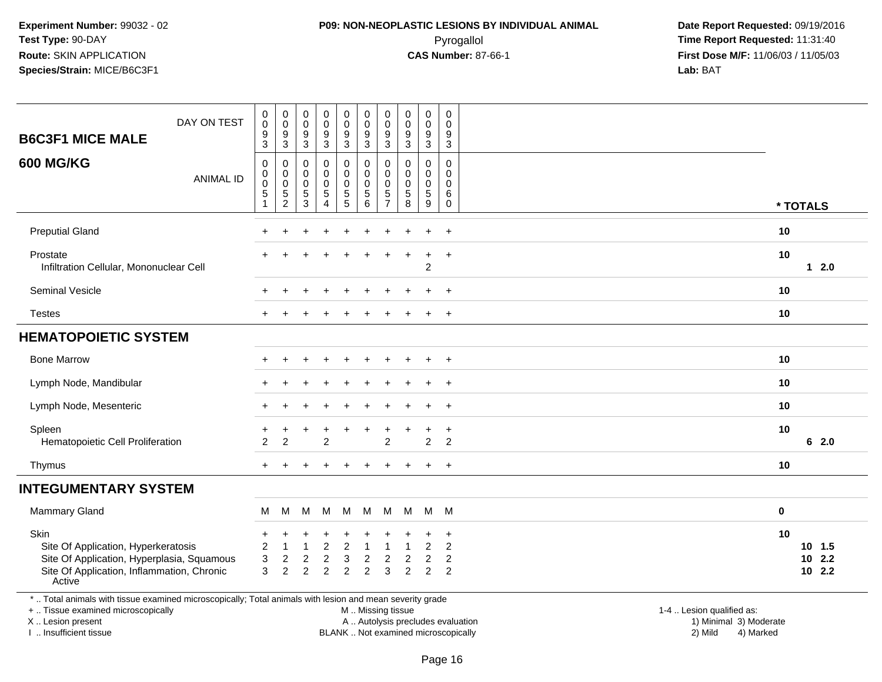#### **P09: NON-NEOPLASTIC LESIONS BY INDIVIDUAL ANIMAL**Pyrogallol **Time Report Requested:** 11:31:40

 **Date Report Requested:** 09/19/2016 **First Dose M/F:** 11/06/03 / 11/05/03<br>**Lab:** BAT **Lab:** BAT

| <b>B6C3F1 MICE MALE</b>                                                                                                                                             | DAY ON TEST      | $\,0\,$<br>$\pmb{0}$<br>$\boldsymbol{9}$<br>$\overline{3}$          | 0<br>$\pmb{0}$<br>9<br>$\overline{3}$                    | $\pmb{0}$<br>$\mathsf 0$<br>9<br>$\overline{3}$ | $\pmb{0}$<br>$\ddot{\mathbf{0}}$<br>$\frac{9}{3}$               | $\mathbf 0$<br>$\pmb{0}$<br>$\frac{9}{3}$      | $\pmb{0}$<br>$\pmb{0}$<br>$\boldsymbol{9}$<br>$\overline{3}$     | $\mathbf 0$<br>$\mathbf 0$<br>9<br>$\overline{3}$ | $_{\rm 0}^{\rm 0}$<br>9<br>$\overline{3}$ | $_0^0$<br>$\frac{9}{3}$                                         | $\pmb{0}$<br>$\mathbf 0$<br>$\boldsymbol{9}$<br>$\overline{3}$ |                                                     |          |                                 |
|---------------------------------------------------------------------------------------------------------------------------------------------------------------------|------------------|---------------------------------------------------------------------|----------------------------------------------------------|-------------------------------------------------|-----------------------------------------------------------------|------------------------------------------------|------------------------------------------------------------------|---------------------------------------------------|-------------------------------------------|-----------------------------------------------------------------|----------------------------------------------------------------|-----------------------------------------------------|----------|---------------------------------|
| <b>600 MG/KG</b>                                                                                                                                                    | <b>ANIMAL ID</b> | $\pmb{0}$<br>$\pmb{0}$<br>$\mathbf 0$<br>$\sqrt{5}$<br>$\mathbf{1}$ | 0<br>0<br>0<br>5<br>$\overline{c}$                       | 0<br>0<br>0<br>5<br>$\mathbf{3}$                | $\pmb{0}$<br>0<br>$\pmb{0}$<br>$\overline{5}$<br>$\overline{4}$ | 0<br>$\mathbf 0$<br>$\pmb{0}$<br>$\frac{5}{5}$ | $\mathbf 0$<br>$\pmb{0}$<br>$\mathbf 0$<br>$\sqrt{5}$<br>$\,6\,$ | 0<br>0<br>$\mathbf 0$<br>5<br>$\overline{7}$      | 0<br>0<br>$\pmb{0}$<br>$\frac{5}{8}$      | $\mathbf 0$<br>0<br>0<br>$\overline{5}$<br>9                    | $\mathbf 0$<br>0<br>0<br>6<br>$\mathsf{O}\xspace$              |                                                     | * TOTALS |                                 |
| <b>Preputial Gland</b>                                                                                                                                              |                  |                                                                     |                                                          |                                                 |                                                                 |                                                |                                                                  |                                                   |                                           | $\ddot{}$                                                       | $\overline{+}$                                                 |                                                     | 10       |                                 |
| Prostate<br>Infiltration Cellular, Mononuclear Cell                                                                                                                 |                  |                                                                     |                                                          |                                                 |                                                                 | ÷                                              | ÷                                                                | $\div$                                            |                                           | $\overline{+}$<br>$\overline{c}$                                | $+$                                                            |                                                     | 10       | $12.0$                          |
| Seminal Vesicle                                                                                                                                                     |                  |                                                                     |                                                          |                                                 |                                                                 |                                                |                                                                  |                                                   |                                           | $\ddot{}$                                                       | $+$                                                            |                                                     | 10       |                                 |
| <b>Testes</b>                                                                                                                                                       |                  |                                                                     |                                                          |                                                 |                                                                 |                                                |                                                                  |                                                   |                                           | ÷                                                               | $\ddot{}$                                                      |                                                     | 10       |                                 |
| <b>HEMATOPOIETIC SYSTEM</b>                                                                                                                                         |                  |                                                                     |                                                          |                                                 |                                                                 |                                                |                                                                  |                                                   |                                           |                                                                 |                                                                |                                                     |          |                                 |
| <b>Bone Marrow</b>                                                                                                                                                  |                  |                                                                     |                                                          |                                                 | $\ddot{}$                                                       | $\ddot{}$                                      | ÷                                                                |                                                   |                                           | $\ddot{}$                                                       | $+$                                                            |                                                     | 10       |                                 |
| Lymph Node, Mandibular                                                                                                                                              |                  |                                                                     |                                                          |                                                 |                                                                 |                                                |                                                                  |                                                   |                                           |                                                                 | $\ddot{}$                                                      |                                                     | 10       |                                 |
| Lymph Node, Mesenteric                                                                                                                                              |                  |                                                                     |                                                          |                                                 |                                                                 |                                                |                                                                  |                                                   |                                           |                                                                 | $\ddot{}$                                                      |                                                     | 10       |                                 |
| Spleen<br>Hematopoietic Cell Proliferation                                                                                                                          |                  | $\overline{2}$                                                      | $\overline{c}$                                           |                                                 | $\overline{2}$                                                  |                                                |                                                                  | $\overline{c}$                                    |                                           | $\div$<br>$\overline{c}$                                        | $\ddot{}$<br>$\overline{2}$                                    |                                                     | 10       | 62.0                            |
| Thymus                                                                                                                                                              |                  | $+$                                                                 |                                                          |                                                 |                                                                 |                                                |                                                                  | ÷                                                 |                                           | $\ddot{}$                                                       | $\overline{+}$                                                 |                                                     | 10       |                                 |
| <b>INTEGUMENTARY SYSTEM</b>                                                                                                                                         |                  |                                                                     |                                                          |                                                 |                                                                 |                                                |                                                                  |                                                   |                                           |                                                                 |                                                                |                                                     |          |                                 |
| Mammary Gland                                                                                                                                                       |                  | М                                                                   | M                                                        | м                                               | M                                                               | M                                              | M                                                                | M                                                 | M                                         | M M                                                             |                                                                |                                                     | 0        |                                 |
| Skin<br>Site Of Application, Hyperkeratosis<br>Site Of Application, Hyperplasia, Squamous<br>Site Of Application, Inflammation, Chronic<br>Active                   |                  | $\ddot{}$<br>$\overline{c}$<br>3<br>3                               | $\mathbf 1$<br>$\overline{\mathbf{c}}$<br>$\overline{2}$ | $\overline{\mathbf{c}}$<br>$\overline{2}$       | $\overline{c}$<br>$\boldsymbol{2}$<br>$\overline{2}$            | $\boldsymbol{2}$<br>3<br>$\overline{2}$        | $\overline{\mathbf{1}}$<br>$\boldsymbol{2}$<br>$\overline{2}$    | 1<br>$\overline{\mathbf{c}}$<br>3                 | 2<br>$\overline{2}$                       | $\ddot{}$<br>$\overline{c}$<br>$\overline{c}$<br>$\overline{2}$ | $\ddot{}$<br>2<br>2<br>$\overline{2}$                          |                                                     | 10       | 10, 1.5<br>$10$ 2.2<br>$10$ 2.2 |
| *  Total animals with tissue examined microscopically; Total animals with lesion and mean severity grade<br>+  Tissue examined microscopically<br>X  Lesion present |                  |                                                                     |                                                          |                                                 |                                                                 |                                                | M  Missing tissue                                                |                                                   |                                           |                                                                 | A  Autolysis precludes evaluation                              | 1-4  Lesion qualified as:<br>1) Minimal 3) Moderate |          |                                 |

I .. Insufficient tissue

BLANK .. Not examined microscopically 2) Mild 4) Marked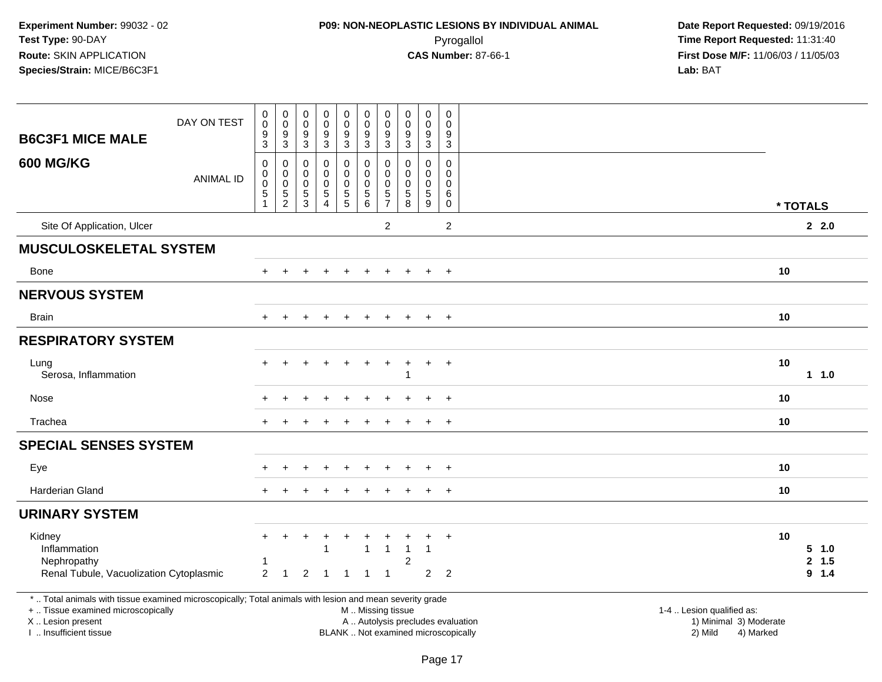# **P09: NON-NEOPLASTIC LESIONS BY INDIVIDUAL ANIMAL**Pyrogallol **Time Report Requested:** 11:31:40

| <b>B6C3F1 MICE MALE</b>                                                                                                                                                                       | DAY ON TEST      | $_{\rm 0}^{\rm 0}$<br>9<br>$\overline{3}$               | $_{\rm 0}^{\rm 0}$<br>$\boldsymbol{9}$<br>$\overline{3}$ | $\mathbf 0$<br>$\pmb{0}$<br>9<br>$\overline{3}$  | $_{\rm 0}^{\rm 0}$<br>$\boldsymbol{9}$<br>$\overline{3}$ | 0<br>$\mathsf{O}\xspace$<br>9<br>$\overline{3}$                          | $\pmb{0}$<br>$\pmb{0}$<br>9<br>$\overline{3}$                                  | $\pmb{0}$<br>$\pmb{0}$<br>9<br>$\overline{3}$            | $\pmb{0}$<br>$\mathsf 0$<br>9<br>$\overline{3}$                | $\pmb{0}$<br>$\pmb{0}$<br>$\boldsymbol{9}$<br>$\overline{3}$     | $\boldsymbol{0}$<br>$\Omega$<br>9<br>$\overline{3}$               |                                                                                                     |                                    |
|-----------------------------------------------------------------------------------------------------------------------------------------------------------------------------------------------|------------------|---------------------------------------------------------|----------------------------------------------------------|--------------------------------------------------|----------------------------------------------------------|--------------------------------------------------------------------------|--------------------------------------------------------------------------------|----------------------------------------------------------|----------------------------------------------------------------|------------------------------------------------------------------|-------------------------------------------------------------------|-----------------------------------------------------------------------------------------------------|------------------------------------|
| <b>600 MG/KG</b>                                                                                                                                                                              | <b>ANIMAL ID</b> | $\pmb{0}$<br>$\mathsf{O}$<br>$\pmb{0}$<br>$\frac{5}{1}$ | $\pmb{0}$<br>$\mathbf 0$<br>$\mathsf 0$<br>$\frac{5}{2}$ | 0<br>$\mathbf 0$<br>$\mathbf 0$<br>$\frac{5}{3}$ | $\mathbf 0$<br>$\mathbf 0$<br>$\pmb{0}$<br>$\frac{5}{4}$ | 0<br>$\mathbf 0$<br>$\mathsf 0$<br>$\begin{array}{c} 5 \\ 5 \end{array}$ | $\mathbf 0$<br>$\pmb{0}$<br>$\pmb{0}$<br>$\begin{array}{c} 5 \\ 6 \end{array}$ | $\mathbf 0$<br>$\mathbf 0$<br>$\pmb{0}$<br>$\frac{5}{7}$ | $\mathbf 0$<br>0<br>0<br>$\begin{array}{c} 5 \\ 8 \end{array}$ | $\mathsf{O}\xspace$<br>$\mathbf 0$<br>$\pmb{0}$<br>$\frac{5}{9}$ | $\mathbf 0$<br>$\mathbf{0}$<br>$\mathbf 0$<br>6<br>$\overline{0}$ |                                                                                                     | * TOTALS                           |
| Site Of Application, Ulcer                                                                                                                                                                    |                  |                                                         |                                                          |                                                  |                                                          |                                                                          |                                                                                | $\overline{2}$                                           |                                                                |                                                                  | $\overline{2}$                                                    |                                                                                                     | 2.2.0                              |
| <b>MUSCULOSKELETAL SYSTEM</b>                                                                                                                                                                 |                  |                                                         |                                                          |                                                  |                                                          |                                                                          |                                                                                |                                                          |                                                                |                                                                  |                                                                   |                                                                                                     |                                    |
| <b>Bone</b>                                                                                                                                                                                   |                  | $+$                                                     |                                                          |                                                  |                                                          | $\ddot{}$                                                                |                                                                                | $\div$                                                   | $+$                                                            | $\ddot{}$                                                        | $+$                                                               |                                                                                                     | 10                                 |
| <b>NERVOUS SYSTEM</b>                                                                                                                                                                         |                  |                                                         |                                                          |                                                  |                                                          |                                                                          |                                                                                |                                                          |                                                                |                                                                  |                                                                   |                                                                                                     |                                    |
| <b>Brain</b>                                                                                                                                                                                  |                  |                                                         |                                                          |                                                  |                                                          |                                                                          |                                                                                |                                                          |                                                                | $\ddot{}$                                                        | $+$                                                               |                                                                                                     | 10                                 |
| <b>RESPIRATORY SYSTEM</b>                                                                                                                                                                     |                  |                                                         |                                                          |                                                  |                                                          |                                                                          |                                                                                |                                                          |                                                                |                                                                  |                                                                   |                                                                                                     |                                    |
| Lung<br>Serosa, Inflammation                                                                                                                                                                  |                  |                                                         |                                                          |                                                  |                                                          |                                                                          |                                                                                |                                                          | 1                                                              | $\ddot{}$                                                        | $+$                                                               |                                                                                                     | 10<br>11.0                         |
| Nose                                                                                                                                                                                          |                  |                                                         |                                                          |                                                  |                                                          |                                                                          |                                                                                |                                                          |                                                                |                                                                  | $\overline{+}$                                                    |                                                                                                     | 10                                 |
| Trachea                                                                                                                                                                                       |                  |                                                         |                                                          |                                                  |                                                          |                                                                          |                                                                                |                                                          |                                                                | $\ddot{}$                                                        | $+$                                                               |                                                                                                     | 10                                 |
| <b>SPECIAL SENSES SYSTEM</b>                                                                                                                                                                  |                  |                                                         |                                                          |                                                  |                                                          |                                                                          |                                                                                |                                                          |                                                                |                                                                  |                                                                   |                                                                                                     |                                    |
| Eye                                                                                                                                                                                           |                  |                                                         |                                                          |                                                  |                                                          |                                                                          |                                                                                |                                                          |                                                                |                                                                  | $\overline{1}$                                                    |                                                                                                     | 10                                 |
| Harderian Gland                                                                                                                                                                               |                  |                                                         |                                                          |                                                  |                                                          |                                                                          |                                                                                |                                                          |                                                                |                                                                  | $+$                                                               |                                                                                                     | 10                                 |
| <b>URINARY SYSTEM</b>                                                                                                                                                                         |                  |                                                         |                                                          |                                                  |                                                          |                                                                          |                                                                                |                                                          |                                                                |                                                                  |                                                                   |                                                                                                     |                                    |
| Kidney<br>Inflammation<br>Nephropathy<br>Renal Tubule, Vacuolization Cytoplasmic                                                                                                              |                  | $+$<br>$\overline{2}$                                   | $\ddot{}$<br>$\mathbf 1$                                 | $\ddot{}$<br>$\overline{c}$                      | -1<br>-1                                                 | +<br>$\mathbf 1$                                                         | $\mathbf{1}$<br>1                                                              | $\mathbf{1}$<br>$\mathbf{1}$                             | $\mathbf{1}$<br>$\overline{c}$                                 | $\ddot{}$<br>$\overline{1}$<br>$2^{\circ}$                       | $+$<br>$\overline{2}$                                             |                                                                                                     | 10<br>$5 - 1.0$<br>2, 1.5<br>9 1.4 |
| *  Total animals with tissue examined microscopically; Total animals with lesion and mean severity grade<br>+  Tissue examined microscopically<br>X  Lesion present<br>I. Insufficient tissue |                  |                                                         |                                                          |                                                  |                                                          |                                                                          |                                                                                |                                                          | M  Missing tissue<br>BLANK  Not examined microscopically       |                                                                  |                                                                   | 1-4  Lesion qualified as:<br>A  Autolysis precludes evaluation<br>1) Minimal 3) Moderate<br>2) Mild | 4) Marked                          |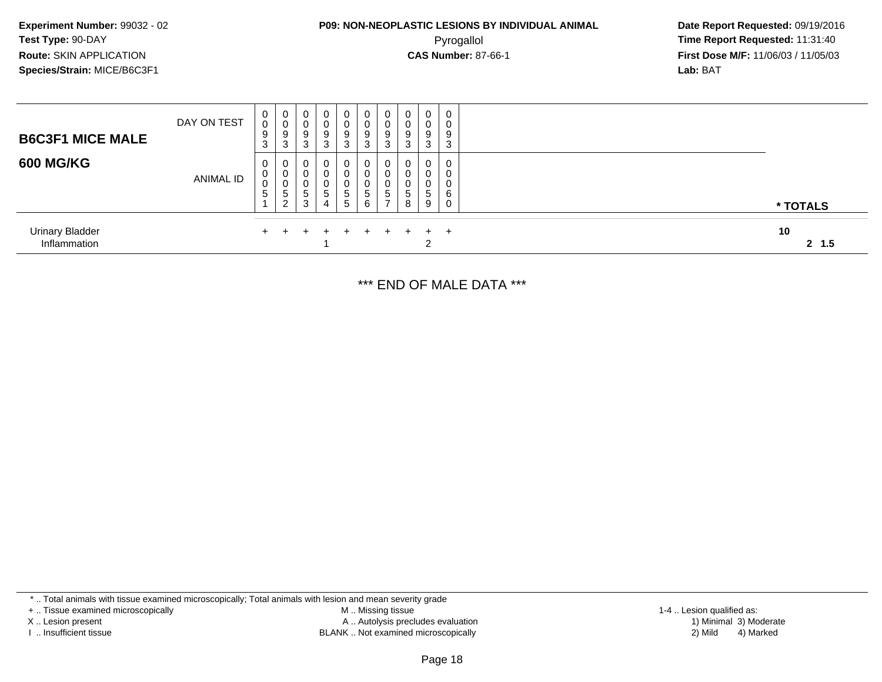# **P09: NON-NEOPLASTIC LESIONS BY INDIVIDUAL ANIMAL**Pyrogallol **Time Report Requested:** 11:31:40

 **Date Report Requested:** 09/19/2016 **First Dose M/F:** 11/06/03 / 11/05/03<br>**Lab:** BAT **Lab:** BAT

| <b>B6C3F1 MICE MALE</b>                | DAY ON TEST      | 0<br>0<br>9<br>-3 | $\overline{\mathbf{0}}$<br>9<br>3 | 0<br>9<br>3                | $\mathbf{0}$<br>0<br>9<br>3           | $\mathbf 0$<br>0<br>9<br>3                     | 0<br>0<br>9<br>3                 | 0<br>0<br>9<br>າ<br>ت | 0<br>9  | $\mathbf 0$<br>0<br>9<br>3 | 0<br>0<br>9<br>3      |              |
|----------------------------------------|------------------|-------------------|-----------------------------------|----------------------------|---------------------------------------|------------------------------------------------|----------------------------------|-----------------------|---------|----------------------------|-----------------------|--------------|
| <b>600 MG/KG</b>                       | <b>ANIMAL ID</b> | 0<br>0<br>0<br>5  | - 0<br>∣U<br>C.<br>$\sim$         | $\mathbf 0$<br>0<br>đ<br>3 | 0<br>0<br>$\mathbf{0}$<br>-<br>5<br>4 | $\mathbf{0}$<br>0<br>0<br>5<br>$5\overline{)}$ | 0<br>0<br>0<br>$\mathbf{p}$<br>6 | 0<br>0<br>0<br>C.     | 0<br>.5 | 0<br>0<br>0<br>5<br>9      | 0<br>0<br>0<br>6<br>0 | * TOTALS     |
| <b>Urinary Bladder</b><br>Inflammation |                  | $+$               |                                   | $+$                        | $+$                                   | $+$                                            | $+$                              | $+$                   |         | $+$ $+$<br>റ               |                       | 10<br>2, 1.5 |

\*\*\* END OF MALE DATA \*\*\*

\* .. Total animals with tissue examined microscopically; Total animals with lesion and mean severity grade

+ .. Tissue examined microscopically

X .. Lesion present

I .. Insufficient tissue

 M .. Missing tissueA .. Autolysis precludes evaluation

BLANK .. Not examined microscopically 2) Mild 4) Marked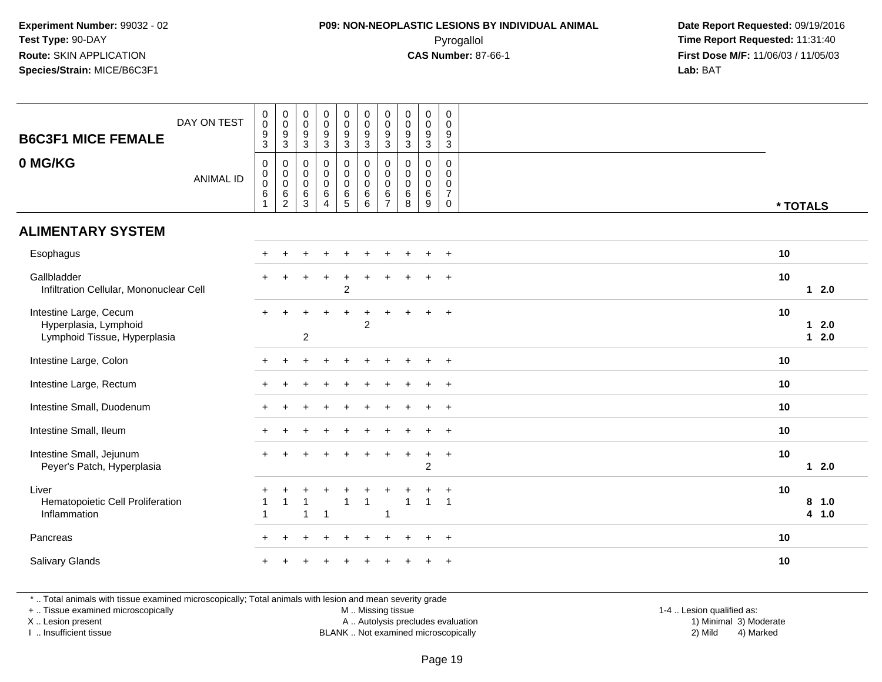#### **P09: NON-NEOPLASTIC LESIONS BY INDIVIDUAL ANIMAL**Pyrogallol **Time Report Requested:** 11:31:40

 **Date Report Requested:** 09/19/2016 **First Dose M/F:** 11/06/03 / 11/05/03<br>**Lab:** BAT **Lab:** BAT

| <b>B6C3F1 MICE FEMALE</b>                                                       | DAY ON TEST      | $\pmb{0}$<br>$\mathbf 0$<br>$\frac{9}{3}$                 | $\begin{smallmatrix}0\\0\end{smallmatrix}$<br>$^9_3$                        | $\begin{smallmatrix}0\\0\end{smallmatrix}$<br>$\frac{9}{3}$ | $_{\rm 0}^{\rm 0}$<br>$\frac{9}{3}$                  | $\begin{smallmatrix}0\0\0\end{smallmatrix}$<br>$\frac{9}{3}$  | $_{\rm 0}^{\rm 0}$<br>$\frac{9}{3}$                               | 0<br>$\mathbf 0$<br>$\boldsymbol{9}$<br>$\overline{3}$ | $\begin{array}{c} 0 \\ 0 \\ 9 \\ 3 \end{array}$         | $\begin{smallmatrix}0\\0\end{smallmatrix}$<br>$\boldsymbol{9}$<br>$\overline{3}$ | $\mathsf 0$<br>$\mathbf 0$<br>$\frac{9}{3}$                      |          |                  |
|---------------------------------------------------------------------------------|------------------|-----------------------------------------------------------|-----------------------------------------------------------------------------|-------------------------------------------------------------|------------------------------------------------------|---------------------------------------------------------------|-------------------------------------------------------------------|--------------------------------------------------------|---------------------------------------------------------|----------------------------------------------------------------------------------|------------------------------------------------------------------|----------|------------------|
| 0 MG/KG                                                                         | <b>ANIMAL ID</b> | $\mathbf 0$<br>$\mathbf 0$<br>$\mathsf 0$<br>$\,6\,$<br>1 | $\mathbf 0$<br>$\boldsymbol{0}$<br>$\mathbf 0$<br>$\,6\,$<br>$\overline{c}$ | $\mathbf 0$<br>$\pmb{0}$<br>$\mathbf 0$<br>6<br>3           | 0<br>$\mathbf 0$<br>$\pmb{0}$<br>6<br>$\overline{4}$ | 0<br>$\mathbf 0$<br>$\mathbf 0$<br>$\,6\,$<br>$5\phantom{.0}$ | $\pmb{0}$<br>$\mathsf 0$<br>$\overline{0}$<br>$6\phantom{a}$<br>6 | $\mathbf 0$<br>0<br>$\Omega$<br>6<br>$\overline{7}$    | $\mathbf 0$<br>$\pmb{0}$<br>$\mathbf 0$<br>$\,6\,$<br>8 | 0<br>$\mathbf 0$<br>$\mathbf 0$<br>$6\overline{6}$<br>9                          | $\mathbf 0$<br>$\mathbf 0$<br>$\mathbf 0$<br>$\overline{7}$<br>0 | * TOTALS |                  |
| <b>ALIMENTARY SYSTEM</b>                                                        |                  |                                                           |                                                                             |                                                             |                                                      |                                                               |                                                                   |                                                        |                                                         |                                                                                  |                                                                  |          |                  |
| Esophagus                                                                       |                  |                                                           |                                                                             |                                                             |                                                      |                                                               |                                                                   |                                                        |                                                         | $\ddot{}$                                                                        | $+$                                                              | 10       |                  |
| Gallbladder<br>Infiltration Cellular, Mononuclear Cell                          |                  |                                                           |                                                                             |                                                             |                                                      | $\ddot{}$<br>$\overline{2}$                                   |                                                                   |                                                        |                                                         | $\ddot{}$                                                                        | $+$                                                              | 10       | $12.0$           |
| Intestine Large, Cecum<br>Hyperplasia, Lymphoid<br>Lymphoid Tissue, Hyperplasia |                  | ÷                                                         |                                                                             | $\overline{2}$                                              |                                                      |                                                               | $\ddot{}$<br>$\overline{2}$                                       |                                                        |                                                         |                                                                                  | $+$                                                              | 10       | $12.0$<br>$12.0$ |
| Intestine Large, Colon                                                          |                  |                                                           |                                                                             |                                                             |                                                      |                                                               |                                                                   |                                                        |                                                         | $\pm$                                                                            | $+$                                                              | 10       |                  |
| Intestine Large, Rectum                                                         |                  |                                                           |                                                                             |                                                             |                                                      |                                                               |                                                                   |                                                        |                                                         | $\pm$                                                                            | $+$                                                              | 10       |                  |
| Intestine Small, Duodenum                                                       |                  |                                                           |                                                                             |                                                             |                                                      |                                                               |                                                                   |                                                        |                                                         | ÷                                                                                | $+$                                                              | 10       |                  |
| Intestine Small, Ileum                                                          |                  |                                                           |                                                                             |                                                             |                                                      |                                                               |                                                                   |                                                        |                                                         |                                                                                  | $+$                                                              | 10       |                  |
| Intestine Small, Jejunum<br>Peyer's Patch, Hyperplasia                          |                  |                                                           |                                                                             |                                                             |                                                      |                                                               |                                                                   |                                                        |                                                         | $\ddot{}$<br>$\overline{2}$                                                      | $+$                                                              | 10       | $12.0$           |
| Liver<br>Hematopoietic Cell Proliferation<br>Inflammation                       |                  | -1                                                        |                                                                             |                                                             | $\overline{1}$                                       |                                                               | $\overline{1}$                                                    |                                                        | $\overline{1}$                                          | $\overline{1}$                                                                   | $\ddot{}$<br>$\overline{1}$                                      | 10       | 8 1.0<br>4 1.0   |
| Pancreas                                                                        |                  |                                                           |                                                                             |                                                             |                                                      |                                                               |                                                                   |                                                        |                                                         | $\pm$                                                                            | $+$                                                              | 10       |                  |
| Salivary Glands                                                                 |                  |                                                           |                                                                             |                                                             |                                                      |                                                               |                                                                   |                                                        |                                                         |                                                                                  |                                                                  | 10       |                  |

\* .. Total animals with tissue examined microscopically; Total animals with lesion and mean severity grade

+ .. Tissue examined microscopically

X .. Lesion present

I .. Insufficient tissue

M .. Missing tissue

Lesion present A .. Autolysis precludes evaluation 1) Minimal 3) Moderate

BLANK .. Not examined microscopically 2) Mild 4) Marked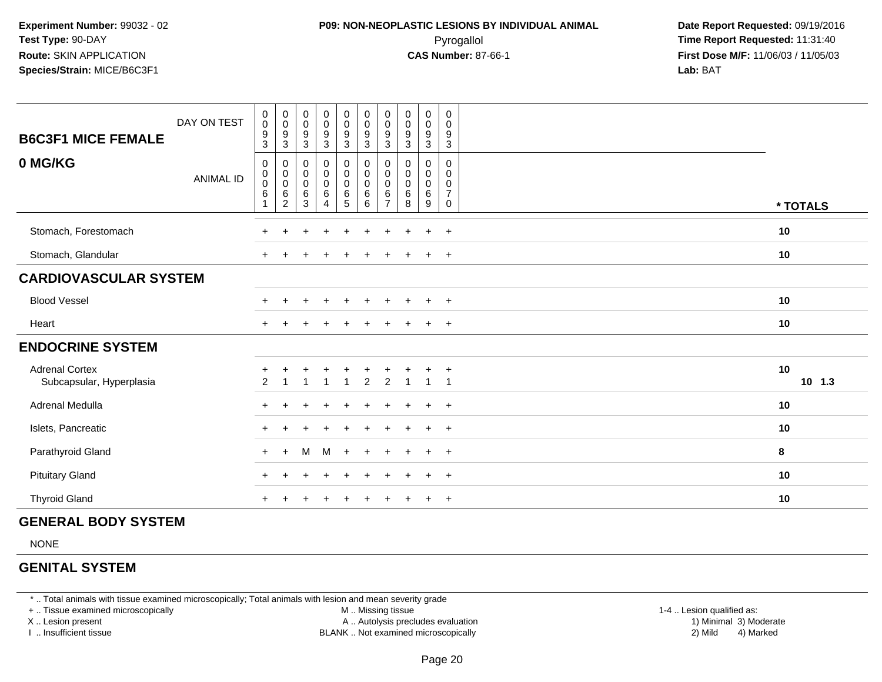### **P09: NON-NEOPLASTIC LESIONS BY INDIVIDUAL ANIMAL**Pyrogallol **Time Report Requested:** 11:31:40

 **Date Report Requested:** 09/19/2016 **First Dose M/F:** 11/06/03 / 11/05/03<br>**Lab:** BAT **Lab:** BAT

| <b>B6C3F1 MICE FEMALE</b><br>0 MG/KG              | DAY ON TEST      | $\pmb{0}$<br>$\pmb{0}$<br>9<br>3<br>$\pmb{0}$ | $\boldsymbol{0}$<br>$\pmb{0}$<br>9<br>3            | $_{\rm 0}^{\rm 0}$<br>$\boldsymbol{9}$<br>$\ensuremath{\mathsf{3}}$ | $\begin{array}{c} 0 \\ 0 \\ 9 \\ 3 \end{array}$            | $\begin{smallmatrix}0\0\0\9\end{smallmatrix}$<br>$\mathbf{3}$ | $_{\rm 0}^{\rm 0}$<br>$\boldsymbol{9}$<br>$\sqrt{3}$<br>$\pmb{0}$ | $\mathbf 0$<br>$\pmb{0}$<br>9<br>3               | $\begin{smallmatrix} 0\\0 \end{smallmatrix}$<br>9<br>$\ensuremath{\mathsf{3}}$<br>0 | $\pmb{0}$<br>$\frac{0}{9}$<br>3<br>0 | $\pmb{0}$<br>0<br>9<br>$\mathbf{3}$<br>0 |                |
|---------------------------------------------------|------------------|-----------------------------------------------|----------------------------------------------------|---------------------------------------------------------------------|------------------------------------------------------------|---------------------------------------------------------------|-------------------------------------------------------------------|--------------------------------------------------|-------------------------------------------------------------------------------------|--------------------------------------|------------------------------------------|----------------|
|                                                   | <b>ANIMAL ID</b> | $\mathbf 0$<br>0<br>$\,6\,$<br>$\overline{1}$ | 0<br>$\pmb{0}$<br>$\pmb{0}$<br>6<br>$\overline{c}$ | 0<br>$\begin{smallmatrix}0\\0\end{smallmatrix}$<br>$\,6$<br>3       | 0<br>$\begin{matrix}0\\0\\6\end{matrix}$<br>$\overline{4}$ | 0<br>$_{\rm 0}^{\rm 0}$<br>$rac{6}{5}$                        | $\pmb{0}$<br>$\boldsymbol{0}$<br>$^6_6$                           | 0<br>$\mathbf 0$<br>0<br>$\,6$<br>$\overline{7}$ | $\pmb{0}$<br>$\pmb{0}$<br>$\,6$<br>8                                                | $\mathbf 0$<br>$_{6}^{\rm 0}$<br>9   | 0<br>0<br>$\overline{7}$<br>$\mathbf 0$  | * TOTALS       |
| Stomach, Forestomach                              |                  |                                               |                                                    |                                                                     |                                                            |                                                               |                                                                   |                                                  |                                                                                     | $\ddot{}$                            | $+$                                      | 10             |
| Stomach, Glandular                                |                  | $\ddot{}$                                     |                                                    |                                                                     |                                                            |                                                               |                                                                   |                                                  |                                                                                     | $+$                                  | $+$                                      | 10             |
| <b>CARDIOVASCULAR SYSTEM</b>                      |                  |                                               |                                                    |                                                                     |                                                            |                                                               |                                                                   |                                                  |                                                                                     |                                      |                                          |                |
| <b>Blood Vessel</b>                               |                  |                                               |                                                    |                                                                     | $\ddot{}$                                                  | $\ddot{}$                                                     | $\ddot{}$                                                         |                                                  |                                                                                     | $+$                                  | $+$                                      | 10             |
| Heart                                             |                  |                                               |                                                    |                                                                     |                                                            | ÷                                                             |                                                                   |                                                  |                                                                                     | $+$                                  | $+$                                      | 10             |
| <b>ENDOCRINE SYSTEM</b>                           |                  |                                               |                                                    |                                                                     |                                                            |                                                               |                                                                   |                                                  |                                                                                     |                                      |                                          |                |
| <b>Adrenal Cortex</b><br>Subcapsular, Hyperplasia |                  | $\overline{c}$                                |                                                    |                                                                     | $\mathbf 1$                                                |                                                               | $\overline{c}$                                                    | $\overline{c}$                                   |                                                                                     | $\overline{1}$                       | $\overline{+}$                           | 10<br>$10$ 1.3 |
| Adrenal Medulla                                   |                  |                                               |                                                    |                                                                     |                                                            |                                                               |                                                                   |                                                  |                                                                                     | $\ddot{}$                            | $+$                                      | 10             |
| Islets, Pancreatic                                |                  |                                               |                                                    |                                                                     |                                                            |                                                               |                                                                   |                                                  |                                                                                     | $+$                                  | $+$                                      | 10             |
| Parathyroid Gland                                 |                  | $+$                                           | $+$                                                | M                                                                   | M                                                          | $+$                                                           | $+$                                                               | $+$                                              | $+$                                                                                 | $+$                                  | $+$                                      | 8              |
| <b>Pituitary Gland</b>                            |                  |                                               |                                                    |                                                                     |                                                            |                                                               |                                                                   |                                                  |                                                                                     | $\ddot{}$                            | $+$                                      | 10             |
| <b>Thyroid Gland</b>                              |                  |                                               |                                                    |                                                                     |                                                            |                                                               |                                                                   |                                                  |                                                                                     | $\ddot{}$                            | $+$                                      | 10             |

#### **GENERAL BODY SYSTEM**

NONE

#### **GENITAL SYSTEM**

\* .. Total animals with tissue examined microscopically; Total animals with lesion and mean severity grade

+ .. Tissue examined microscopically

X .. Lesion present

I .. Insufficient tissue

 M .. Missing tissueA .. Autolysis precludes evaluation

BLANK .. Not examined microscopically 2) Mild 4) Marked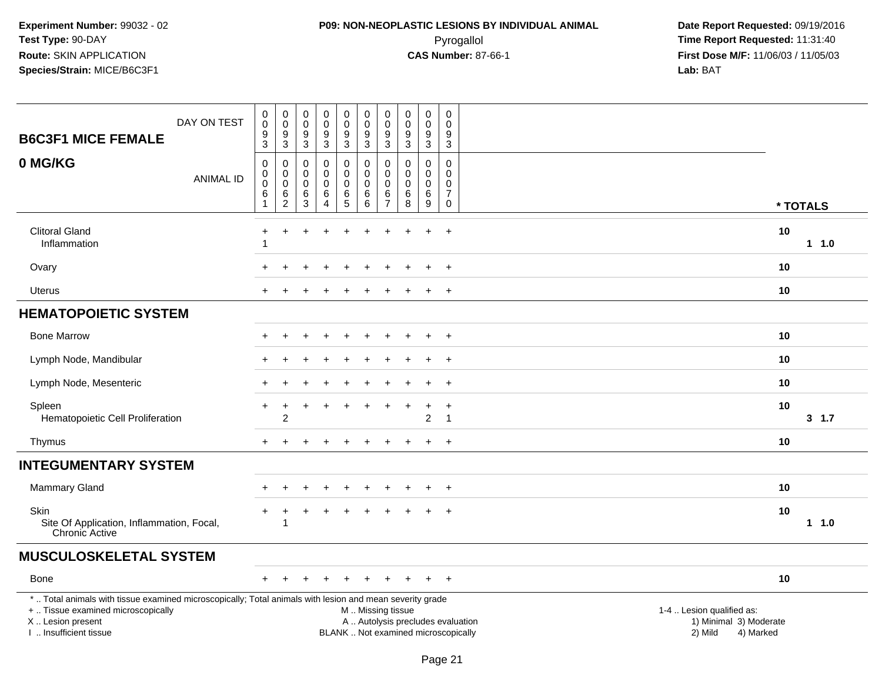# **P09: NON-NEOPLASTIC LESIONS BY INDIVIDUAL ANIMAL**Pyrogallol **Time Report Requested:** 11:31:40

| <b>B6C3F1 MICE FEMALE</b>                                                                                                                                                                     | DAY ON TEST      | $\pmb{0}$<br>$\mathbf 0$<br>9<br>$\overline{3}$    | $_{\rm 0}^{\rm 0}$<br>$\boldsymbol{9}$<br>$\overline{3}$  | $\boldsymbol{0}$<br>$\mathbf 0$<br>9<br>3                        | $\mathbf 0$<br>$\mathbf 0$<br>9<br>$\overline{3}$      | $\pmb{0}$<br>$\pmb{0}$<br>$9\,$<br>$\overline{3}$      | $\pmb{0}$<br>$\mathsf{O}\xspace$<br>$9\,$<br>$\overline{3}$   | $\pmb{0}$<br>$\pmb{0}$<br>9<br>$\overline{3}$                                    | $\pmb{0}$<br>$\pmb{0}$<br>$\boldsymbol{9}$<br>$\overline{3}$ | $\pmb{0}$<br>$\ddot{\mathbf{0}}$<br>9<br>$\overline{3}$      | 0<br>$\mathbf 0$<br>9<br>$\sqrt{3}$                                        |                                                                                                                  |  |
|-----------------------------------------------------------------------------------------------------------------------------------------------------------------------------------------------|------------------|----------------------------------------------------|-----------------------------------------------------------|------------------------------------------------------------------|--------------------------------------------------------|--------------------------------------------------------|---------------------------------------------------------------|----------------------------------------------------------------------------------|--------------------------------------------------------------|--------------------------------------------------------------|----------------------------------------------------------------------------|------------------------------------------------------------------------------------------------------------------|--|
| 0 MG/KG                                                                                                                                                                                       | <b>ANIMAL ID</b> | 0<br>$\mathbf 0$<br>$\bar{0}$<br>6<br>$\mathbf{1}$ | $\pmb{0}$<br>$\ddot{\mathbf{0}}$<br>$\mathbf 0$<br>$^6_2$ | $\mathbf 0$<br>$\mathbf 0$<br>$\mathbf 0$<br>6<br>$\overline{3}$ | $\mathbf 0$<br>0<br>$\mathbf 0$<br>6<br>$\overline{4}$ | 0<br>$\pmb{0}$<br>$\pmb{0}$<br>$\,6$<br>$\overline{5}$ | $\mathbf 0$<br>$\pmb{0}$<br>$\pmb{0}$<br>6<br>$6\overline{6}$ | $\mathbf 0$<br>$\mathsf{O}\xspace$<br>$\mathsf{O}\xspace$<br>6<br>$\overline{7}$ | $\mathbf 0$<br>0<br>$\pmb{0}$<br>6<br>8                      | $\pmb{0}$<br>$\mathbf 0$<br>$\pmb{0}$<br>6<br>$\overline{9}$ | $\mathbf 0$<br>$\mathbf 0$<br>$\mathsf 0$<br>$\overline{7}$<br>$\mathbf 0$ | * TOTALS                                                                                                         |  |
| <b>Clitoral Gland</b><br>Inflammation                                                                                                                                                         |                  |                                                    | ÷                                                         |                                                                  |                                                        |                                                        |                                                               |                                                                                  |                                                              |                                                              | $\ddot{}$                                                                  | 10<br>$1 \t1.0$                                                                                                  |  |
| Ovary                                                                                                                                                                                         |                  |                                                    |                                                           |                                                                  |                                                        |                                                        |                                                               |                                                                                  |                                                              |                                                              | $^{+}$                                                                     | 10                                                                                                               |  |
| <b>Uterus</b>                                                                                                                                                                                 |                  |                                                    |                                                           |                                                                  |                                                        |                                                        |                                                               |                                                                                  |                                                              |                                                              | $\overline{+}$                                                             | 10                                                                                                               |  |
| <b>HEMATOPOIETIC SYSTEM</b>                                                                                                                                                                   |                  |                                                    |                                                           |                                                                  |                                                        |                                                        |                                                               |                                                                                  |                                                              |                                                              |                                                                            |                                                                                                                  |  |
| <b>Bone Marrow</b>                                                                                                                                                                            |                  |                                                    |                                                           |                                                                  |                                                        |                                                        |                                                               |                                                                                  |                                                              |                                                              | $\ddot{}$                                                                  | 10                                                                                                               |  |
| Lymph Node, Mandibular                                                                                                                                                                        |                  |                                                    |                                                           |                                                                  |                                                        |                                                        |                                                               |                                                                                  |                                                              |                                                              | $+$                                                                        | 10                                                                                                               |  |
| Lymph Node, Mesenteric                                                                                                                                                                        |                  |                                                    |                                                           |                                                                  |                                                        |                                                        |                                                               |                                                                                  |                                                              |                                                              | $+$                                                                        | 10                                                                                                               |  |
| Spleen<br>Hematopoietic Cell Proliferation                                                                                                                                                    |                  |                                                    | $\overline{2}$                                            |                                                                  |                                                        |                                                        |                                                               |                                                                                  |                                                              | 2                                                            | $\div$<br>$\overline{\mathbf{1}}$                                          | 10<br>$3 \t1.7$                                                                                                  |  |
| Thymus                                                                                                                                                                                        |                  |                                                    |                                                           |                                                                  |                                                        |                                                        |                                                               |                                                                                  |                                                              |                                                              | $+$                                                                        | 10                                                                                                               |  |
| <b>INTEGUMENTARY SYSTEM</b>                                                                                                                                                                   |                  |                                                    |                                                           |                                                                  |                                                        |                                                        |                                                               |                                                                                  |                                                              |                                                              |                                                                            |                                                                                                                  |  |
| <b>Mammary Gland</b>                                                                                                                                                                          |                  |                                                    |                                                           |                                                                  |                                                        |                                                        |                                                               |                                                                                  |                                                              |                                                              | $\overline{ }$                                                             | 10                                                                                                               |  |
| Skin<br>Site Of Application, Inflammation, Focal,<br><b>Chronic Active</b>                                                                                                                    |                  |                                                    | -1                                                        |                                                                  |                                                        |                                                        |                                                               |                                                                                  |                                                              |                                                              | $\ddot{}$                                                                  | 10<br>$1 1.0$                                                                                                    |  |
| <b>MUSCULOSKELETAL SYSTEM</b>                                                                                                                                                                 |                  |                                                    |                                                           |                                                                  |                                                        |                                                        |                                                               |                                                                                  |                                                              |                                                              |                                                                            |                                                                                                                  |  |
| <b>Bone</b>                                                                                                                                                                                   |                  |                                                    |                                                           |                                                                  |                                                        |                                                        |                                                               |                                                                                  |                                                              |                                                              | $+$                                                                        | 10                                                                                                               |  |
| *  Total animals with tissue examined microscopically; Total animals with lesion and mean severity grade<br>+  Tissue examined microscopically<br>X  Lesion present<br>I  Insufficient tissue |                  |                                                    |                                                           |                                                                  |                                                        |                                                        | M  Missing tissue<br>BLANK  Not examined microscopically      |                                                                                  |                                                              |                                                              |                                                                            | 1-4  Lesion qualified as:<br>A  Autolysis precludes evaluation<br>1) Minimal 3) Moderate<br>2) Mild<br>4) Marked |  |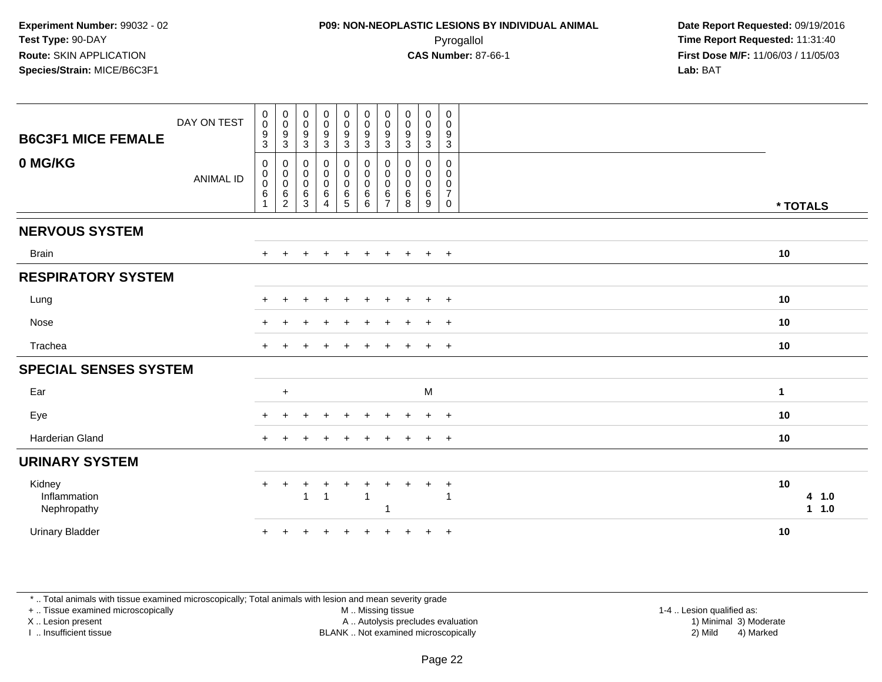| <b>B6C3F1 MICE FEMALE</b>             | DAY ON TEST      | $_{\rm 0}^{\rm 0}$<br>$\frac{9}{3}$               | $\begin{smallmatrix} 0\\0 \end{smallmatrix}$<br>$\boldsymbol{9}$<br>$\mathbf{3}$ | $_{\rm 0}^{\rm 0}$<br>$\boldsymbol{9}$<br>$\ensuremath{\mathsf{3}}$ | $\begin{smallmatrix}0\0\0\end{smallmatrix}$<br>$\frac{9}{3}$ | $\begin{smallmatrix}0\0\0\end{smallmatrix}$<br>$\frac{9}{3}$ | $\begin{array}{c} 0 \\ 0 \\ 9 \\ 3 \end{array}$ | 0<br>$\boldsymbol{0}$<br>9<br>$\sqrt{3}$     | $\pmb{0}$<br>$\pmb{0}$<br>9<br>$\mathbf{3}$ | $\mathbf 0$<br>$\mathbf 0$<br>9<br>$\mathfrak{Z}$ | $\boldsymbol{0}$<br>$\pmb{0}$<br>$\frac{9}{3}$                                   |                        |
|---------------------------------------|------------------|---------------------------------------------------|----------------------------------------------------------------------------------|---------------------------------------------------------------------|--------------------------------------------------------------|--------------------------------------------------------------|-------------------------------------------------|----------------------------------------------|---------------------------------------------|---------------------------------------------------|----------------------------------------------------------------------------------|------------------------|
| 0 MG/KG                               | <b>ANIMAL ID</b> | $\mathbf 0$<br>$\pmb{0}$<br>$\boldsymbol{0}$<br>6 | $\boldsymbol{0}$<br>$\pmb{0}$<br>$\boldsymbol{0}$<br>$\,6\,$<br>$\overline{c}$   | $\pmb{0}$<br>$\pmb{0}$<br>$\pmb{0}$<br>6<br>$\sqrt{3}$              | 0<br>$\begin{matrix} 0 \\ 0 \end{matrix}$<br>$\,6\,$<br>4    | 0<br>$\pmb{0}$<br>$\begin{array}{c} 0 \\ 6 \\ 5 \end{array}$ | $\pmb{0}$<br>$\pmb{0}$<br>$\pmb{0}$<br>$^6_6$   | 0<br>0<br>$\mathbf 0$<br>6<br>$\overline{7}$ | 0<br>0<br>$\pmb{0}$<br>$\,6$<br>8           | $\mathbf 0$<br>0<br>$\mathbf 0$<br>$\,6$<br>9     | $\mathsf{O}\xspace$<br>0<br>$\begin{array}{c} 0 \\ 7 \end{array}$<br>$\mathbf 0$ | * TOTALS               |
| <b>NERVOUS SYSTEM</b>                 |                  |                                                   |                                                                                  |                                                                     |                                                              |                                                              |                                                 |                                              |                                             |                                                   |                                                                                  |                        |
| <b>Brain</b>                          |                  | $\ddot{}$                                         |                                                                                  |                                                                     |                                                              |                                                              |                                                 |                                              |                                             | $\ddot{}$                                         | $+$                                                                              | 10                     |
| <b>RESPIRATORY SYSTEM</b>             |                  |                                                   |                                                                                  |                                                                     |                                                              |                                                              |                                                 |                                              |                                             |                                                   |                                                                                  |                        |
| Lung                                  |                  |                                                   |                                                                                  |                                                                     |                                                              |                                                              |                                                 |                                              |                                             |                                                   | $\overline{+}$                                                                   | 10                     |
| Nose                                  |                  |                                                   |                                                                                  |                                                                     |                                                              |                                                              |                                                 |                                              |                                             |                                                   | $\overline{+}$                                                                   | 10                     |
| Trachea                               |                  | $\pm$                                             |                                                                                  |                                                                     |                                                              |                                                              |                                                 |                                              |                                             | $\div$                                            | $+$                                                                              | 10                     |
| <b>SPECIAL SENSES SYSTEM</b>          |                  |                                                   |                                                                                  |                                                                     |                                                              |                                                              |                                                 |                                              |                                             |                                                   |                                                                                  |                        |
| Ear                                   |                  |                                                   | $\ddot{}$                                                                        |                                                                     |                                                              |                                                              |                                                 |                                              |                                             | M                                                 |                                                                                  | $\mathbf{1}$           |
| Eye                                   |                  |                                                   |                                                                                  |                                                                     |                                                              |                                                              |                                                 |                                              |                                             |                                                   | $\ddot{}$                                                                        | 10                     |
| Harderian Gland                       |                  |                                                   |                                                                                  |                                                                     |                                                              |                                                              |                                                 |                                              |                                             |                                                   | $\overline{+}$                                                                   | 10                     |
| <b>URINARY SYSTEM</b>                 |                  |                                                   |                                                                                  |                                                                     |                                                              |                                                              |                                                 |                                              |                                             |                                                   |                                                                                  |                        |
| Kidney<br>Inflammation<br>Nephropathy |                  | $\ddot{}$                                         | +                                                                                | 1                                                                   | $\ddot{}$<br>$\overline{1}$                                  | $\ddot{}$                                                    | $\ddot{}$<br>$\overline{1}$                     | 1                                            |                                             | $\ddot{}$                                         | $\ddot{}$<br>1                                                                   | 10<br>4 1.0<br>$1 1.0$ |
| <b>Urinary Bladder</b>                |                  |                                                   |                                                                                  |                                                                     |                                                              |                                                              |                                                 |                                              |                                             | $\ddot{}$                                         | $+$                                                                              | 10                     |

\* .. Total animals with tissue examined microscopically; Total animals with lesion and mean severity grade

+ .. Tissue examined microscopically

X .. Lesion present

I .. Insufficient tissue

M .. Missing tissue

Lesion present A .. Autolysis precludes evaluation 1) Minimal 3) Moderate

 1-4 .. Lesion qualified as: BLANK .. Not examined microscopically 2) Mild 4) Marked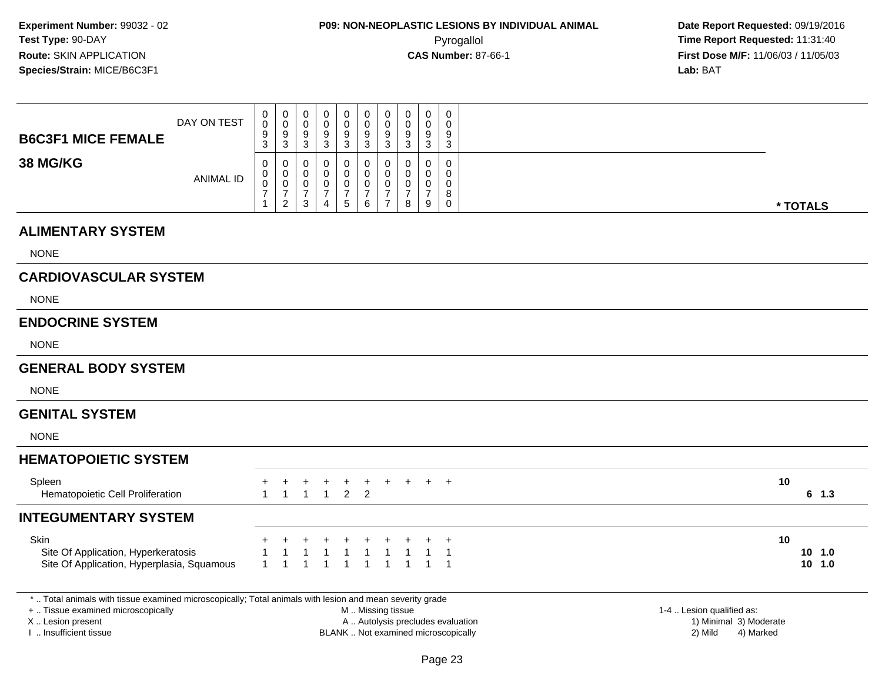| <b>B6C3F1 MICE FEMALE</b>                                                                                                                                                                     | DAY ON TEST      | 0<br>$\pmb{0}$<br>9<br>3                             | $\pmb{0}$<br>$\mathsf{O}\xspace$<br>$\boldsymbol{9}$<br>$\mathbf{3}$     | $\pmb{0}$<br>$\pmb{0}$<br>$\boldsymbol{9}$<br>$\mathbf{3}$                | $\pmb{0}$<br>$\mathbf 0$<br>9<br>$\mathbf{3}$                       | $\pmb{0}$<br>$\pmb{0}$<br>$\boldsymbol{9}$<br>$\sqrt{3}$            | $\pmb{0}$<br>$\mathbf 0$<br>$\boldsymbol{9}$<br>$\sqrt{3}$             | $\pmb{0}$<br>$\mathbf 0$<br>9<br>$\sqrt{3}$                                   | $\pmb{0}$<br>$\mathbf 0$<br>9<br>3           | $\pmb{0}$<br>$\mathsf{O}\xspace$<br>9<br>$\mathbf{3}$    | 0<br>$\mathbf 0$<br>9<br>3                                               |                                                                             |                           |
|-----------------------------------------------------------------------------------------------------------------------------------------------------------------------------------------------|------------------|------------------------------------------------------|--------------------------------------------------------------------------|---------------------------------------------------------------------------|---------------------------------------------------------------------|---------------------------------------------------------------------|------------------------------------------------------------------------|-------------------------------------------------------------------------------|----------------------------------------------|----------------------------------------------------------|--------------------------------------------------------------------------|-----------------------------------------------------------------------------|---------------------------|
| <b>38 MG/KG</b>                                                                                                                                                                               | <b>ANIMAL ID</b> | 0<br>$\mathsf{O}\xspace$<br>0<br>$\overline{7}$<br>1 | 0<br>$\mathbf 0$<br>$\boldsymbol{0}$<br>$\overline{7}$<br>$\overline{2}$ | $\mathbf 0$<br>$\mathbf 0$<br>$\pmb{0}$<br>$\overline{7}$<br>$\mathbf{3}$ | $\mathbf 0$<br>$\mathbf 0$<br>0<br>$\overline{7}$<br>$\overline{4}$ | $\pmb{0}$<br>$\mathbf 0$<br>$\boldsymbol{0}$<br>$\overline{7}$<br>5 | $\pmb{0}$<br>$\mathbf 0$<br>$\mathbf 0$<br>$\boldsymbol{7}$<br>$\,6\,$ | $\mathbf 0$<br>$\mathbf 0$<br>$\mathbf 0$<br>$\overline{7}$<br>$\overline{7}$ | 0<br>0<br>$\mathbf 0$<br>$\overline{7}$<br>8 | $\mathbf 0$<br>$\mathbf 0$<br>0<br>$\boldsymbol{7}$<br>9 | 0<br>$\mathbf 0$<br>0<br>8<br>$\mathbf 0$                                |                                                                             | * TOTALS                  |
| <b>ALIMENTARY SYSTEM</b>                                                                                                                                                                      |                  |                                                      |                                                                          |                                                                           |                                                                     |                                                                     |                                                                        |                                                                               |                                              |                                                          |                                                                          |                                                                             |                           |
| <b>NONE</b>                                                                                                                                                                                   |                  |                                                      |                                                                          |                                                                           |                                                                     |                                                                     |                                                                        |                                                                               |                                              |                                                          |                                                                          |                                                                             |                           |
| <b>CARDIOVASCULAR SYSTEM</b>                                                                                                                                                                  |                  |                                                      |                                                                          |                                                                           |                                                                     |                                                                     |                                                                        |                                                                               |                                              |                                                          |                                                                          |                                                                             |                           |
| <b>NONE</b>                                                                                                                                                                                   |                  |                                                      |                                                                          |                                                                           |                                                                     |                                                                     |                                                                        |                                                                               |                                              |                                                          |                                                                          |                                                                             |                           |
| <b>ENDOCRINE SYSTEM</b>                                                                                                                                                                       |                  |                                                      |                                                                          |                                                                           |                                                                     |                                                                     |                                                                        |                                                                               |                                              |                                                          |                                                                          |                                                                             |                           |
| <b>NONE</b>                                                                                                                                                                                   |                  |                                                      |                                                                          |                                                                           |                                                                     |                                                                     |                                                                        |                                                                               |                                              |                                                          |                                                                          |                                                                             |                           |
| <b>GENERAL BODY SYSTEM</b>                                                                                                                                                                    |                  |                                                      |                                                                          |                                                                           |                                                                     |                                                                     |                                                                        |                                                                               |                                              |                                                          |                                                                          |                                                                             |                           |
| <b>NONE</b>                                                                                                                                                                                   |                  |                                                      |                                                                          |                                                                           |                                                                     |                                                                     |                                                                        |                                                                               |                                              |                                                          |                                                                          |                                                                             |                           |
| <b>GENITAL SYSTEM</b>                                                                                                                                                                         |                  |                                                      |                                                                          |                                                                           |                                                                     |                                                                     |                                                                        |                                                                               |                                              |                                                          |                                                                          |                                                                             |                           |
| <b>NONE</b>                                                                                                                                                                                   |                  |                                                      |                                                                          |                                                                           |                                                                     |                                                                     |                                                                        |                                                                               |                                              |                                                          |                                                                          |                                                                             |                           |
| <b>HEMATOPOIETIC SYSTEM</b>                                                                                                                                                                   |                  |                                                      |                                                                          |                                                                           |                                                                     |                                                                     |                                                                        |                                                                               |                                              |                                                          |                                                                          |                                                                             |                           |
| Spleen<br>Hematopoietic Cell Proliferation                                                                                                                                                    |                  | $\mathbf{1}$                                         | $\mathbf{1}$                                                             | $\ddot{}$<br>$\overline{1}$                                               | $\ddot{}$<br>$\mathbf{1}$                                           | $^{+}$<br>$\overline{2}$                                            | $+$<br>$\overline{2}$                                                  | $+$                                                                           |                                              |                                                          | $+$                                                                      |                                                                             | 10<br>$6$ 1.3             |
| <b>INTEGUMENTARY SYSTEM</b>                                                                                                                                                                   |                  |                                                      |                                                                          |                                                                           |                                                                     |                                                                     |                                                                        |                                                                               |                                              |                                                          |                                                                          |                                                                             |                           |
| <b>Skin</b><br>Site Of Application, Hyperkeratosis<br>Site Of Application, Hyperplasia, Squamous                                                                                              |                  | -1<br>$\mathbf{1}$                                   |                                                                          | $\overline{1}$                                                            |                                                                     | -1<br>-1                                                            | $\mathbf 1$<br>$\overline{1}$                                          | 1                                                                             |                                              |                                                          | $\mathbf 1$<br>$\overline{1}$                                            |                                                                             | 10<br>10, 1.0<br>$10$ 1.0 |
| *  Total animals with tissue examined microscopically; Total animals with lesion and mean severity grade<br>+  Tissue examined microscopically<br>X  Lesion present<br>I  Insufficient tissue |                  |                                                      |                                                                          |                                                                           |                                                                     |                                                                     | M  Missing tissue                                                      |                                                                               |                                              |                                                          | A  Autolysis precludes evaluation<br>BLANK  Not examined microscopically | 1-4  Lesion qualified as:<br>1) Minimal 3) Moderate<br>2) Mild<br>4) Marked |                           |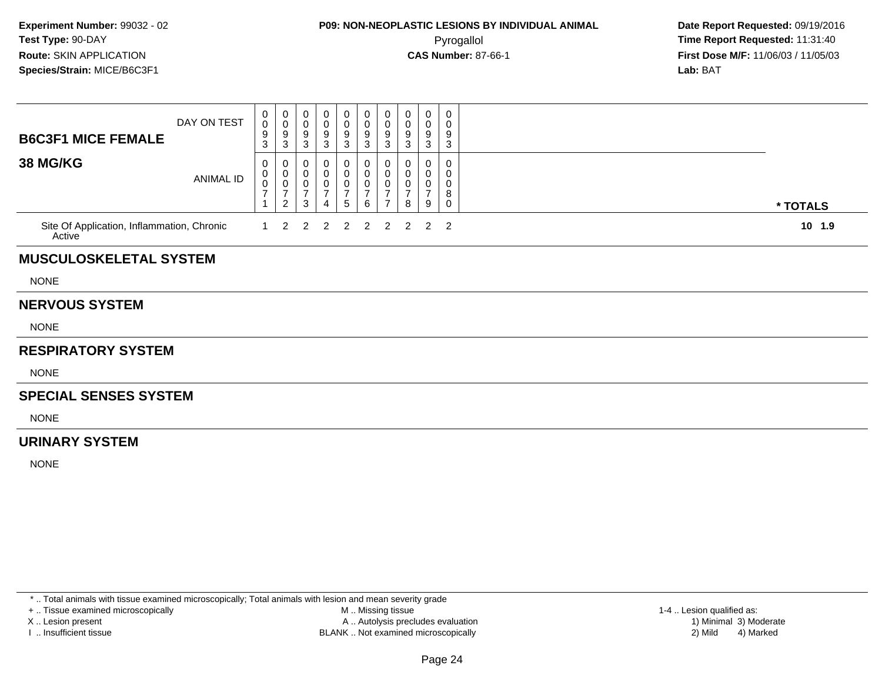### **P09: NON-NEOPLASTIC LESIONS BY INDIVIDUAL ANIMAL**Pyrogallol **Time Report Requested:** 11:31:40

 **Date Report Requested:** 09/19/2016 **First Dose M/F:** 11/06/03 / 11/05/03<br>**Lab:** BAT **Lab:** BAT

| <b>B6C3F1 MICE FEMALE</b>                            | DAY ON TEST | 0<br>$\mathbf 0$<br>9<br>3    | $_{\rm 0}^{\rm 0}$<br>$\boldsymbol{9}$<br>3                     | 0<br>$\pmb{0}$<br>$\frac{9}{3}$                             | 0<br>0<br>9<br>3                           | 0<br>$\begin{array}{c} 0 \\ 9 \\ 3 \end{array}$ | $\mathbf 0$<br>$\pmb{0}$<br>$\boldsymbol{9}$<br>$\mathbf{3}$ | $\begin{matrix} 0 \\ 0 \\ 9 \\ 3 \end{matrix}$                           | 0<br>$\mathbf 0$<br>9<br>3         | 0<br>$\mathbf 0$<br>9<br>3         | 0<br>0<br>9<br>3                |          |
|------------------------------------------------------|-------------|-------------------------------|-----------------------------------------------------------------|-------------------------------------------------------------|--------------------------------------------|-------------------------------------------------|--------------------------------------------------------------|--------------------------------------------------------------------------|------------------------------------|------------------------------------|---------------------------------|----------|
| <b>38 MG/KG</b>                                      | ANIMAL ID   | 0<br>0<br>0<br>$\overline{7}$ | 0<br>$\pmb{0}$<br>$\pmb{0}$<br>$\overline{7}$<br>$\overline{2}$ | 0<br>$\pmb{0}$<br>$\pmb{0}$<br>$\overline{7}$<br>$\sqrt{3}$ | 0<br>0<br>$\overline{7}$<br>$\overline{4}$ | 0<br>$\pmb{0}$<br>$\frac{0}{7}$<br>$\sqrt{5}$   | 0<br>$\mathbf 0$<br>0<br>$\overline{7}$<br>6                 | 0<br>$\mathbf 0$<br>$\boldsymbol{0}$<br>$\overline{7}$<br>$\overline{7}$ | 0<br>0<br>0<br>$\overline{7}$<br>8 | 0<br>0<br>0<br>$\overline{7}$<br>9 | 0<br>0<br>0<br>8<br>$\mathbf 0$ | * TOTALS |
| Site Of Application, Inflammation, Chronic<br>Active |             |                               | $\overline{2}$                                                  | $\overline{2}$                                              | 2                                          | 2                                               | 2                                                            | $\overline{2}$                                                           | $\overline{2}$                     | $2^{\circ}$                        | $\overline{2}$                  | 10 1.9   |
| <b>MUSCULOSKELETAL SYSTEM</b>                        |             |                               |                                                                 |                                                             |                                            |                                                 |                                                              |                                                                          |                                    |                                    |                                 |          |
| <b>NONE</b>                                          |             |                               |                                                                 |                                                             |                                            |                                                 |                                                              |                                                                          |                                    |                                    |                                 |          |
| <b>NERVOUS SYSTEM</b>                                |             |                               |                                                                 |                                                             |                                            |                                                 |                                                              |                                                                          |                                    |                                    |                                 |          |
| <b>NONE</b>                                          |             |                               |                                                                 |                                                             |                                            |                                                 |                                                              |                                                                          |                                    |                                    |                                 |          |
| <b>RESPIRATORY SYSTEM</b>                            |             |                               |                                                                 |                                                             |                                            |                                                 |                                                              |                                                                          |                                    |                                    |                                 |          |
| <b>NONE</b>                                          |             |                               |                                                                 |                                                             |                                            |                                                 |                                                              |                                                                          |                                    |                                    |                                 |          |
| <b>SPECIAL SENSES SYSTEM</b>                         |             |                               |                                                                 |                                                             |                                            |                                                 |                                                              |                                                                          |                                    |                                    |                                 |          |
| <b>NONE</b>                                          |             |                               |                                                                 |                                                             |                                            |                                                 |                                                              |                                                                          |                                    |                                    |                                 |          |
| <b>URINARY SYSTEM</b>                                |             |                               |                                                                 |                                                             |                                            |                                                 |                                                              |                                                                          |                                    |                                    |                                 |          |
| <b>NONE</b>                                          |             |                               |                                                                 |                                                             |                                            |                                                 |                                                              |                                                                          |                                    |                                    |                                 |          |
|                                                      |             |                               |                                                                 |                                                             |                                            |                                                 |                                                              |                                                                          |                                    |                                    |                                 |          |

\* .. Total animals with tissue examined microscopically; Total animals with lesion and mean severity grade

+ .. Tissue examined microscopically

X .. Lesion present

I .. Insufficient tissue

 M .. Missing tissueA .. Autolysis precludes evaluation

BLANK .. Not examined microscopically 2) Mild 4) Marked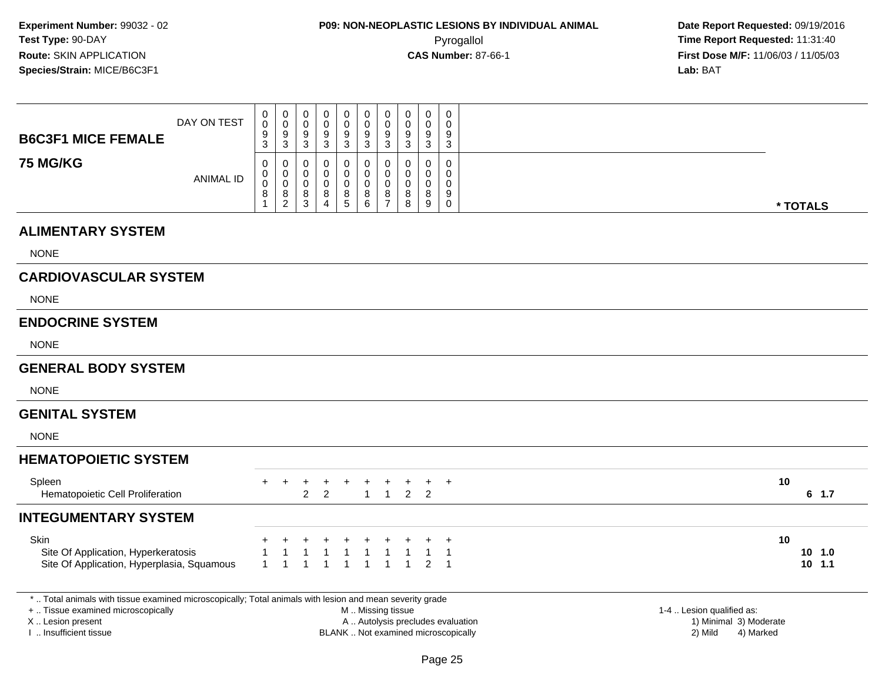| <b>B6C3F1 MICE FEMALE</b>                                                                                                                                                                     | DAY ON TEST      | 0<br>0<br>9<br>3                        | $\boldsymbol{0}$<br>$\pmb{0}$<br>$\boldsymbol{9}$<br>3       | $\pmb{0}$<br>$\mathbf 0$<br>$\boldsymbol{9}$<br>3                       | $\mathbf 0$<br>$\mathbf 0$<br>9<br>3 | $\pmb{0}$<br>$\mathbf 0$<br>$\boldsymbol{9}$<br>3      | $\pmb{0}$<br>$\mathbf 0$<br>$\boldsymbol{9}$<br>3 | $\mathbf 0$<br>$\mathbf 0$<br>9<br>3                   | $\pmb{0}$<br>$\mathbf 0$<br>9<br>3  | $\mathbf 0$<br>$\mathbf 0$<br>9<br>3            | $\mathbf 0$<br>$\Omega$<br>9<br>3                |                                   |                                                                             |                           |
|-----------------------------------------------------------------------------------------------------------------------------------------------------------------------------------------------|------------------|-----------------------------------------|--------------------------------------------------------------|-------------------------------------------------------------------------|--------------------------------------|--------------------------------------------------------|---------------------------------------------------|--------------------------------------------------------|-------------------------------------|-------------------------------------------------|--------------------------------------------------|-----------------------------------|-----------------------------------------------------------------------------|---------------------------|
| <b>75 MG/KG</b>                                                                                                                                                                               | <b>ANIMAL ID</b> | 0<br>$\pmb{0}$<br>$\mathsf 0$<br>8<br>1 | 0<br>$\mathbf 0$<br>$\mathbf 0$<br>$\,8\,$<br>$\overline{2}$ | $\mathbf 0$<br>$\pmb{0}$<br>$\boldsymbol{0}$<br>$\bf 8$<br>$\mathbf{3}$ | 0<br>0<br>0<br>8<br>$\overline{4}$   | 0<br>$\pmb{0}$<br>$\mathbf 0$<br>$\bf 8$<br>$\sqrt{5}$ | 0<br>$\pmb{0}$<br>0<br>8<br>6                     | 0<br>$\mathbf 0$<br>$\mathbf 0$<br>8<br>$\overline{7}$ | 0<br>0<br>0<br>8<br>8               | $\mathbf 0$<br>$\mathbf 0$<br>0<br>$\bf 8$<br>9 | $\mathbf 0$<br>0<br>0<br>9<br>0                  |                                   |                                                                             | * TOTALS                  |
| <b>ALIMENTARY SYSTEM</b>                                                                                                                                                                      |                  |                                         |                                                              |                                                                         |                                      |                                                        |                                                   |                                                        |                                     |                                                 |                                                  |                                   |                                                                             |                           |
| <b>NONE</b>                                                                                                                                                                                   |                  |                                         |                                                              |                                                                         |                                      |                                                        |                                                   |                                                        |                                     |                                                 |                                                  |                                   |                                                                             |                           |
| <b>CARDIOVASCULAR SYSTEM</b>                                                                                                                                                                  |                  |                                         |                                                              |                                                                         |                                      |                                                        |                                                   |                                                        |                                     |                                                 |                                                  |                                   |                                                                             |                           |
| <b>NONE</b>                                                                                                                                                                                   |                  |                                         |                                                              |                                                                         |                                      |                                                        |                                                   |                                                        |                                     |                                                 |                                                  |                                   |                                                                             |                           |
| <b>ENDOCRINE SYSTEM</b>                                                                                                                                                                       |                  |                                         |                                                              |                                                                         |                                      |                                                        |                                                   |                                                        |                                     |                                                 |                                                  |                                   |                                                                             |                           |
| <b>NONE</b>                                                                                                                                                                                   |                  |                                         |                                                              |                                                                         |                                      |                                                        |                                                   |                                                        |                                     |                                                 |                                                  |                                   |                                                                             |                           |
| <b>GENERAL BODY SYSTEM</b>                                                                                                                                                                    |                  |                                         |                                                              |                                                                         |                                      |                                                        |                                                   |                                                        |                                     |                                                 |                                                  |                                   |                                                                             |                           |
| <b>NONE</b>                                                                                                                                                                                   |                  |                                         |                                                              |                                                                         |                                      |                                                        |                                                   |                                                        |                                     |                                                 |                                                  |                                   |                                                                             |                           |
| <b>GENITAL SYSTEM</b>                                                                                                                                                                         |                  |                                         |                                                              |                                                                         |                                      |                                                        |                                                   |                                                        |                                     |                                                 |                                                  |                                   |                                                                             |                           |
| <b>NONE</b>                                                                                                                                                                                   |                  |                                         |                                                              |                                                                         |                                      |                                                        |                                                   |                                                        |                                     |                                                 |                                                  |                                   |                                                                             |                           |
| <b>HEMATOPOIETIC SYSTEM</b>                                                                                                                                                                   |                  |                                         |                                                              |                                                                         |                                      |                                                        |                                                   |                                                        |                                     |                                                 |                                                  |                                   |                                                                             |                           |
| Spleen<br>Hematopoietic Cell Proliferation                                                                                                                                                    |                  | $+$                                     | $\ddot{}$                                                    | +<br>$\mathcal{P}$                                                      | +<br>$\overline{2}$                  |                                                        | $\ddot{}$<br>$\mathbf{1}$                         | $\ddot{}$<br>$\overline{1}$                            | $\ddot{}$                           | $+$<br>2 <sub>2</sub>                           | $+$                                              |                                   |                                                                             | 10<br>$6$ 1.7             |
| <b>INTEGUMENTARY SYSTEM</b>                                                                                                                                                                   |                  |                                         |                                                              |                                                                         |                                      |                                                        |                                                   |                                                        |                                     |                                                 |                                                  |                                   |                                                                             |                           |
| Skin<br>Site Of Application, Hyperkeratosis<br>Site Of Application, Hyperplasia, Squamous                                                                                                     |                  | $\mathbf{1}$                            |                                                              | $\mathbf 1$                                                             |                                      | $\overline{1}$<br>$\overline{1}$                       | $\mathbf{1}$<br>$\mathbf{1}$                      | $\mathbf{1}$<br>$\mathbf{1}$                           | $\mathbf{1}$<br>$\mathbf{1}$        | $\mathbf{1}$<br>$\overline{2}$                  | $\overline{1}$<br>$\overline{1}$<br>$\mathbf{1}$ |                                   |                                                                             | 10<br>10, 1.0<br>$10$ 1.1 |
| *  Total animals with tissue examined microscopically; Total animals with lesion and mean severity grade<br>+  Tissue examined microscopically<br>X  Lesion present<br>I. Insufficient tissue |                  |                                         |                                                              |                                                                         |                                      |                                                        | M  Missing tissue                                 |                                                        | BLANK  Not examined microscopically |                                                 |                                                  | A  Autolysis precludes evaluation | 1-4  Lesion qualified as:<br>1) Minimal 3) Moderate<br>2) Mild<br>4) Marked |                           |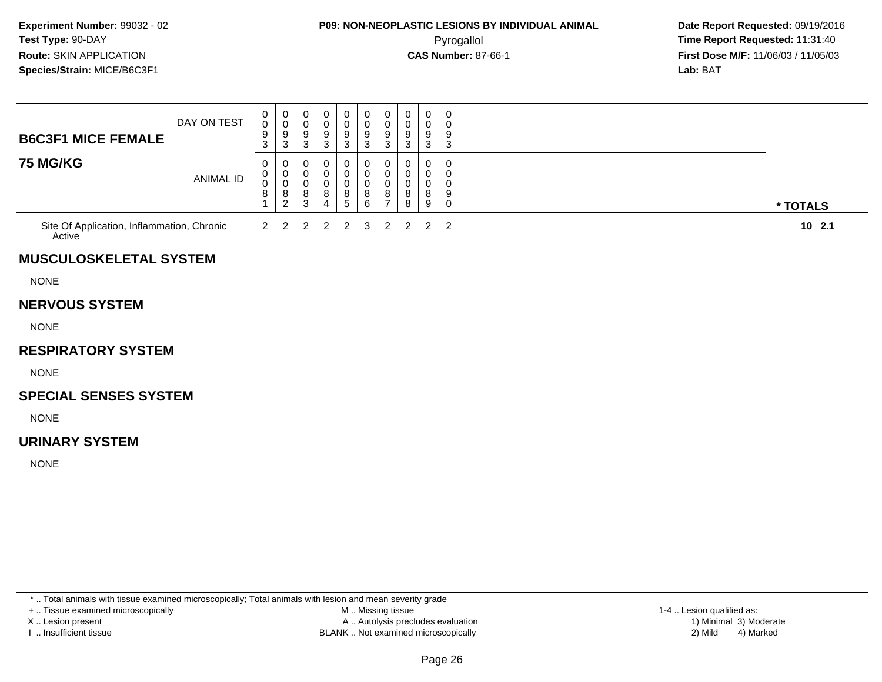### **P09: NON-NEOPLASTIC LESIONS BY INDIVIDUAL ANIMAL**Pyrogallol **Time Report Requested:** 11:31:40

 **Date Report Requested:** 09/19/2016 **First Dose M/F:** 11/06/03 / 11/05/03<br>**Lab:** BAT **Lab:** BAT

| <b>B6C3F1 MICE FEMALE</b>                            | DAY ON TEST      | 0<br>$\mathsf{O}\xspace$<br>9<br>3 | 0<br>$\bar{0}$<br>$\boldsymbol{9}$<br>$\ensuremath{\mathsf{3}}$   | 0<br>$\pmb{0}$<br>$\boldsymbol{9}$<br>$\mathfrak{S}$       | 0<br>0<br>9<br>3                   | 0<br>$\pmb{0}$<br>$\boldsymbol{9}$<br>$\ensuremath{\mathsf{3}}$ | $\mathbf 0$<br>$\pmb{0}$<br>$\boldsymbol{9}$<br>$\ensuremath{\mathsf{3}}$ | 0<br>$\mathbf 0$<br>$9\,$<br>3               | 0<br>0<br>9<br>3      | 0<br>0<br>9<br>3      | 0<br>0<br>9<br>3                |          |
|------------------------------------------------------|------------------|------------------------------------|-------------------------------------------------------------------|------------------------------------------------------------|------------------------------------|-----------------------------------------------------------------|---------------------------------------------------------------------------|----------------------------------------------|-----------------------|-----------------------|---------------------------------|----------|
| <b>75 MG/KG</b>                                      | <b>ANIMAL ID</b> | 0<br>0<br>0<br>8                   | 0<br>$\mathbf 0$<br>$\boldsymbol{0}$<br>$\bf 8$<br>$\overline{2}$ | 0<br>$\mathbf 0$<br>$\mathbf 0$<br>$\,8\,$<br>$\mathbf{3}$ | O<br>0<br>0<br>8<br>$\overline{4}$ | 0<br>$\mathbf 0$<br>$\mathbf 0$<br>8<br>$\sqrt{5}$              | 0<br>$\mathbf 0$<br>$\pmb{0}$<br>$\,8\,$<br>$\,6\,$                       | 0<br>0<br>$\mathbf 0$<br>8<br>$\overline{7}$ | 0<br>0<br>0<br>8<br>8 | 0<br>0<br>0<br>8<br>9 | 0<br>0<br>0<br>9<br>$\mathbf 0$ | * TOTALS |
| Site Of Application, Inflammation, Chronic<br>Active |                  | 2                                  | 2                                                                 | 2                                                          | $\overline{2}$                     | $\overline{2}$                                                  | 3                                                                         | $\overline{2}$                               | $\overline{2}$        | $\overline{2}$        | $\overline{2}$                  | 102.1    |
| <b>MUSCULOSKELETAL SYSTEM</b>                        |                  |                                    |                                                                   |                                                            |                                    |                                                                 |                                                                           |                                              |                       |                       |                                 |          |
| <b>NONE</b>                                          |                  |                                    |                                                                   |                                                            |                                    |                                                                 |                                                                           |                                              |                       |                       |                                 |          |
| <b>NERVOUS SYSTEM</b>                                |                  |                                    |                                                                   |                                                            |                                    |                                                                 |                                                                           |                                              |                       |                       |                                 |          |
| <b>NONE</b>                                          |                  |                                    |                                                                   |                                                            |                                    |                                                                 |                                                                           |                                              |                       |                       |                                 |          |
| <b>RESPIRATORY SYSTEM</b>                            |                  |                                    |                                                                   |                                                            |                                    |                                                                 |                                                                           |                                              |                       |                       |                                 |          |
| <b>NONE</b>                                          |                  |                                    |                                                                   |                                                            |                                    |                                                                 |                                                                           |                                              |                       |                       |                                 |          |
| <b>SPECIAL SENSES SYSTEM</b>                         |                  |                                    |                                                                   |                                                            |                                    |                                                                 |                                                                           |                                              |                       |                       |                                 |          |
| <b>NONE</b>                                          |                  |                                    |                                                                   |                                                            |                                    |                                                                 |                                                                           |                                              |                       |                       |                                 |          |
| <b>URINARY SYSTEM</b>                                |                  |                                    |                                                                   |                                                            |                                    |                                                                 |                                                                           |                                              |                       |                       |                                 |          |
| <b>NONE</b>                                          |                  |                                    |                                                                   |                                                            |                                    |                                                                 |                                                                           |                                              |                       |                       |                                 |          |

\* .. Total animals with tissue examined microscopically; Total animals with lesion and mean severity grade

+ .. Tissue examined microscopically

X .. Lesion present

I .. Insufficient tissue

 M .. Missing tissueA .. Autolysis precludes evaluation

BLANK .. Not examined microscopically 2) Mild 4) Marked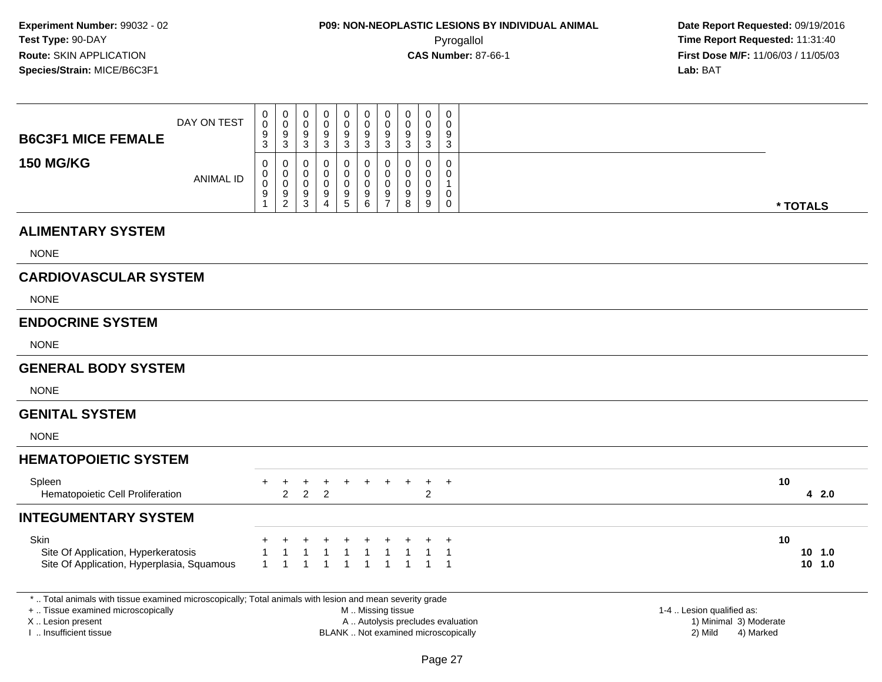**Date Report Requested:** 09/19/2016 **First Dose M/F:** 11/06/03 / 11/05/03<br>**Lab:** BAT **Lab:** BAT

| <b>B6C3F1 MICE FEMALE</b>                                                                 | DAY ON TEST      | 0<br>0<br>9<br>3                               | $\pmb{0}$<br>$\pmb{0}$<br>$\frac{9}{3}$           | 0<br>0<br>$\boldsymbol{9}$<br>$\mathbf{3}$ | 0<br>0<br>9<br>$\mathbf{3}$            | 0<br>0<br>$\boldsymbol{9}$<br>3                  | $\pmb{0}$<br>$\pmb{0}$<br>$\frac{9}{3}$                              | 0<br>0<br>9<br>3                                     | 0<br>0<br>9<br>3      | 0<br>0<br>9<br>$\sqrt{3}$                    | 0<br>0<br>9<br>3                           |                           |
|-------------------------------------------------------------------------------------------|------------------|------------------------------------------------|---------------------------------------------------|--------------------------------------------|----------------------------------------|--------------------------------------------------|----------------------------------------------------------------------|------------------------------------------------------|-----------------------|----------------------------------------------|--------------------------------------------|---------------------------|
| <b>150 MG/KG</b>                                                                          | <b>ANIMAL ID</b> | 0<br>0<br>$\boldsymbol{0}$<br>9<br>$\mathbf 1$ | 0<br>$\pmb{0}$<br>$\overline{0}$<br>$\frac{9}{2}$ | 0<br>0<br>$\mathbf 0$<br>$\frac{9}{3}$     | 0<br>0<br>0<br>$9\,$<br>$\overline{4}$ | 0<br>$\mathbf 0$<br>$\pmb{0}$<br>9<br>$\sqrt{5}$ | 0<br>$\pmb{0}$<br>$\pmb{0}$<br>$\begin{array}{c} 9 \\ 6 \end{array}$ | 0<br>$\mathbf 0$<br>$\pmb{0}$<br>9<br>$\overline{7}$ | 0<br>0<br>0<br>9<br>8 | 0<br>0<br>$\pmb{0}$<br>9<br>$\boldsymbol{9}$ | 0<br>0<br>$\mathbf{1}$<br>0<br>$\mathbf 0$ | * TOTALS                  |
| <b>ALIMENTARY SYSTEM</b>                                                                  |                  |                                                |                                                   |                                            |                                        |                                                  |                                                                      |                                                      |                       |                                              |                                            |                           |
| <b>NONE</b>                                                                               |                  |                                                |                                                   |                                            |                                        |                                                  |                                                                      |                                                      |                       |                                              |                                            |                           |
| <b>CARDIOVASCULAR SYSTEM</b>                                                              |                  |                                                |                                                   |                                            |                                        |                                                  |                                                                      |                                                      |                       |                                              |                                            |                           |
| <b>NONE</b>                                                                               |                  |                                                |                                                   |                                            |                                        |                                                  |                                                                      |                                                      |                       |                                              |                                            |                           |
| <b>ENDOCRINE SYSTEM</b>                                                                   |                  |                                                |                                                   |                                            |                                        |                                                  |                                                                      |                                                      |                       |                                              |                                            |                           |
| <b>NONE</b>                                                                               |                  |                                                |                                                   |                                            |                                        |                                                  |                                                                      |                                                      |                       |                                              |                                            |                           |
| <b>GENERAL BODY SYSTEM</b>                                                                |                  |                                                |                                                   |                                            |                                        |                                                  |                                                                      |                                                      |                       |                                              |                                            |                           |
| <b>NONE</b>                                                                               |                  |                                                |                                                   |                                            |                                        |                                                  |                                                                      |                                                      |                       |                                              |                                            |                           |
| <b>GENITAL SYSTEM</b>                                                                     |                  |                                                |                                                   |                                            |                                        |                                                  |                                                                      |                                                      |                       |                                              |                                            |                           |
| <b>NONE</b>                                                                               |                  |                                                |                                                   |                                            |                                        |                                                  |                                                                      |                                                      |                       |                                              |                                            |                           |
| <b>HEMATOPOIETIC SYSTEM</b>                                                               |                  |                                                |                                                   |                                            |                                        |                                                  |                                                                      |                                                      |                       |                                              |                                            |                           |
| Spleen<br>Hematopoietic Cell Proliferation                                                |                  | +                                              | $+$<br>$\overline{2}$                             | +<br>$\overline{2}$                        | $\ddot{}$<br>$\overline{2}$            | +                                                | +                                                                    |                                                      |                       | $\pm$<br>$\overline{c}$                      | $\overline{1}$                             | 10<br>42.0                |
| <b>INTEGUMENTARY SYSTEM</b>                                                               |                  |                                                |                                                   |                                            |                                        |                                                  |                                                                      |                                                      |                       |                                              |                                            |                           |
| Skin<br>Site Of Application, Hyperkeratosis<br>Site Of Application, Hyperplasia, Squamous |                  |                                                |                                                   |                                            |                                        |                                                  |                                                                      |                                                      |                       |                                              | $\div$<br>-1                               | 10<br>$10$ 1.0<br>10, 1.0 |

\* .. Total animals with tissue examined microscopically; Total animals with lesion and mean severity grade

+ .. Tissue examined microscopically

X .. Lesion present

I .. Insufficient tissue

M .. Missing tissue

A .. Autolysis precludes evaluation

BLANK .. Not examined microscopically 2) Mild 4) Marked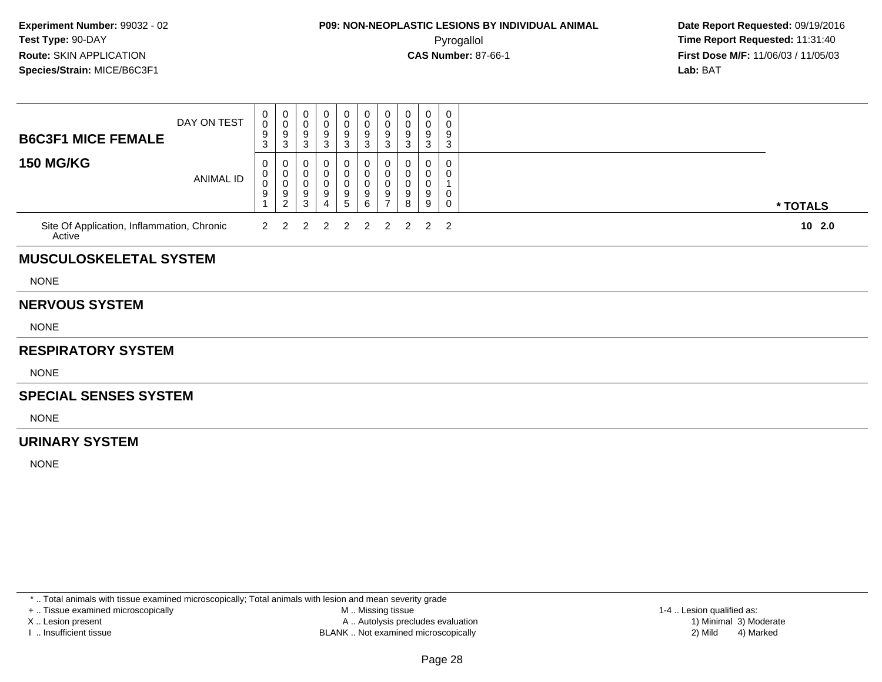### **P09: NON-NEOPLASTIC LESIONS BY INDIVIDUAL ANIMAL**Pyrogallol **Time Report Requested:** 11:31:40

 **Date Report Requested:** 09/19/2016 **First Dose M/F:** 11/06/03 / 11/05/03<br>**Lab:** BAT **Lab:** BAT

| <b>B6C3F1 MICE FEMALE</b>                            | DAY ON TEST      | 0<br>$\pmb{0}$<br>9<br>3 | 0<br>$\mathsf{O}\xspace$<br>$\boldsymbol{9}$<br>$\sqrt{3}$            | 0<br>0<br>9<br>$\ensuremath{\mathsf{3}}$  | 0<br>0<br>9<br>$\mathbf{3}$   | 0<br>$\pmb{0}$<br>$\boldsymbol{9}$<br>$\ensuremath{\mathsf{3}}$ | $\mathbf 0$<br>$\pmb{0}$<br>$\boldsymbol{9}$<br>$\ensuremath{\mathsf{3}}$ | 0<br>0<br>$9\,$<br>3                                       | 0<br>0<br>9<br>3      | 0<br>0<br>9<br>3      | 0<br>0<br>9<br>3           |          |
|------------------------------------------------------|------------------|--------------------------|-----------------------------------------------------------------------|-------------------------------------------|-------------------------------|-----------------------------------------------------------------|---------------------------------------------------------------------------|------------------------------------------------------------|-----------------------|-----------------------|----------------------------|----------|
| <b>150 MG/KG</b>                                     | <b>ANIMAL ID</b> | 0<br>0<br>0<br>9         | 0<br>$\mathbf 0$<br>$\mathbf 0$<br>$\boldsymbol{9}$<br>$\overline{c}$ | 0<br>$\mathbf 0$<br>$\mathbf 0$<br>9<br>3 | 0<br>0<br>9<br>$\overline{4}$ | 0<br>$\pmb{0}$<br>$\mathbf 0$<br>$\boldsymbol{9}$<br>$\sqrt{5}$ | 0<br>$\mathbf 0$<br>$\pmb{0}$<br>$\boldsymbol{9}$<br>$\,6\,$              | 0<br>$\mathbf 0$<br>$\mathbf 0$<br>$9\,$<br>$\overline{7}$ | 0<br>0<br>0<br>9<br>8 | 0<br>0<br>0<br>9<br>9 | 0<br>0<br>0<br>$\mathbf 0$ | * TOTALS |
| Site Of Application, Inflammation, Chronic<br>Active |                  | 2                        | 2                                                                     | 2                                         | $\overline{2}$                | $\overline{2}$                                                  | $\overline{2}$                                                            | $\overline{2}$                                             | 2                     | $\overline{2}$        | $\overline{2}$             | 102.0    |
| <b>MUSCULOSKELETAL SYSTEM</b>                        |                  |                          |                                                                       |                                           |                               |                                                                 |                                                                           |                                                            |                       |                       |                            |          |
| <b>NONE</b>                                          |                  |                          |                                                                       |                                           |                               |                                                                 |                                                                           |                                                            |                       |                       |                            |          |
| <b>NERVOUS SYSTEM</b>                                |                  |                          |                                                                       |                                           |                               |                                                                 |                                                                           |                                                            |                       |                       |                            |          |
| <b>NONE</b>                                          |                  |                          |                                                                       |                                           |                               |                                                                 |                                                                           |                                                            |                       |                       |                            |          |
| <b>RESPIRATORY SYSTEM</b>                            |                  |                          |                                                                       |                                           |                               |                                                                 |                                                                           |                                                            |                       |                       |                            |          |
| <b>NONE</b>                                          |                  |                          |                                                                       |                                           |                               |                                                                 |                                                                           |                                                            |                       |                       |                            |          |
| <b>SPECIAL SENSES SYSTEM</b>                         |                  |                          |                                                                       |                                           |                               |                                                                 |                                                                           |                                                            |                       |                       |                            |          |
| <b>NONE</b>                                          |                  |                          |                                                                       |                                           |                               |                                                                 |                                                                           |                                                            |                       |                       |                            |          |
| <b>URINARY SYSTEM</b>                                |                  |                          |                                                                       |                                           |                               |                                                                 |                                                                           |                                                            |                       |                       |                            |          |
| <b>NONE</b>                                          |                  |                          |                                                                       |                                           |                               |                                                                 |                                                                           |                                                            |                       |                       |                            |          |
|                                                      |                  |                          |                                                                       |                                           |                               |                                                                 |                                                                           |                                                            |                       |                       |                            |          |

\* .. Total animals with tissue examined microscopically; Total animals with lesion and mean severity grade

+ .. Tissue examined microscopically

X .. Lesion present

I .. Insufficient tissue

 M .. Missing tissueA .. Autolysis precludes evaluation

BLANK .. Not examined microscopically 2) Mild 4) Marked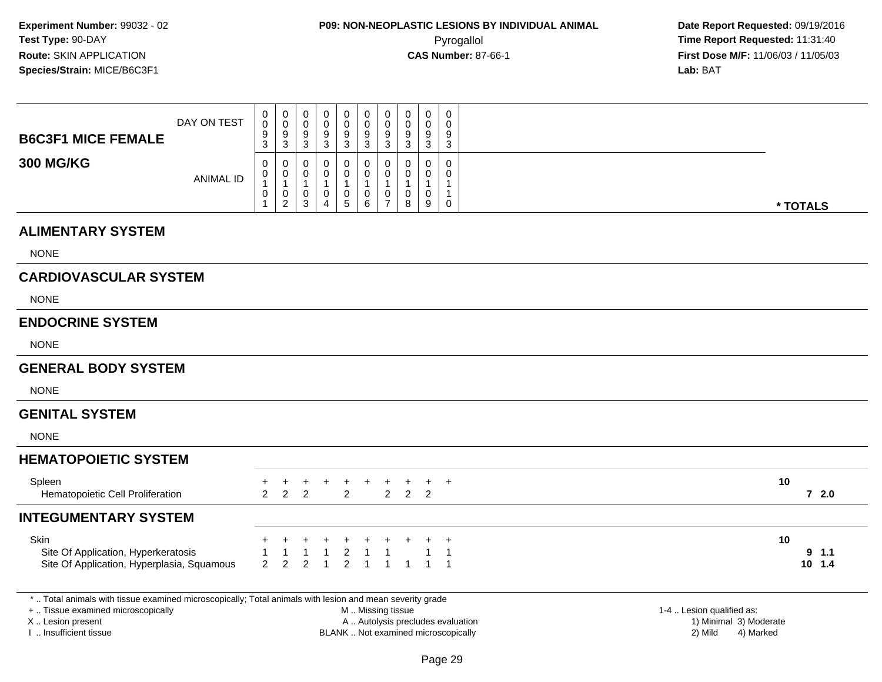|                                                                                                                                                                    | DAY ON TEST      | 0<br>$\pmb{0}$                | $\pmb{0}$<br>$\mathbf 0$                                                    | 0<br>0                                     | 0<br>0                                               | $\pmb{0}$<br>$\pmb{0}$                                         | $\mathbf 0$<br>$\mathsf{O}\xspace$         | $\pmb{0}$<br>$\pmb{0}$                                    | 0<br>$\mathbf 0$                                           | $\mathbf 0$<br>0                                  | $\mathbf 0$<br>0                       |                                     |                                                     |                         |
|--------------------------------------------------------------------------------------------------------------------------------------------------------------------|------------------|-------------------------------|-----------------------------------------------------------------------------|--------------------------------------------|------------------------------------------------------|----------------------------------------------------------------|--------------------------------------------|-----------------------------------------------------------|------------------------------------------------------------|---------------------------------------------------|----------------------------------------|-------------------------------------|-----------------------------------------------------|-------------------------|
| <b>B6C3F1 MICE FEMALE</b>                                                                                                                                          |                  | 9<br>3                        | $9\,$<br>$\mathbf{3}$                                                       | 9<br>$\mathbf{3}$                          | 9<br>$\mathbf{3}$                                    | $\boldsymbol{9}$<br>$\mathbf{3}$                               | 9<br>3                                     | 9<br>$\mathbf{3}$                                         | 9<br>$\mathbf{3}$                                          | 9<br>$\mathbf{3}$                                 | 9<br>3                                 |                                     |                                                     |                         |
| <b>300 MG/KG</b>                                                                                                                                                   | <b>ANIMAL ID</b> | 0<br>0<br>$\overline{1}$<br>0 | $\mathbf 0$<br>$\mathbf 0$<br>$\overline{1}$<br>$\pmb{0}$<br>$\overline{2}$ | $\mathbf 0$<br>0<br>$\mathbf{1}$<br>0<br>3 | $\Omega$<br>0<br>$\mathbf{1}$<br>0<br>$\overline{4}$ | $\boldsymbol{0}$<br>0<br>$\mathbf{1}$<br>$\boldsymbol{0}$<br>5 | 0<br>0<br>$\mathbf{1}$<br>$\mathbf 0$<br>6 | $\mathbf 0$<br>0<br>$\overline{1}$<br>0<br>$\overline{7}$ | $\Omega$<br>$\Omega$<br>$\overline{1}$<br>$\mathbf 0$<br>8 | $\Omega$<br>0<br>$\mathbf{1}$<br>$\mathbf 0$<br>9 | $\Omega$<br>0<br>$\mathbf 1$<br>1<br>0 |                                     |                                                     | * TOTALS                |
| <b>ALIMENTARY SYSTEM</b>                                                                                                                                           |                  |                               |                                                                             |                                            |                                                      |                                                                |                                            |                                                           |                                                            |                                                   |                                        |                                     |                                                     |                         |
| <b>NONE</b>                                                                                                                                                        |                  |                               |                                                                             |                                            |                                                      |                                                                |                                            |                                                           |                                                            |                                                   |                                        |                                     |                                                     |                         |
| <b>CARDIOVASCULAR SYSTEM</b>                                                                                                                                       |                  |                               |                                                                             |                                            |                                                      |                                                                |                                            |                                                           |                                                            |                                                   |                                        |                                     |                                                     |                         |
| <b>NONE</b>                                                                                                                                                        |                  |                               |                                                                             |                                            |                                                      |                                                                |                                            |                                                           |                                                            |                                                   |                                        |                                     |                                                     |                         |
| <b>ENDOCRINE SYSTEM</b>                                                                                                                                            |                  |                               |                                                                             |                                            |                                                      |                                                                |                                            |                                                           |                                                            |                                                   |                                        |                                     |                                                     |                         |
| <b>NONE</b>                                                                                                                                                        |                  |                               |                                                                             |                                            |                                                      |                                                                |                                            |                                                           |                                                            |                                                   |                                        |                                     |                                                     |                         |
| <b>GENERAL BODY SYSTEM</b>                                                                                                                                         |                  |                               |                                                                             |                                            |                                                      |                                                                |                                            |                                                           |                                                            |                                                   |                                        |                                     |                                                     |                         |
| <b>NONE</b>                                                                                                                                                        |                  |                               |                                                                             |                                            |                                                      |                                                                |                                            |                                                           |                                                            |                                                   |                                        |                                     |                                                     |                         |
| <b>GENITAL SYSTEM</b>                                                                                                                                              |                  |                               |                                                                             |                                            |                                                      |                                                                |                                            |                                                           |                                                            |                                                   |                                        |                                     |                                                     |                         |
| <b>NONE</b>                                                                                                                                                        |                  |                               |                                                                             |                                            |                                                      |                                                                |                                            |                                                           |                                                            |                                                   |                                        |                                     |                                                     |                         |
| <b>HEMATOPOIETIC SYSTEM</b>                                                                                                                                        |                  |                               |                                                                             |                                            |                                                      |                                                                |                                            |                                                           |                                                            |                                                   |                                        |                                     |                                                     |                         |
| Spleen<br>Hematopoietic Cell Proliferation                                                                                                                         |                  | +<br>$\overline{2}$           | $\ddot{}$<br>$\overline{2}$                                                 | $\ddot{}$<br>2                             | +                                                    | $_{+}$<br>2                                                    | $\ddot{}$                                  | $_{+}$<br>$2^{\circ}$                                     | $_{+}$<br>$2^{\circ}$                                      | $+$<br>2                                          | $+$                                    |                                     |                                                     | 10<br>72.0              |
| <b>INTEGUMENTARY SYSTEM</b>                                                                                                                                        |                  |                               |                                                                             |                                            |                                                      |                                                                |                                            |                                                           |                                                            |                                                   |                                        |                                     |                                                     |                         |
| Skin<br>Site Of Application, Hyperkeratosis<br>Site Of Application, Hyperplasia, Squamous                                                                          |                  | $\overline{2}$                | 1<br>2                                                                      | $\mathbf{1}$<br>2                          | $\mathbf{1}$<br>$\mathbf{1}$                         | $\ddot{}$<br>$\overline{2}$<br>$\overline{2}$                  | $\mathbf{1}$<br>$\mathbf{1}$               | $\overline{1}$<br>$\mathbf{1}$                            | $\overline{1}$                                             | $\mathbf{1}$                                      | $\ddot{}$<br>-1<br>$\overline{1}$      |                                     |                                                     | 10<br>9 1.1<br>$10$ 1.4 |
| *  Total animals with tissue examined microscopically; Total animals with lesion and mean severity grade<br>+  Tissue examined microscopically<br>X Lesion present |                  |                               |                                                                             |                                            |                                                      |                                                                | M  Missing tissue                          |                                                           |                                                            |                                                   |                                        | A  Autolysis precludes evaluation   | 1-4  Lesion qualified as:<br>1) Minimal 3) Moderate |                         |
| I. Insufficient tissue                                                                                                                                             |                  |                               |                                                                             |                                            |                                                      |                                                                |                                            |                                                           |                                                            |                                                   |                                        | BLANK  Not examined microscopically | 2) Mild<br>4) Marked                                |                         |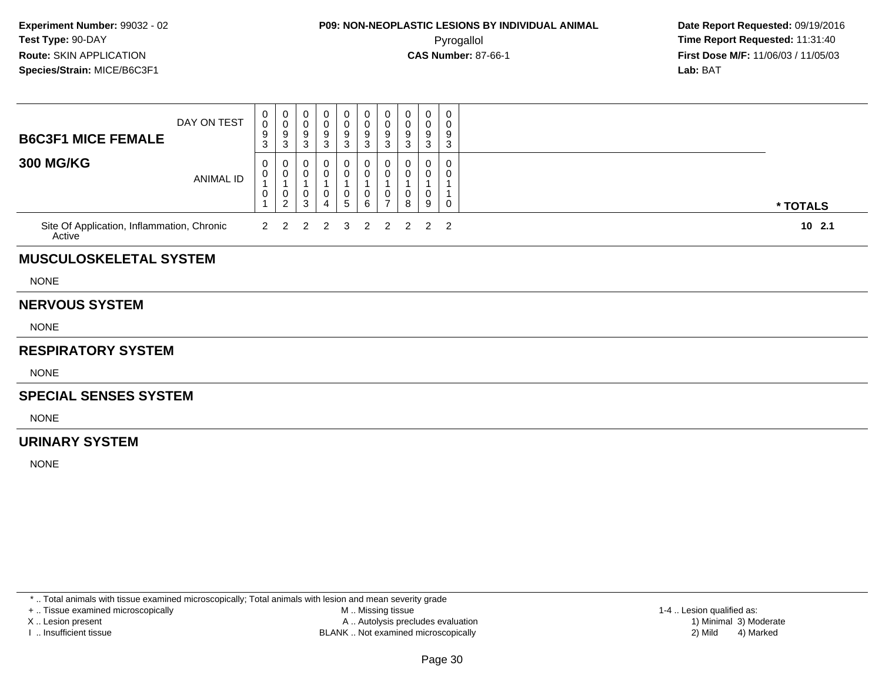## **P09: NON-NEOPLASTIC LESIONS BY INDIVIDUAL ANIMAL**Pyrogallol **Time Report Requested:** 11:31:40

 **Date Report Requested:** 09/19/2016 **First Dose M/F:** 11/06/03 / 11/05/03<br>**Lab:** BAT **Lab:** BAT

| <b>B6C3F1 MICE FEMALE</b>                            | DAY ON TEST      | 0<br>$\mathbf 0$<br>9<br>3    | 0<br>$\pmb{0}$<br>9<br>3                                          | 0<br>0<br>9<br>3                 | 0<br>0<br>9<br>3              | 0<br>$\pmb{0}$<br>$\boldsymbol{9}$<br>3 | 0<br>$\pmb{0}$<br>9<br>$\mathbf{3}$      | $\pmb{0}$<br>$\pmb{0}$<br>$\frac{9}{3}$       | 0<br>0<br>9<br>3        | $\pmb{0}$<br>$\mathbf 0$<br>$\boldsymbol{9}$<br>$\mathbf{3}$ | 0<br>0<br>9<br>3      |          |  |
|------------------------------------------------------|------------------|-------------------------------|-------------------------------------------------------------------|----------------------------------|-------------------------------|-----------------------------------------|------------------------------------------|-----------------------------------------------|-------------------------|--------------------------------------------------------------|-----------------------|----------|--|
| <b>300 MG/KG</b>                                     | <b>ANIMAL ID</b> | 0<br>$\pmb{0}$<br>1<br>0<br>1 | 0<br>$\mathbf 0$<br>$\mathbf{1}$<br>$\mathbf 0$<br>$\overline{c}$ | 0<br>0<br>$\mathbf{1}$<br>0<br>3 | 0<br>0<br>0<br>$\overline{4}$ | 0<br>$\pmb{0}$<br>0<br>$5\phantom{.0}$  | 0<br>$\mathbf 0$<br>0<br>$6\overline{6}$ | 0<br>0<br>$\mathbf{1}$<br>0<br>$\overline{7}$ | $^{(1)}$<br>0<br>0<br>8 | 0<br>0<br>$\mathbf{1}$<br>0<br>9                             | 0<br>0<br>1<br>1<br>0 | * TOTALS |  |
| Site Of Application, Inflammation, Chronic<br>Active |                  | $\overline{2}$                | 2                                                                 | 2                                | $\overline{2}$                | 3                                       | $\overline{2}$                           | 2                                             | 2                       | $\overline{2}$                                               | 2                     | $10$ 2.1 |  |
| <b>MUSCULOSKELETAL SYSTEM</b>                        |                  |                               |                                                                   |                                  |                               |                                         |                                          |                                               |                         |                                                              |                       |          |  |
| <b>NONE</b>                                          |                  |                               |                                                                   |                                  |                               |                                         |                                          |                                               |                         |                                                              |                       |          |  |
| <b>NERVOUS SYSTEM</b>                                |                  |                               |                                                                   |                                  |                               |                                         |                                          |                                               |                         |                                                              |                       |          |  |
| <b>NONE</b>                                          |                  |                               |                                                                   |                                  |                               |                                         |                                          |                                               |                         |                                                              |                       |          |  |
| <b>RESPIRATORY SYSTEM</b>                            |                  |                               |                                                                   |                                  |                               |                                         |                                          |                                               |                         |                                                              |                       |          |  |
| <b>NONE</b>                                          |                  |                               |                                                                   |                                  |                               |                                         |                                          |                                               |                         |                                                              |                       |          |  |
| <b>SPECIAL SENSES SYSTEM</b>                         |                  |                               |                                                                   |                                  |                               |                                         |                                          |                                               |                         |                                                              |                       |          |  |
| <b>NONE</b>                                          |                  |                               |                                                                   |                                  |                               |                                         |                                          |                                               |                         |                                                              |                       |          |  |
| <b>URINARY SYSTEM</b>                                |                  |                               |                                                                   |                                  |                               |                                         |                                          |                                               |                         |                                                              |                       |          |  |
| <b>NONE</b>                                          |                  |                               |                                                                   |                                  |                               |                                         |                                          |                                               |                         |                                                              |                       |          |  |
|                                                      |                  |                               |                                                                   |                                  |                               |                                         |                                          |                                               |                         |                                                              |                       |          |  |

\* .. Total animals with tissue examined microscopically; Total animals with lesion and mean severity grade

+ .. Tissue examined microscopically

X .. Lesion present

I .. Insufficient tissue

 M .. Missing tissueA .. Autolysis precludes evaluation

BLANK .. Not examined microscopically 2) Mild 4) Marked

1-4 .. Lesion qualified as:<br>1) Minimal 3) Moderate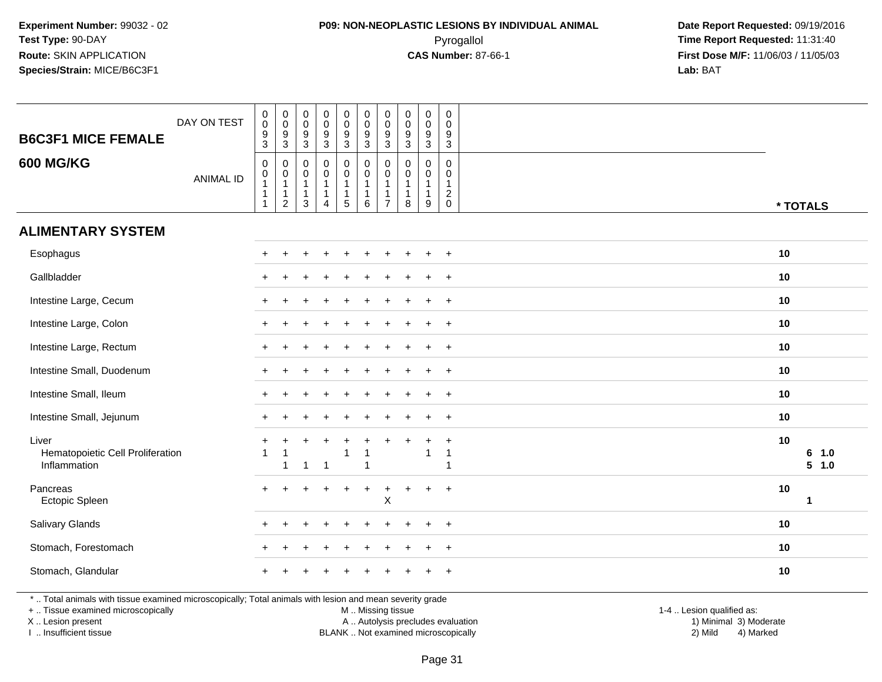#### **P09: NON-NEOPLASTIC LESIONS BY INDIVIDUAL ANIMAL**Pyrogallol **Time Report Requested:** 11:31:40

 **Date Report Requested:** 09/19/2016 **First Dose M/F:** 11/06/03 / 11/05/03<br>Lab: BAT **Lab:** BAT

| <b>B6C3F1 MICE FEMALE</b>                                                                                                                                           | DAY ON TEST      | $\,0\,$<br>$\mathbf 0$<br>$\frac{9}{3}$                                | $\pmb{0}$<br>$\pmb{0}$<br>$\boldsymbol{9}$<br>$\sqrt{3}$ | $\pmb{0}$<br>$\pmb{0}$<br>9<br>3                                  | $\pmb{0}$<br>$\pmb{0}$<br>9<br>$\mathbf{3}$                                    | $\pmb{0}$<br>$\mathbf 0$<br>9<br>3 | $\mathsf{O}\xspace$<br>$\mathbf 0$<br>$\boldsymbol{9}$<br>3 | $\pmb{0}$<br>$\pmb{0}$<br>$9\,$<br>$\mathbf{3}$                    | $\mathbf 0$<br>$\mathbf 0$<br>9<br>$\mathbf{3}$    | $\pmb{0}$<br>$\mathbf 0$<br>9<br>3                    | $\pmb{0}$<br>$\mathbf 0$<br>9<br>$\mathbf{3}$    |                                                     |    |                |
|---------------------------------------------------------------------------------------------------------------------------------------------------------------------|------------------|------------------------------------------------------------------------|----------------------------------------------------------|-------------------------------------------------------------------|--------------------------------------------------------------------------------|------------------------------------|-------------------------------------------------------------|--------------------------------------------------------------------|----------------------------------------------------|-------------------------------------------------------|--------------------------------------------------|-----------------------------------------------------|----|----------------|
| <b>600 MG/KG</b>                                                                                                                                                    | <b>ANIMAL ID</b> | $\pmb{0}$<br>$\pmb{0}$<br>$\mathbf{1}$<br>$\mathbf{1}$<br>$\mathbf{1}$ | 0<br>$\pmb{0}$<br>$\mathbf{1}$<br>1<br>$\boldsymbol{2}$  | $\mathbf 0$<br>0<br>$\overline{1}$<br>$\mathbf{1}$<br>$\mathbf 3$ | $\mathbf 0$<br>$\mathbf 0$<br>$\overline{1}$<br>$\mathbf{1}$<br>$\overline{4}$ | 0<br>$\mathbf 0$<br>1<br>1<br>5    | $\mathbf 0$<br>$\mathbf 0$<br>1<br>1<br>$\,6\,$             | $\mathbf 0$<br>$\mathbf 0$<br>$\mathbf{1}$<br>-1<br>$\overline{7}$ | $\mathbf{0}$<br>$\mathbf 0$<br>$\overline{1}$<br>8 | $\mathbf 0$<br>0<br>$\mathbf{1}$<br>$\mathbf{1}$<br>9 | 0<br>$\mathbf 0$<br>$\mathbf{1}$<br>$^2_{\rm 0}$ |                                                     |    | * TOTALS       |
| <b>ALIMENTARY SYSTEM</b>                                                                                                                                            |                  |                                                                        |                                                          |                                                                   |                                                                                |                                    |                                                             |                                                                    |                                                    |                                                       |                                                  |                                                     |    |                |
| Esophagus                                                                                                                                                           |                  |                                                                        |                                                          |                                                                   |                                                                                |                                    |                                                             |                                                                    |                                                    |                                                       | $\overline{+}$                                   |                                                     | 10 |                |
| Gallbladder                                                                                                                                                         |                  |                                                                        |                                                          |                                                                   |                                                                                |                                    |                                                             |                                                                    |                                                    | ÷                                                     | $+$                                              |                                                     | 10 |                |
| Intestine Large, Cecum                                                                                                                                              |                  |                                                                        |                                                          |                                                                   |                                                                                |                                    |                                                             |                                                                    |                                                    |                                                       |                                                  |                                                     | 10 |                |
| Intestine Large, Colon                                                                                                                                              |                  |                                                                        |                                                          |                                                                   |                                                                                |                                    |                                                             |                                                                    |                                                    |                                                       | $+$                                              |                                                     | 10 |                |
| Intestine Large, Rectum                                                                                                                                             |                  |                                                                        |                                                          |                                                                   |                                                                                |                                    |                                                             |                                                                    |                                                    |                                                       | $+$                                              |                                                     | 10 |                |
| Intestine Small, Duodenum                                                                                                                                           |                  |                                                                        |                                                          |                                                                   |                                                                                |                                    |                                                             |                                                                    |                                                    |                                                       | $\ddot{}$                                        |                                                     | 10 |                |
| Intestine Small, Ileum                                                                                                                                              |                  |                                                                        |                                                          |                                                                   |                                                                                |                                    |                                                             |                                                                    |                                                    |                                                       | $\ddot{}$                                        |                                                     | 10 |                |
| Intestine Small, Jejunum                                                                                                                                            |                  |                                                                        |                                                          |                                                                   |                                                                                |                                    |                                                             |                                                                    |                                                    |                                                       | $\ddot{}$                                        |                                                     | 10 |                |
| Liver<br>Hematopoietic Cell Proliferation<br>Inflammation                                                                                                           |                  |                                                                        |                                                          | 1                                                                 | $\overline{1}$                                                                 | 1                                  |                                                             |                                                                    |                                                    | $\overline{\mathbf{1}}$                               | $\ddot{}$<br>$\mathbf{1}$<br>$\mathbf{1}$        |                                                     | 10 | 6 1.0<br>5 1.0 |
| Pancreas<br>Ectopic Spleen                                                                                                                                          |                  |                                                                        |                                                          |                                                                   |                                                                                |                                    | $\div$                                                      | $\ddot{}$<br>$\mathsf X$                                           | +                                                  | $\pm$                                                 | $+$                                              |                                                     | 10 | $\mathbf 1$    |
| Salivary Glands                                                                                                                                                     |                  |                                                                        |                                                          |                                                                   |                                                                                |                                    |                                                             |                                                                    |                                                    |                                                       | $\ddot{}$                                        |                                                     | 10 |                |
| Stomach, Forestomach                                                                                                                                                |                  |                                                                        |                                                          |                                                                   |                                                                                |                                    |                                                             |                                                                    |                                                    |                                                       | $\ddot{}$                                        |                                                     | 10 |                |
| Stomach, Glandular                                                                                                                                                  |                  |                                                                        |                                                          |                                                                   |                                                                                |                                    |                                                             |                                                                    |                                                    |                                                       | $+$                                              |                                                     | 10 |                |
| *  Total animals with tissue examined microscopically; Total animals with lesion and mean severity grade<br>+  Tissue examined microscopically<br>X  Lesion present |                  |                                                                        |                                                          |                                                                   |                                                                                |                                    | M  Missing tissue                                           |                                                                    | A  Autolysis precludes evaluation                  |                                                       |                                                  | 1-4  Lesion qualified as:<br>1) Minimal 3) Moderate |    |                |

I .. Insufficient tissue

BLANK .. Not examined microscopically 2) Mild 4) Marked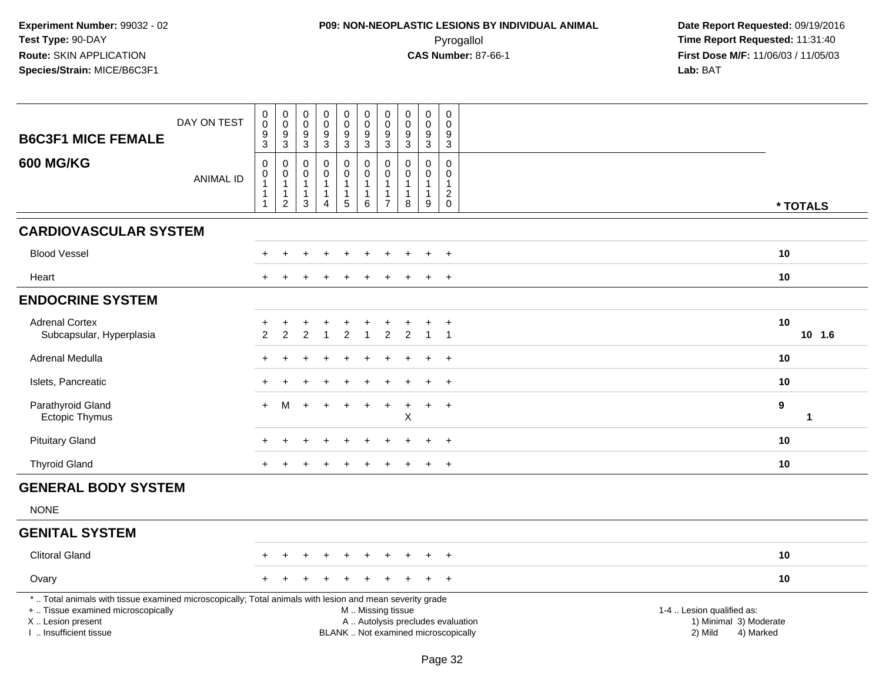# **P09: NON-NEOPLASTIC LESIONS BY INDIVIDUAL ANIMAL**Pyrogallol **Time Report Requested:** 11:31:40

| <b>B6C3F1 MICE FEMALE</b>                                                                                                                                                                    | DAY ON TEST      | $\pmb{0}$<br>$\pmb{0}$<br>$\boldsymbol{9}$<br>$\mathbf{3}$             | $\pmb{0}$<br>$\mathbf 0$<br>$\boldsymbol{9}$<br>$\sqrt{3}$                    | $\begin{smallmatrix} 0\\0 \end{smallmatrix}$<br>$\boldsymbol{9}$<br>3 | 0<br>$\mathsf{O}\xspace$<br>$\overline{9}$<br>3                     | $\begin{smallmatrix} 0\\0 \end{smallmatrix}$<br>$\overline{9}$<br>$\mathbf{3}$ | $\pmb{0}$<br>$\pmb{0}$<br>$\boldsymbol{9}$<br>$\mathbf{3}$            | $\boldsymbol{0}$<br>$\boldsymbol{0}$<br>9<br>$\mathbf{3}$ | $\pmb{0}$<br>$\mathbf 0$<br>$\boldsymbol{9}$<br>$\mathbf 3$ | $\pmb{0}$<br>$\mathbf 0$<br>9<br>3 | $\pmb{0}$<br>$\mathbf 0$<br>$\boldsymbol{9}$<br>$\mathbf{3}$                          |                                                                                                                  |              |
|----------------------------------------------------------------------------------------------------------------------------------------------------------------------------------------------|------------------|------------------------------------------------------------------------|-------------------------------------------------------------------------------|-----------------------------------------------------------------------|---------------------------------------------------------------------|--------------------------------------------------------------------------------|-----------------------------------------------------------------------|-----------------------------------------------------------|-------------------------------------------------------------|------------------------------------|---------------------------------------------------------------------------------------|------------------------------------------------------------------------------------------------------------------|--------------|
| <b>600 MG/KG</b>                                                                                                                                                                             | <b>ANIMAL ID</b> | $\mathbf 0$<br>0<br>$\overline{1}$<br>$\overline{1}$<br>$\overline{1}$ | $\mathbf 0$<br>$\boldsymbol{0}$<br>$\mathbf{1}$<br>$\mathbf{1}$<br>$\sqrt{2}$ | 0<br>$\mathbf 0$<br>$\mathbf{1}$<br>$\mathbf{1}$<br>3                 | 0<br>$\mathsf{O}$<br>$\mathbf{1}$<br>$\mathbf{1}$<br>$\overline{4}$ | 0<br>$\boldsymbol{0}$<br>$\mathbf{1}$<br>$\mathbf{1}$<br>$\sqrt{5}$            | $\mathbf 0$<br>$\mathbf 0$<br>$\mathbf{1}$<br>$\mathbf{1}$<br>$\,6\,$ | $\mathbf 0$<br>0<br>1<br>$\overline{7}$                   | 0<br>$\pmb{0}$<br>$\mathbf{1}$<br>$\mathbf{1}$<br>8         | 0<br>$\mathsf{O}$<br>1<br>1<br>9   | $\mathbf 0$<br>$\mathsf{O}\xspace$<br>$\mathbf{1}$<br>$\boldsymbol{2}$<br>$\mathbf 0$ |                                                                                                                  | * TOTALS     |
| <b>CARDIOVASCULAR SYSTEM</b>                                                                                                                                                                 |                  |                                                                        |                                                                               |                                                                       |                                                                     |                                                                                |                                                                       |                                                           |                                                             |                                    |                                                                                       |                                                                                                                  |              |
| <b>Blood Vessel</b>                                                                                                                                                                          |                  |                                                                        |                                                                               |                                                                       |                                                                     |                                                                                |                                                                       |                                                           |                                                             |                                    |                                                                                       | 10                                                                                                               |              |
| Heart                                                                                                                                                                                        |                  |                                                                        |                                                                               |                                                                       |                                                                     |                                                                                |                                                                       |                                                           |                                                             |                                    |                                                                                       | 10                                                                                                               |              |
| <b>ENDOCRINE SYSTEM</b>                                                                                                                                                                      |                  |                                                                        |                                                                               |                                                                       |                                                                     |                                                                                |                                                                       |                                                           |                                                             |                                    |                                                                                       |                                                                                                                  |              |
| <b>Adrenal Cortex</b><br>Subcapsular, Hyperplasia                                                                                                                                            |                  | +<br>$\overline{2}$                                                    | $\ddot{}$<br>$\overline{2}$                                                   | 2                                                                     | $\ddot{}$<br>$\mathbf{1}$                                           | $\overline{2}$                                                                 | $\overline{1}$                                                        | 2                                                         | $\overline{2}$                                              | $\overline{1}$                     | $\ddot{}$<br>$\overline{1}$                                                           | 10                                                                                                               | 10 1.6       |
| Adrenal Medulla                                                                                                                                                                              |                  |                                                                        |                                                                               |                                                                       |                                                                     |                                                                                |                                                                       |                                                           |                                                             |                                    | $\overline{+}$                                                                        | 10                                                                                                               |              |
| Islets, Pancreatic                                                                                                                                                                           |                  |                                                                        |                                                                               |                                                                       |                                                                     |                                                                                |                                                                       |                                                           |                                                             |                                    | $\ddot{}$                                                                             | 10                                                                                                               |              |
| Parathyroid Gland<br>Ectopic Thymus                                                                                                                                                          |                  | $+$                                                                    | м                                                                             |                                                                       |                                                                     |                                                                                |                                                                       |                                                           | Χ                                                           | $\ddot{}$                          | $^{+}$                                                                                | $\boldsymbol{9}$                                                                                                 | $\mathbf{1}$ |
| <b>Pituitary Gland</b>                                                                                                                                                                       |                  |                                                                        |                                                                               |                                                                       |                                                                     |                                                                                |                                                                       |                                                           |                                                             |                                    |                                                                                       | 10                                                                                                               |              |
| <b>Thyroid Gland</b>                                                                                                                                                                         |                  |                                                                        |                                                                               |                                                                       |                                                                     |                                                                                |                                                                       |                                                           |                                                             |                                    | $\ddot{}$                                                                             | 10                                                                                                               |              |
| <b>GENERAL BODY SYSTEM</b>                                                                                                                                                                   |                  |                                                                        |                                                                               |                                                                       |                                                                     |                                                                                |                                                                       |                                                           |                                                             |                                    |                                                                                       |                                                                                                                  |              |
| <b>NONE</b>                                                                                                                                                                                  |                  |                                                                        |                                                                               |                                                                       |                                                                     |                                                                                |                                                                       |                                                           |                                                             |                                    |                                                                                       |                                                                                                                  |              |
| <b>GENITAL SYSTEM</b>                                                                                                                                                                        |                  |                                                                        |                                                                               |                                                                       |                                                                     |                                                                                |                                                                       |                                                           |                                                             |                                    |                                                                                       |                                                                                                                  |              |
| <b>Clitoral Gland</b>                                                                                                                                                                        |                  |                                                                        |                                                                               |                                                                       |                                                                     |                                                                                |                                                                       |                                                           |                                                             |                                    |                                                                                       | 10                                                                                                               |              |
| Ovary                                                                                                                                                                                        |                  |                                                                        |                                                                               |                                                                       |                                                                     |                                                                                |                                                                       |                                                           |                                                             |                                    | $\pm$                                                                                 | 10                                                                                                               |              |
| *  Total animals with tissue examined microscopically; Total animals with lesion and mean severity grade<br>+  Tissue examined microscopically<br>X Lesion present<br>I. Insufficient tissue |                  |                                                                        |                                                                               |                                                                       |                                                                     |                                                                                | M  Missing tissue                                                     |                                                           |                                                             |                                    | BLANK  Not examined microscopically                                                   | 1-4  Lesion qualified as:<br>A  Autolysis precludes evaluation<br>1) Minimal 3) Moderate<br>2) Mild<br>4) Marked |              |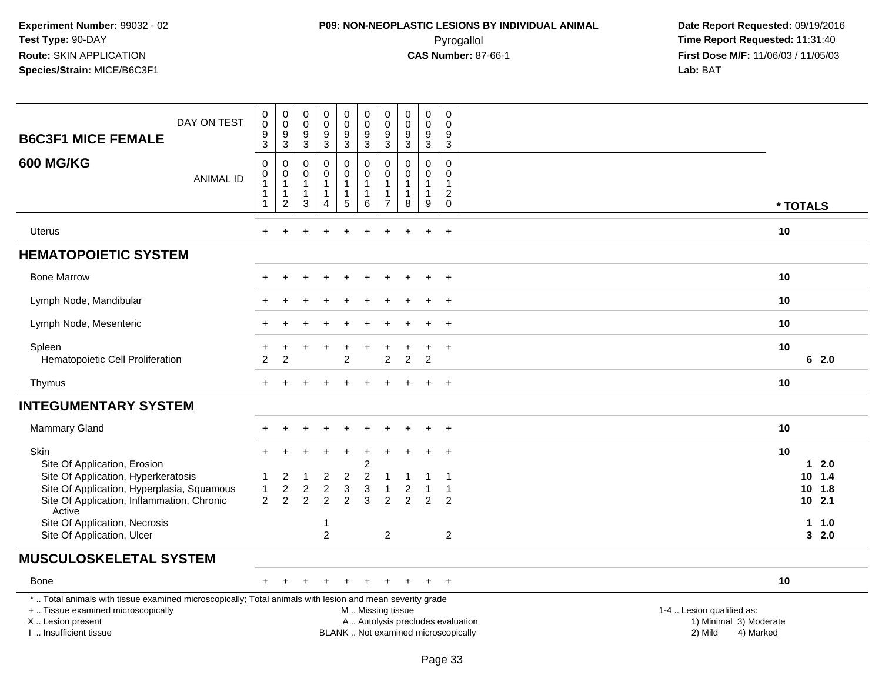# **P09: NON-NEOPLASTIC LESIONS BY INDIVIDUAL ANIMAL**Pyrogallol **Time Report Requested:** 11:31:40

| DAY ON TEST<br><b>B6C3F1 MICE FEMALE</b>                                                                                                                                                      | 0<br>$\mathbf 0$<br>$\frac{9}{3}$               | $_{\rm 0}^{\rm 0}$<br>$\frac{9}{3}$                                            | $\pmb{0}$<br>$\mathbf 0$<br>9<br>$\mathbf{3}$         | $\,0\,$<br>$\mathbf 0$<br>9<br>$\overline{3}$                   | $\mathbf 0$<br>$\mathbf 0$<br>$\frac{9}{3}$           | $\pmb{0}$<br>$\mathsf 0$<br>$\frac{9}{3}$                 | $\pmb{0}$<br>$\mathbf 0$<br>$^9_3$                                           | $\boldsymbol{0}$<br>$\mathbf 0$<br>9<br>$\sqrt{3}$ | $\pmb{0}$<br>$\mathbf 0$<br>$\boldsymbol{9}$<br>$\overline{3}$  | $\mathbf 0$<br>$\mathbf 0$<br>9<br>3              |                                                                                                                                                         |            |
|-----------------------------------------------------------------------------------------------------------------------------------------------------------------------------------------------|-------------------------------------------------|--------------------------------------------------------------------------------|-------------------------------------------------------|-----------------------------------------------------------------|-------------------------------------------------------|-----------------------------------------------------------|------------------------------------------------------------------------------|----------------------------------------------------|-----------------------------------------------------------------|---------------------------------------------------|---------------------------------------------------------------------------------------------------------------------------------------------------------|------------|
| <b>600 MG/KG</b><br><b>ANIMAL ID</b>                                                                                                                                                          | $\mathbf 0$<br>$\mathbf 0$<br>1<br>$\mathbf{1}$ | $\mathbf 0$<br>$\pmb{0}$<br>$\overline{1}$<br>$\overline{1}$<br>$\overline{2}$ | 0<br>$\mathbf 0$<br>$\mathbf{1}$<br>$\mathbf{1}$<br>3 | $\pmb{0}$<br>$\mathbf 0$<br>1<br>$\mathbf{1}$<br>$\overline{4}$ | 0<br>$\mathbf 0$<br>$\mathbf{1}$<br>$\mathbf{1}$<br>5 | 0<br>$\pmb{0}$<br>$\mathbf{1}$<br>$\mathbf{1}$<br>$\,6\,$ | $\mathbf 0$<br>$\pmb{0}$<br>$\overline{1}$<br>$\mathbf{1}$<br>$\overline{7}$ | $\mathbf 0$<br>$\mathbf 0$<br>$\mathbf 1$<br>8     | $\mathbf 0$<br>$\mathbf 0$<br>$\mathbf{1}$<br>$\mathbf{1}$<br>9 | 0<br>$\mathbf 0$<br>$\overline{c}$<br>$\mathbf 0$ |                                                                                                                                                         | * TOTALS   |
|                                                                                                                                                                                               |                                                 |                                                                                |                                                       |                                                                 |                                                       |                                                           |                                                                              |                                                    |                                                                 |                                                   |                                                                                                                                                         |            |
| <b>Uterus</b>                                                                                                                                                                                 |                                                 |                                                                                |                                                       |                                                                 |                                                       |                                                           |                                                                              |                                                    |                                                                 | $\ddot{}$                                         |                                                                                                                                                         | 10         |
| <b>HEMATOPOIETIC SYSTEM</b>                                                                                                                                                                   |                                                 |                                                                                |                                                       |                                                                 |                                                       |                                                           |                                                                              |                                                    |                                                                 |                                                   |                                                                                                                                                         |            |
| <b>Bone Marrow</b>                                                                                                                                                                            |                                                 |                                                                                |                                                       |                                                                 |                                                       |                                                           |                                                                              |                                                    |                                                                 | $+$                                               |                                                                                                                                                         | 10         |
| Lymph Node, Mandibular                                                                                                                                                                        |                                                 |                                                                                |                                                       |                                                                 |                                                       |                                                           |                                                                              |                                                    |                                                                 | $\ddot{}$                                         |                                                                                                                                                         | 10         |
| Lymph Node, Mesenteric                                                                                                                                                                        |                                                 |                                                                                |                                                       |                                                                 |                                                       |                                                           |                                                                              |                                                    |                                                                 | $\overline{1}$                                    |                                                                                                                                                         | 10         |
| Spleen<br>Hematopoietic Cell Proliferation                                                                                                                                                    | $\overline{2}$                                  | 2                                                                              |                                                       |                                                                 | $\overline{2}$                                        |                                                           | 2                                                                            | $\overline{2}$                                     | $\overline{2}$                                                  | $\ddot{}$                                         |                                                                                                                                                         | 10<br>62.0 |
| Thymus                                                                                                                                                                                        |                                                 |                                                                                |                                                       |                                                                 |                                                       |                                                           |                                                                              |                                                    |                                                                 | $+$                                               |                                                                                                                                                         | 10         |
| <b>INTEGUMENTARY SYSTEM</b>                                                                                                                                                                   |                                                 |                                                                                |                                                       |                                                                 |                                                       |                                                           |                                                                              |                                                    |                                                                 |                                                   |                                                                                                                                                         |            |
| <b>Mammary Gland</b>                                                                                                                                                                          |                                                 |                                                                                |                                                       |                                                                 |                                                       |                                                           |                                                                              |                                                    |                                                                 | $+$                                               |                                                                                                                                                         | 10         |
| <b>Skin</b><br>Site Of Application, Erosion                                                                                                                                                   | $+$                                             |                                                                                |                                                       |                                                                 | $\ddot{}$                                             | $\ddot{}$<br>$\overline{c}$                               | $\overline{ }$                                                               |                                                    | $\div$                                                          | $+$                                               |                                                                                                                                                         | 10<br>12.0 |
| Site Of Application, Hyperkeratosis                                                                                                                                                           |                                                 | 2                                                                              |                                                       | 2                                                               | $\overline{c}$                                        | $\overline{c}$                                            |                                                                              |                                                    |                                                                 |                                                   |                                                                                                                                                         | 1.4<br>10  |
| Site Of Application, Hyperplasia, Squamous                                                                                                                                                    | $\mathbf{1}$                                    | $\overline{c}$                                                                 | $\overline{c}$                                        | $\boldsymbol{2}$                                                | $\sqrt{3}$                                            | $\ensuremath{\mathsf{3}}$                                 |                                                                              | 2                                                  |                                                                 | $\mathbf{1}$                                      |                                                                                                                                                         | 10<br>1.8  |
| Site Of Application, Inflammation, Chronic<br>Active                                                                                                                                          | $\overline{2}$                                  | $\overline{2}$                                                                 | $\overline{2}$                                        | $\overline{2}$                                                  | $\overline{2}$                                        | 3                                                         | $\overline{2}$                                                               | $\overline{2}$                                     | $\overline{2}$                                                  | $\overline{c}$                                    |                                                                                                                                                         | $10$ 2.1   |
| Site Of Application, Necrosis                                                                                                                                                                 |                                                 |                                                                                |                                                       | 1                                                               |                                                       |                                                           |                                                                              |                                                    |                                                                 |                                                   |                                                                                                                                                         | 11.0       |
| Site Of Application, Ulcer                                                                                                                                                                    |                                                 |                                                                                |                                                       | $\overline{2}$                                                  |                                                       |                                                           | $\overline{2}$                                                               |                                                    |                                                                 | $\overline{c}$                                    |                                                                                                                                                         | 32.0       |
| <b>MUSCULOSKELETAL SYSTEM</b>                                                                                                                                                                 |                                                 |                                                                                |                                                       |                                                                 |                                                       |                                                           |                                                                              |                                                    |                                                                 |                                                   |                                                                                                                                                         |            |
| <b>Bone</b>                                                                                                                                                                                   | $\pm$                                           |                                                                                |                                                       |                                                                 |                                                       |                                                           |                                                                              |                                                    | $+$                                                             | $+$                                               |                                                                                                                                                         | 10         |
| *  Total animals with tissue examined microscopically; Total animals with lesion and mean severity grade<br>+  Tissue examined microscopically<br>X  Lesion present<br>I  Insufficient tissue |                                                 |                                                                                |                                                       |                                                                 |                                                       | M  Missing tissue                                         |                                                                              |                                                    |                                                                 |                                                   | 1-4  Lesion qualified as:<br>A  Autolysis precludes evaluation<br>1) Minimal 3) Moderate<br>BLANK  Not examined microscopically<br>2) Mild<br>4) Marked |            |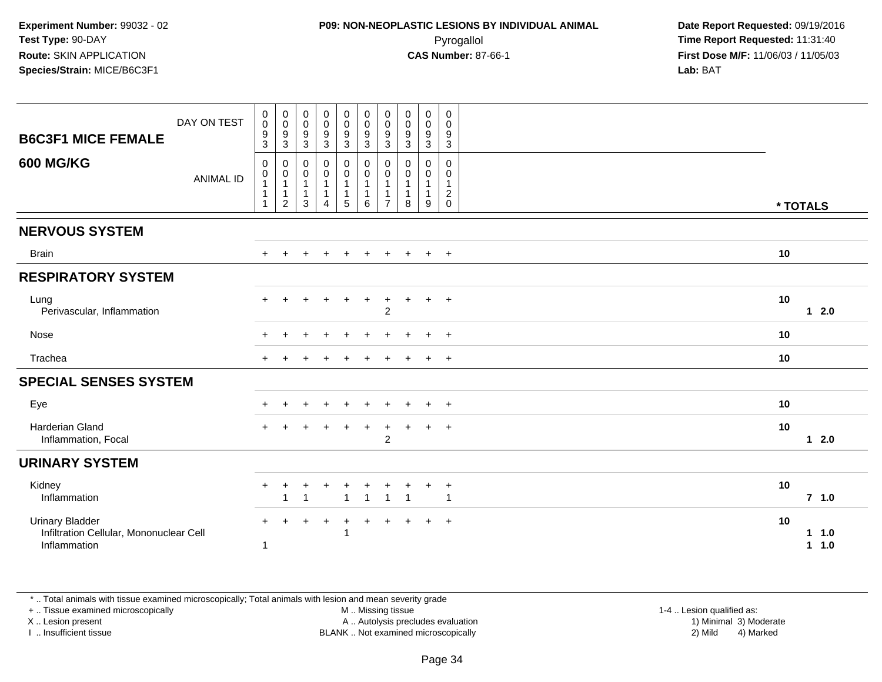| <b>B6C3F1 MICE FEMALE</b><br><b>600 MG/KG</b>                                     | DAY ON TEST      | $\pmb{0}$<br>$\boldsymbol{0}$<br>$\boldsymbol{9}$<br>3<br>$\mathbf 0$ | $\pmb{0}$<br>$\overline{0}$<br>$\boldsymbol{9}$<br>$\mathbf{3}$<br>0 | $\pmb{0}$<br>$\mathsf{O}\xspace$<br>$\boldsymbol{9}$<br>$\ensuremath{\mathsf{3}}$<br>$\pmb{0}$ | $\begin{smallmatrix} 0\\0 \end{smallmatrix}$<br>$\boldsymbol{9}$<br>$\sqrt{3}$<br>$\pmb{0}$ | $_{\rm 0}^{\rm 0}$<br>$\boldsymbol{9}$<br>$\ensuremath{\mathsf{3}}$<br>$\mathbf 0$ | $\begin{smallmatrix} 0\\0 \end{smallmatrix}$<br>$9\,$<br>$\mathbf{3}$<br>$\pmb{0}$ | $\pmb{0}$<br>$\boldsymbol{0}$<br>9<br>3<br>0 | $\mathbf 0$<br>$\mathbf 0$<br>$\boldsymbol{9}$<br>3<br>0 | $_{\rm 0}^{\rm 0}$<br>$\boldsymbol{9}$<br>$\sqrt{3}$<br>0 | $\mathbf 0$<br>$\mathbf 0$<br>$\boldsymbol{9}$<br>$\mathbf{3}$<br>$\mathbf 0$ |          |                 |
|-----------------------------------------------------------------------------------|------------------|-----------------------------------------------------------------------|----------------------------------------------------------------------|------------------------------------------------------------------------------------------------|---------------------------------------------------------------------------------------------|------------------------------------------------------------------------------------|------------------------------------------------------------------------------------|----------------------------------------------|----------------------------------------------------------|-----------------------------------------------------------|-------------------------------------------------------------------------------|----------|-----------------|
|                                                                                   | <b>ANIMAL ID</b> | 0<br>$\overline{1}$<br>$\overline{1}$<br>$\mathbf{1}$                 | 0<br>$\mathbf{1}$<br>$\mathbf{1}$<br>$\overline{2}$                  | 0<br>$\mathbf{1}$<br>$\mathbf{1}$<br>3                                                         | $\pmb{0}$<br>$\mathbf{1}$<br>1<br>$\overline{\mathbf{4}}$                                   | $\mathbf 0$<br>$\overline{1}$<br>$\overline{1}$<br>$\,$ 5 $\,$                     | $\mathbf 0$<br>$\overline{1}$<br>$\mathbf{1}$<br>6                                 | 0<br>1<br>$\overline{7}$                     | 0<br>1<br>8                                              | 0<br>$\mathbf{1}$<br>9                                    | 0<br>$\mathbf{1}$<br>$\overline{c}$<br>$\mathbf 0$                            | * TOTALS |                 |
| <b>NERVOUS SYSTEM</b>                                                             |                  |                                                                       |                                                                      |                                                                                                |                                                                                             |                                                                                    |                                                                                    |                                              |                                                          |                                                           |                                                                               |          |                 |
| <b>Brain</b>                                                                      |                  | $+$                                                                   | $\ddot{}$                                                            | $\ddot{}$                                                                                      | $\ddot{}$                                                                                   | $\ddot{}$                                                                          | $+$                                                                                | $\ddot{}$                                    | $+$                                                      | $+$                                                       | $+$                                                                           | 10       |                 |
| <b>RESPIRATORY SYSTEM</b>                                                         |                  |                                                                       |                                                                      |                                                                                                |                                                                                             |                                                                                    |                                                                                    |                                              |                                                          |                                                           |                                                                               |          |                 |
| Lung<br>Perivascular, Inflammation                                                |                  |                                                                       |                                                                      |                                                                                                |                                                                                             | +                                                                                  | $\ddot{}$                                                                          | $\ddot{}$<br>$\overline{c}$                  | $+$                                                      | $+$                                                       | $+$                                                                           | 10       | $12.0$          |
| Nose                                                                              |                  |                                                                       |                                                                      |                                                                                                |                                                                                             |                                                                                    |                                                                                    |                                              |                                                          | $+$                                                       | $+$                                                                           | 10       |                 |
| Trachea                                                                           |                  |                                                                       |                                                                      |                                                                                                |                                                                                             |                                                                                    |                                                                                    |                                              |                                                          | $\pm$                                                     | $+$                                                                           | 10       |                 |
| <b>SPECIAL SENSES SYSTEM</b>                                                      |                  |                                                                       |                                                                      |                                                                                                |                                                                                             |                                                                                    |                                                                                    |                                              |                                                          |                                                           |                                                                               |          |                 |
| Eye                                                                               |                  |                                                                       |                                                                      |                                                                                                |                                                                                             |                                                                                    |                                                                                    |                                              |                                                          |                                                           | $+$                                                                           | 10       |                 |
| Harderian Gland<br>Inflammation, Focal                                            |                  |                                                                       |                                                                      |                                                                                                |                                                                                             | $\ddot{}$                                                                          | $\ddot{}$                                                                          | $\ddot{}$<br>$\overline{2}$                  | $\pm$                                                    | $+$                                                       | $+$                                                                           | 10       | $12.0$          |
| <b>URINARY SYSTEM</b>                                                             |                  |                                                                       |                                                                      |                                                                                                |                                                                                             |                                                                                    |                                                                                    |                                              |                                                          |                                                           |                                                                               |          |                 |
| Kidney<br>Inflammation                                                            |                  | $+$                                                                   | -1                                                                   | 1                                                                                              |                                                                                             | $\overline{ }$                                                                     | $\mathbf{1}$                                                                       | $\overline{1}$                               | $\overline{1}$                                           | $\pm$                                                     | $\ddot{}$<br>$\mathbf{1}$                                                     | 10       | $7$ 1.0         |
| <b>Urinary Bladder</b><br>Infiltration Cellular, Mononuclear Cell<br>Inflammation |                  | $+$<br>-1                                                             |                                                                      |                                                                                                | $\ddot{}$                                                                                   | $\ddot{}$                                                                          | $\ddot{}$                                                                          | $\ddot{}$                                    | $\pm$                                                    | $+$                                                       | $+$                                                                           | 10       | $1 1.0$<br>11.0 |

\* .. Total animals with tissue examined microscopically; Total animals with lesion and mean severity grade

+ .. Tissue examined microscopically

X .. Lesion present

I .. Insufficient tissue

M .. Missing tissue

Lesion present A .. Autolysis precludes evaluation 1) Minimal 3) Moderate

1-4 .. Lesion qualified as:<br>1) Minimal 3) Moderate BLANK .. Not examined microscopically 2) Mild 4) Marked